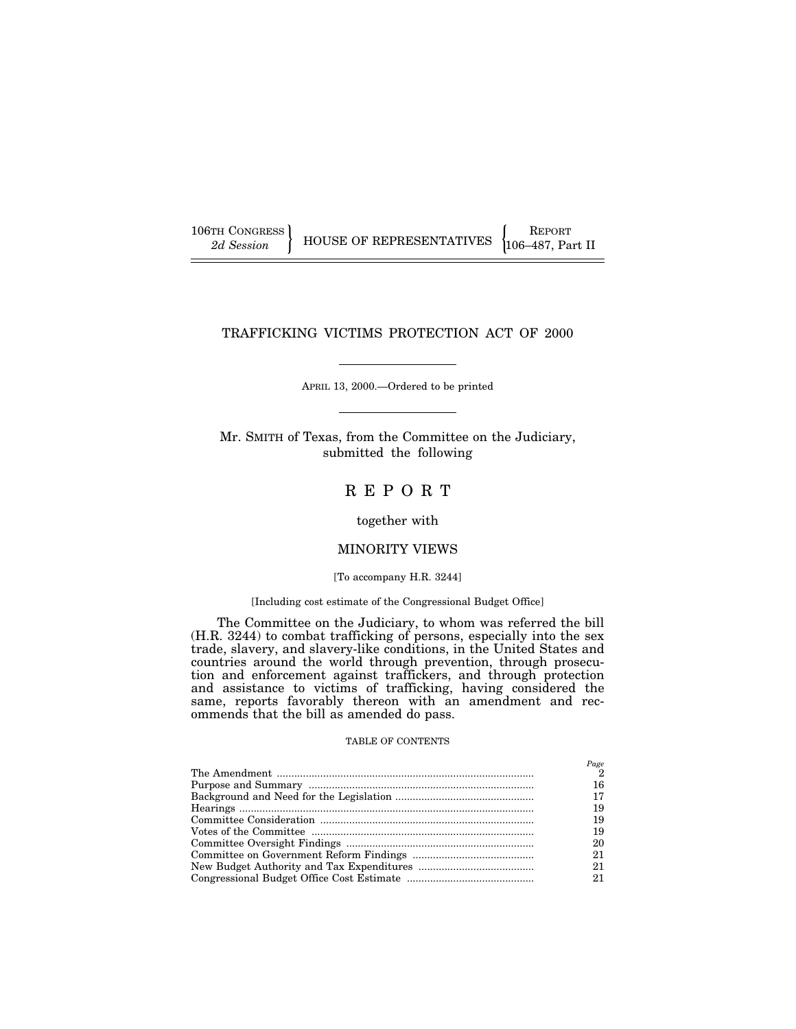| 106TH CONGRESS |  |
|----------------|--|
| 2d Session     |  |

106TH CONGRESS REPORT 2d Session **FEOUSE OF REPRESENTATIVES** 106–487, Part II

# TRAFFICKING VICTIMS PROTECTION ACT OF 2000

APRIL 13, 2000.—Ordered to be printed

Mr. SMITH of Texas, from the Committee on the Judiciary, submitted the following

# R E P O R T

# together with

# MINORITY VIEWS

# [To accompany H.R. 3244]

# [Including cost estimate of the Congressional Budget Office]

The Committee on the Judiciary, to whom was referred the bill (H.R. 3244) to combat trafficking of persons, especially into the sex trade, slavery, and slavery-like conditions, in the United States and countries around the world through prevention, through prosecution and enforcement against traffickers, and through protection and assistance to victims of trafficking, having considered the same, reports favorably thereon with an amendment and recommends that the bill as amended do pass.

#### TABLE OF CONTENTS

| Page<br>2 |
|-----------|
| 16        |
| 17        |
| 19        |
| 19        |
| 19        |
| 20        |
| 21        |
| 21        |
| 21        |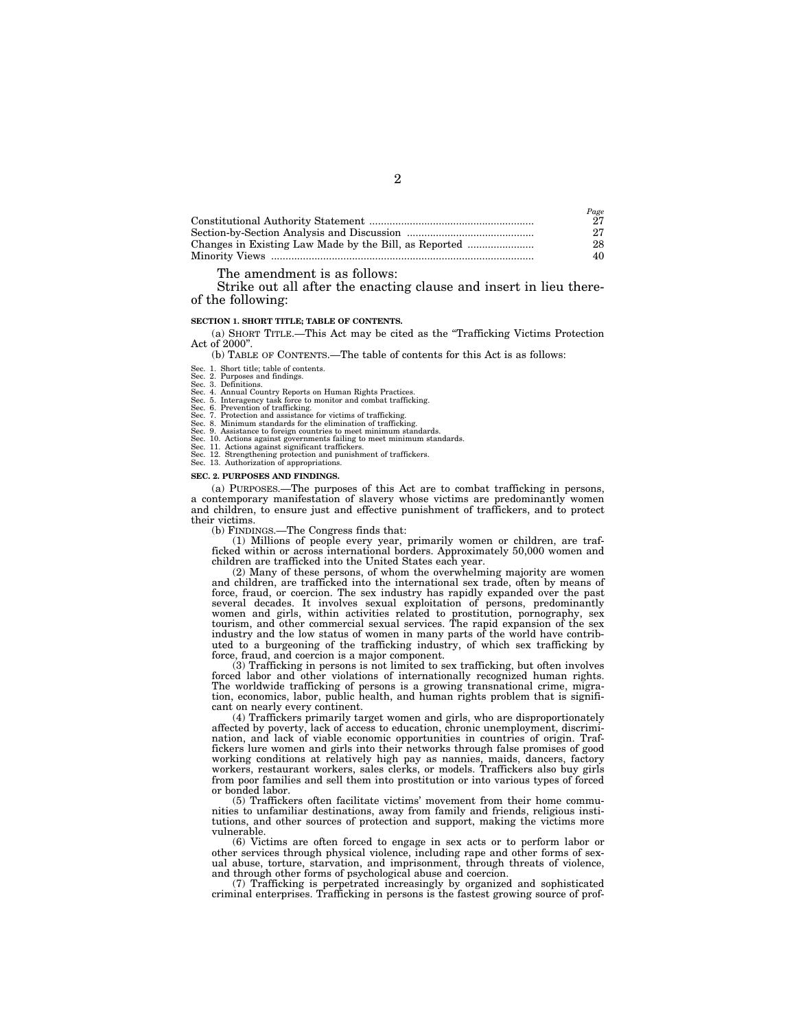| Page |
|------|
| 27   |
| 27   |
| 28   |
| 40   |

## The amendment is as follows:

Strike out all after the enacting clause and insert in lieu thereof the following:

#### **SECTION 1. SHORT TITLE; TABLE OF CONTENTS.**

(a) SHORT TITLE.—This Act may be cited as the ''Trafficking Victims Protection Act of 2000''.

(b) TABLE OF CONTENTS.—The table of contents for this Act is as follows:

Sec. 1. Short title; table of contents.

Sec. 2. Purposes and findings.<br>Sec. 3. Definitions.

Sec. 3. Definitions.<br>Sec. 4. Annual Country Reports on Human Rights Practices.<br>Sec. 5. Interagency task force to monitor and combat trafficking.<br>Sec. 6. Prevention of trafficking.<br>Sec. 7. Protection and assistance for vict

Sec. 12. Strengthening protection and punishment of traffickers. Sec. 13. Authorization of appropriations.

#### **SEC. 2. PURPOSES AND FINDINGS.**

(a) PURPOSES.—The purposes of this Act are to combat trafficking in persons, a contemporary manifestation of slavery whose victims are predominantly women and children, to ensure just and effective punishment of traffickers, and to protect their victims.

(b) FINDINGS.—The Congress finds that:

(1) Millions of people every year, primarily women or children, are trafficked within or across international borders. Approximately 50,000 women and children are trafficked into the United States each year.

(2) Many of these persons, of whom the overwhelming majority are women and children, are trafficked into the international sex trade, often by means of force, fraud, or coercion. The sex industry has rapidly expanded over the past several decades. It involves sexual exploitation of persons, predominantly women and girls, within activities related to prostitution, pornography, sex tourism, and other commercial sexual services. The rapid expansion of the sex industry and the low status of women in many parts of the world have contributed to a burgeoning of the trafficking industry, of which sex trafficking by force, fraud, and coercion is a major component.

(3) Trafficking in persons is not limited to sex trafficking, but often involves forced labor and other violations of internationally recognized human rights. The worldwide trafficking of persons is a growing transnational crime, migration, economics, labor, public health, and human rights problem that is significant on nearly every continent.

(4) Traffickers primarily target women and girls, who are disproportionately affected by poverty, lack of access to education, chronic unemployment, discrimination, and lack of viable economic opportunities in countries of origin. Traffickers lure women and girls into their networks through false promises of good working conditions at relatively high pay as nannies, maids, dancers, factory workers, restaurant workers, sales clerks, or models. Traffickers also buy girls from poor families and sell them into prostitution or into various types of forced or bonded labor.

(5) Traffickers often facilitate victims' movement from their home communities to unfamiliar destinations, away from family and friends, religious institutions, and other sources of protection and support, making the victims more vulnerable.

(6) Victims are often forced to engage in sex acts or to perform labor or other services through physical violence, including rape and other forms of sexual abuse, torture, starvation, and imprisonment, through threats of violence, and through other forms of psychological abuse and coercion.

(7) Trafficking is perpetrated increasingly by organized and sophisticated criminal enterprises. Trafficking in persons is the fastest growing source of prof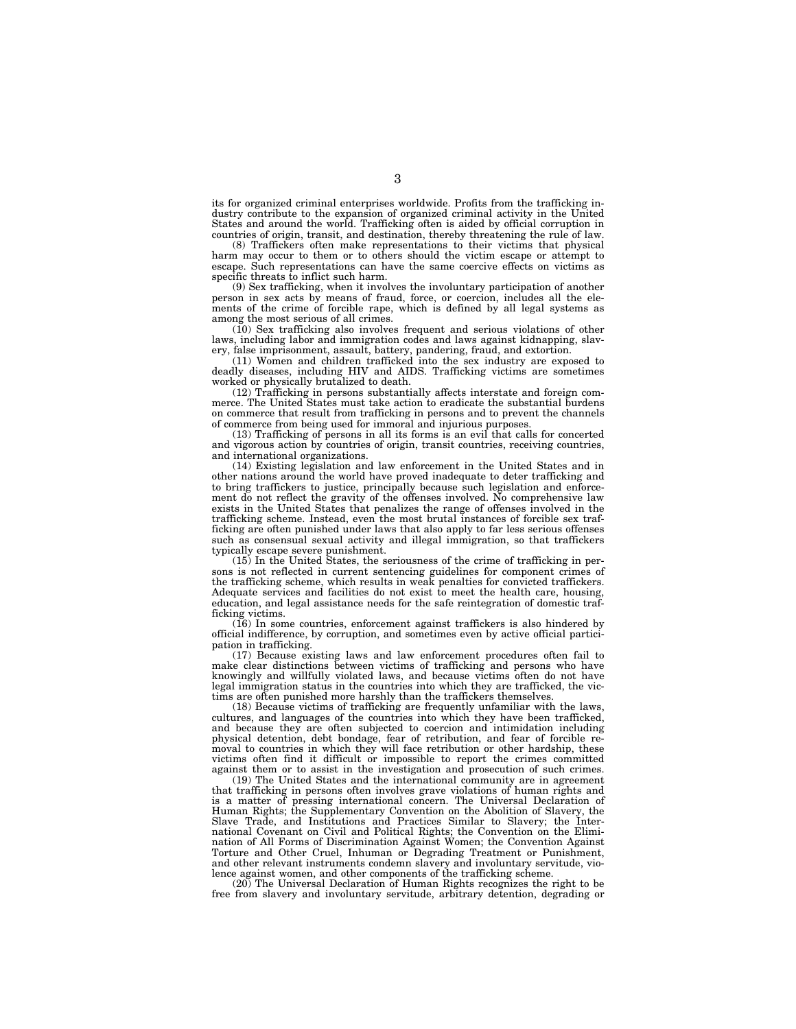its for organized criminal enterprises worldwide. Profits from the trafficking industry contribute to the expansion of organized criminal activity in the United States and around the world. Trafficking often is aided by official corruption in countries of origin, transit, and destination, thereby threatening the rule of law.

(8) Traffickers often make representations to their victims that physical harm may occur to them or to others should the victim escape or attempt to escape. Such representations can have the same coercive effects on victims as specific threats to inflict such harm.

(9) Sex trafficking, when it involves the involuntary participation of another person in sex acts by means of fraud, force, or coercion, includes all the elements of the crime of forcible rape, which is defined by all legal systems as among the most serious of all crimes.

(10) Sex trafficking also involves frequent and serious violations of other laws, including labor and immigration codes and laws against kidnapping, slavery, false imprisonment, assault, battery, pandering, fraud, and extortion.

(11) Women and children trafficked into the sex industry are exposed to deadly diseases, including HIV and AIDS. Trafficking victims are sometimes worked or physically brutalized to death.

(12) Trafficking in persons substantially affects interstate and foreign commerce. The United States must take action to eradicate the substantial burdens on commerce that result from trafficking in persons and to prevent the channels of commerce from being used for immoral and injurious purposes.

(13) Trafficking of persons in all its forms is an evil that calls for concerted and vigorous action by countries of origin, transit countries, receiving countries, and international organizations.

(14) Existing legislation and law enforcement in the United States and in other nations around the world have proved inadequate to deter trafficking and to bring traffickers to justice, principally because such legislation and enforcement do not reflect the gravity of the offenses involved. No comprehensive law exists in the United States that penalizes the range of offenses involved in the trafficking scheme. Instead, even the most brutal instances of forcible sex trafficking are often punished under laws that also apply to far less serious offenses such as consensual sexual activity and illegal immigration, so that traffickers typically escape severe punishment.

(15) In the United States, the seriousness of the crime of trafficking in persons is not reflected in current sentencing guidelines for component crimes of the trafficking scheme, which results in weak penalties for convicted traffickers. Adequate services and facilities do not exist to meet the health care, housing, education, and legal assistance needs for the safe reintegration of domestic trafficking victims.

(16) In some countries, enforcement against traffickers is also hindered by official indifference, by corruption, and sometimes even by active official participation in trafficking.

(17) Because existing laws and law enforcement procedures often fail to make clear distinctions between victims of trafficking and persons who have knowingly and willfully violated laws, and because victims often do not have legal immigration status in the countries into which they are trafficked, the victims are often punished more harshly than the traffickers themselves.

(18) Because victims of trafficking are frequently unfamiliar with the laws, cultures, and languages of the countries into which they have been trafficked, and because they are often subjected to coercion and intimidation including physical detention, debt bondage, fear of retribution, and fear of forcible removal to countries in which they will face retribution or other hardship, these victims often find it difficult or impossible to report the crimes committed against them or to assist in the investigation and prosecution of such crimes.

(19) The United States and the international community are in agreement that trafficking in persons often involves grave violations of human rights and is a matter of pressing international concern. The Universal Declaration of Human Rights; the Supplementary Convention on the Abolition of Slavery, the Slave Trade, and Institutions and Practices Similar to Slavery; the International Covenant on Civil and Political Rights; the Convention on the Elimination of All Forms of Discrimination Against Women; the Convention Against Torture and Other Cruel, Inhuman or Degrading Treatment or Punishment, and other relevant instruments condemn slavery and involuntary servitude, violence against women, and other components of the trafficking scheme.

(20) The Universal Declaration of Human Rights recognizes the right to be free from slavery and involuntary servitude, arbitrary detention, degrading or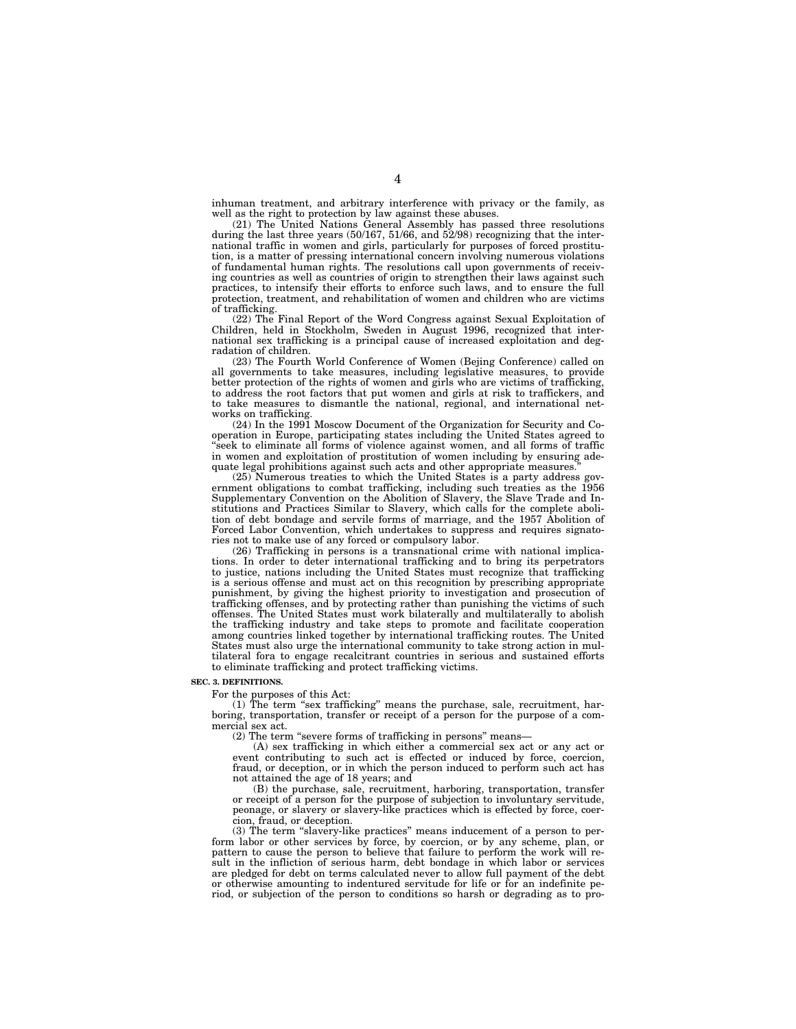inhuman treatment, and arbitrary interference with privacy or the family, as well as the right to protection by law against these abuses.

(21) The United Nations General Assembly has passed three resolutions during the last three years (50/167, 51/66, and 52/98) recognizing that the international traffic in women and girls, particularly for purposes of forced prostitution, is a matter of pressing international concern involving numerous violations of fundamental human rights. The resolutions call upon governments of receiving countries as well as countries of origin to strengthen their laws against such practices, to intensify their efforts to enforce such laws, and to ensure the full protection, treatment, and rehabilitation of women and children who are victims of trafficking.

(22) The Final Report of the Word Congress against Sexual Exploitation of Children, held in Stockholm, Sweden in August 1996, recognized that international sex trafficking is a principal cause of increased exploitation and degradation of children.

(23) The Fourth World Conference of Women (Bejing Conference) called on all governments to take measures, including legislative measures, to provide better protection of the rights of women and girls who are victims of trafficking, to address the root factors that put women and girls at risk to traffickers, and to take measures to dismantle the national, regional, and international networks on trafficking.

(24) In the 1991 Moscow Document of the Organization for Security and Cooperation in Europe, participating states including the United States agreed to 'seek to eliminate all forms of violence against women, and all forms of traffic in women and exploitation of prostitution of women including by ensuring adequate legal prohibitions against such acts and other appropriate measures.

(25) Numerous treaties to which the United States is a party address government obligations to combat trafficking, including such treaties as the 1956 Supplementary Convention on the Abolition of Slavery, the Slave Trade and Institutions and Practices Similar to Slavery, which calls for the complete abolition of debt bondage and servile forms of marriage, and the 1957 Abolition of Forced Labor Convention, which undertakes to suppress and requires signatories not to make use of any forced or compulsory labor.

(26) Trafficking in persons is a transnational crime with national implications. In order to deter international trafficking and to bring its perpetrators to justice, nations including the United States must recognize that trafficking is a serious offense and must act on this recognition by prescribing appropriate punishment, by giving the highest priority to investigation and prosecution of trafficking offenses, and by protecting rather than punishing the victims of such offenses. The United States must work bilaterally and multilaterally to abolish the trafficking industry and take steps to promote and facilitate cooperation among countries linked together by international trafficking routes. The United States must also urge the international community to take strong action in multilateral fora to engage recalcitrant countries in serious and sustained efforts to eliminate trafficking and protect trafficking victims.

#### **SEC. 3. DEFINITIONS.**

For the purposes of this Act:

(1) The term "sex trafficking" means the purchase, sale, recruitment, harboring, transportation, transfer or receipt of a person for the purpose of a commercial sex act.

(2) The term "severe forms of trafficking in persons" means-

(A) sex trafficking in which either a commercial sex act or any act or event contributing to such act is effected or induced by force, coercion, fraud, or deception, or in which the person induced to perform such act has not attained the age of 18 years; and

(B) the purchase, sale, recruitment, harboring, transportation, transfer or receipt of a person for the purpose of subjection to involuntary servitude, peonage, or slavery or slavery-like practices which is effected by force, coercion, fraud, or deception.

(3) The term ''slavery-like practices'' means inducement of a person to perform labor or other services by force, by coercion, or by any scheme, plan, or pattern to cause the person to believe that failure to perform the work will result in the infliction of serious harm, debt bondage in which labor or services are pledged for debt on terms calculated never to allow full payment of the debt or otherwise amounting to indentured servitude for life or for an indefinite period, or subjection of the person to conditions so harsh or degrading as to pro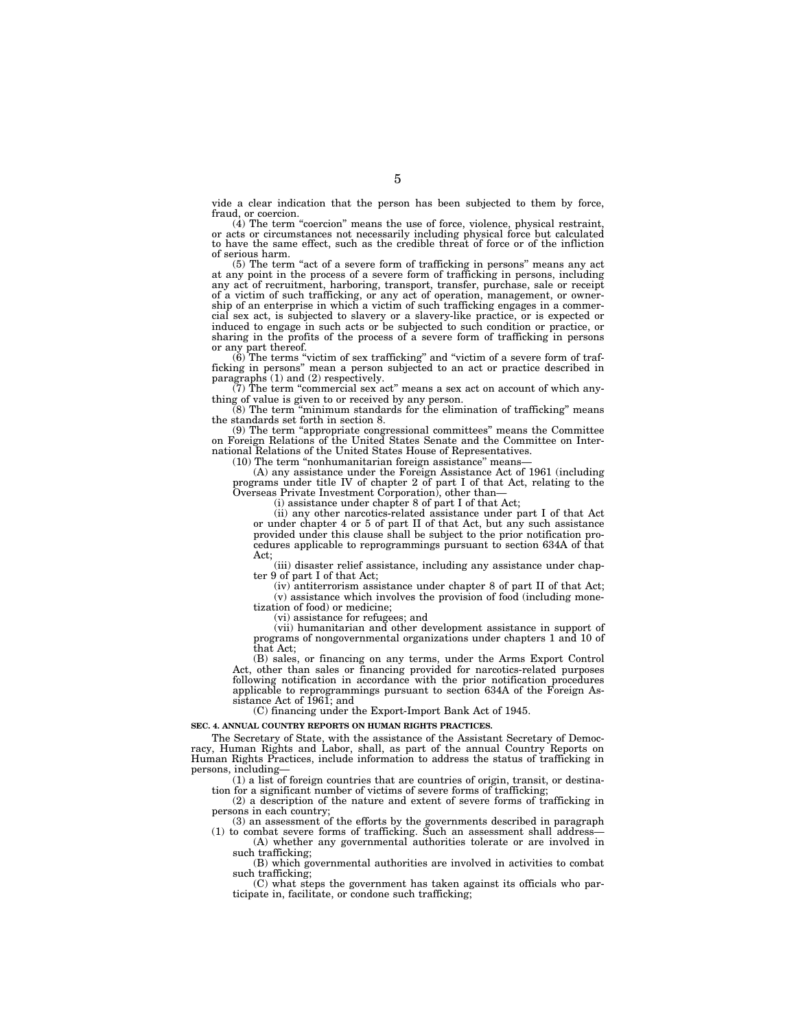vide a clear indication that the person has been subjected to them by force,

fraud, or coercion.<br>
(4) The term "coercion" means the use of force, violence, physical restraint, or acts or circumstances not necessarily including physical force but calculated to have the same effect, such as the credible threat of force or of the infliction of serious harm.

(5) The term ''act of a severe form of trafficking in persons'' means any act at any point in the process of a severe form of trafficking in persons, including any act of recruitment, harboring, transport, transfer, purchase, sale or receipt of a victim of such trafficking, or any act of operation, management, or owner-ship of an enterprise in which a victim of such trafficking engages in a commercial sex act, is subjected to slavery or a slavery-like practice, or is expected or induced to engage in such acts or be subjected to such condition or practice, or sharing in the profits of the process of a severe form of trafficking in persons or any part thereof.

 $(6)$  The terms "victim of sex trafficking" and "victim of a severe form of trafficking in persons'' mean a person subjected to an act or practice described in paragraphs (1) and (2) respectively.

(7) The term ''commercial sex act'' means a sex act on account of which anything of value is given to or received by any person.

(8) The term ''minimum standards for the elimination of trafficking'' means the standards set forth in section 8.

(9) The term ''appropriate congressional committees'' means the Committee on Foreign Relations of the United States Senate and the Committee on International Relations of the United States House of Representatives.

(10) The term "nonhumanitarian foreign assistance" means-

(A) any assistance under the Foreign Assistance Act of 1961 (including programs under title IV of chapter 2 of part I of that Act, relating to the Overseas Private Investment Corporation), other than—

(i) assistance under chapter 8 of part I of that Act;

(ii) any other narcotics-related assistance under part I of that Act or under chapter 4 or 5 of part II of that Act, but any such assistance provided under this clause shall be subject to the prior notification procedures applicable to reprogrammings pursuant to section 634A of that Act;

(iii) disaster relief assistance, including any assistance under chapter 9 of part I of that Act;

(iv) antiterrorism assistance under chapter 8 of part II of that Act; (v) assistance which involves the provision of food (including monetization of food) or medicine;

(vi) assistance for refugees; and

(vii) humanitarian and other development assistance in support of programs of nongovernmental organizations under chapters 1 and 10 of that Act;

(B) sales, or financing on any terms, under the Arms Export Control Act, other than sales or financing provided for narcotics-related purposes following notification in accordance with the prior notification procedures applicable to reprogrammings pursuant to section 634A of the Foreign Assistance Act of 1961; and

(C) financing under the Export-Import Bank Act of 1945.

#### **SEC. 4. ANNUAL COUNTRY REPORTS ON HUMAN RIGHTS PRACTICES.**

The Secretary of State, with the assistance of the Assistant Secretary of Democracy, Human Rights and Labor, shall, as part of the annual Country Reports on Human Rights Practices, include information to address the status of trafficking in persons, including—

(1) a list of foreign countries that are countries of origin, transit, or destination for a significant number of victims of severe forms of trafficking;

(2) a description of the nature and extent of severe forms of trafficking in persons in each country;

(3) an assessment of the efforts by the governments described in paragraph (1) to combat severe forms of trafficking. Such an assessment shall address—

(A) whether any governmental authorities tolerate or are involved in such trafficking;

(B) which governmental authorities are involved in activities to combat such trafficking;

(C) what steps the government has taken against its officials who participate in, facilitate, or condone such trafficking;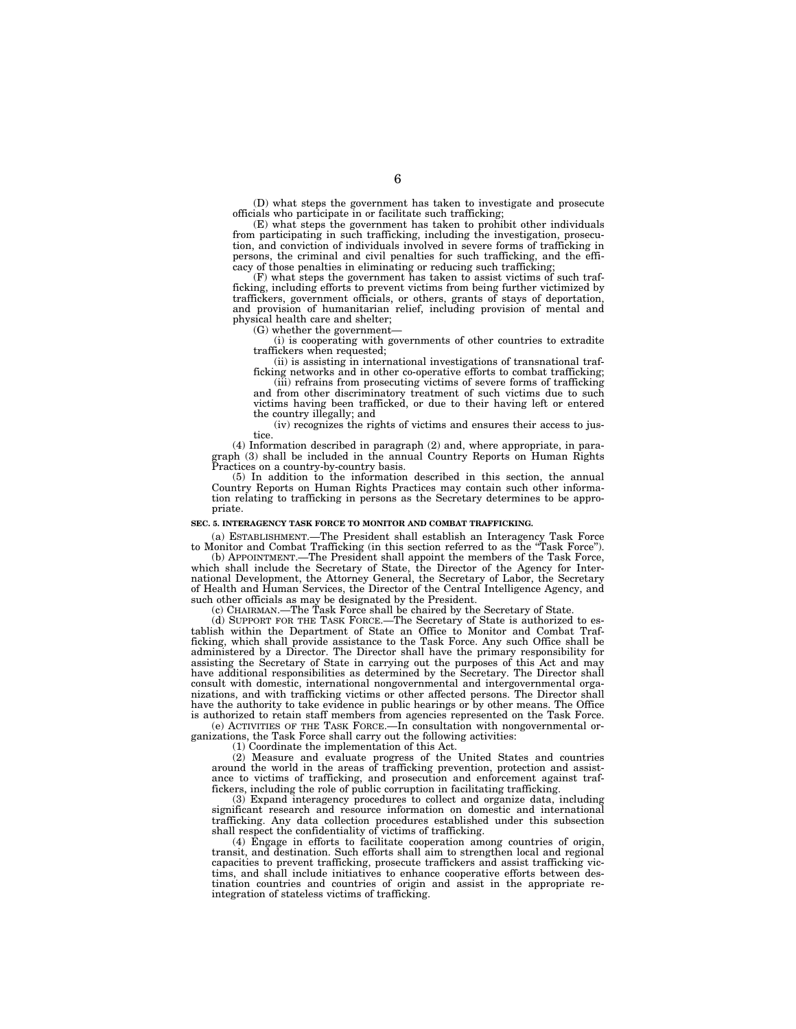(D) what steps the government has taken to investigate and prosecute officials who participate in or facilitate such trafficking;

(E) what steps the government has taken to prohibit other individuals from participating in such trafficking, including the investigation, prosecution, and conviction of individuals involved in severe forms of trafficking in persons, the criminal and civil penalties for such trafficking, and the efficacy of those penalties in eliminating or reducing such trafficking;

 $(F)$  what steps the government has taken to assist victims of such trafficking, including efforts to prevent victims from being further victimized by traffickers, government officials, or others, grants of stays of deportation, and provision of humanitarian relief, including provision of mental and physical health care and shelter;

 $(G)$  whether the government-

(i) is cooperating with governments of other countries to extradite traffickers when requested;

(ii) is assisting in international investigations of transnational trafficking networks and in other co-operative efforts to combat trafficking;

(iii) refrains from prosecuting victims of severe forms of trafficking and from other discriminatory treatment of such victims due to such victims having been trafficked, or due to their having left or entered the country illegally; and

(iv) recognizes the rights of victims and ensures their access to justice.

(4) Information described in paragraph (2) and, where appropriate, in paragraph (3) shall be included in the annual Country Reports on Human Rights Practices on a country-by-country basis.

(5) In addition to the information described in this section, the annual Country Reports on Human Rights Practices may contain such other information relating to trafficking in persons as the Secretary determines to be appropriate.

#### **SEC. 5. INTERAGENCY TASK FORCE TO MONITOR AND COMBAT TRAFFICKING.**

(a) ESTABLISHMENT.—The President shall establish an Interagency Task Force to Monitor and Combat Trafficking (in this section referred to as the ''Task Force'').

(b) APPOINTMENT.—The President shall appoint the members of the Task Force, which shall include the Secretary of State, the Director of the Agency for International Development, the Attorney General, the Secretary of Labor, the Secretary of Health and Human Services, the Director of the Central Intelligence Agency, and such other officials as may be designated by the President.

(c) CHAIRMAN.—The Task Force shall be chaired by the Secretary of State.

(d) SUPPORT FOR THE TASK FORCE.—The Secretary of State is authorized to establish within the Department of State an Office to Monitor and Combat Trafficking, which shall provide assistance to the Task Force. Any such Office shall be administered by a Director. The Director shall have the primary responsibility for assisting the Secretary of State in carrying out the purposes of this Act and may have additional responsibilities as determined by the Secretary. The Director shall consult with domestic, international nongovernmental and intergovernmental organizations, and with trafficking victims or other affected persons. The Director shall have the authority to take evidence in public hearings or by other means. The Office is authorized to retain staff members from agencies represented on the Task Force.

(e) ACTIVITIES OF THE TASK FORCE.—In consultation with nongovernmental organizations, the Task Force shall carry out the following activities:

(1) Coordinate the implementation of this Act.

(2) Measure and evaluate progress of the United States and countries around the world in the areas of trafficking prevention, protection and assistance to victims of trafficking, and prosecution and enforcement against traffickers, including the role of public corruption in facilitating trafficking.

(3) Expand interagency procedures to collect and organize data, including significant research and resource information on domestic and international trafficking. Any data collection procedures established under this subsection shall respect the confidentiality of victims of trafficking.

(4) Engage in efforts to facilitate cooperation among countries of origin, transit, and destination. Such efforts shall aim to strengthen local and regional capacities to prevent trafficking, prosecute traffickers and assist trafficking victims, and shall include initiatives to enhance cooperative efforts between destination countries and countries of origin and assist in the appropriate reintegration of stateless victims of trafficking.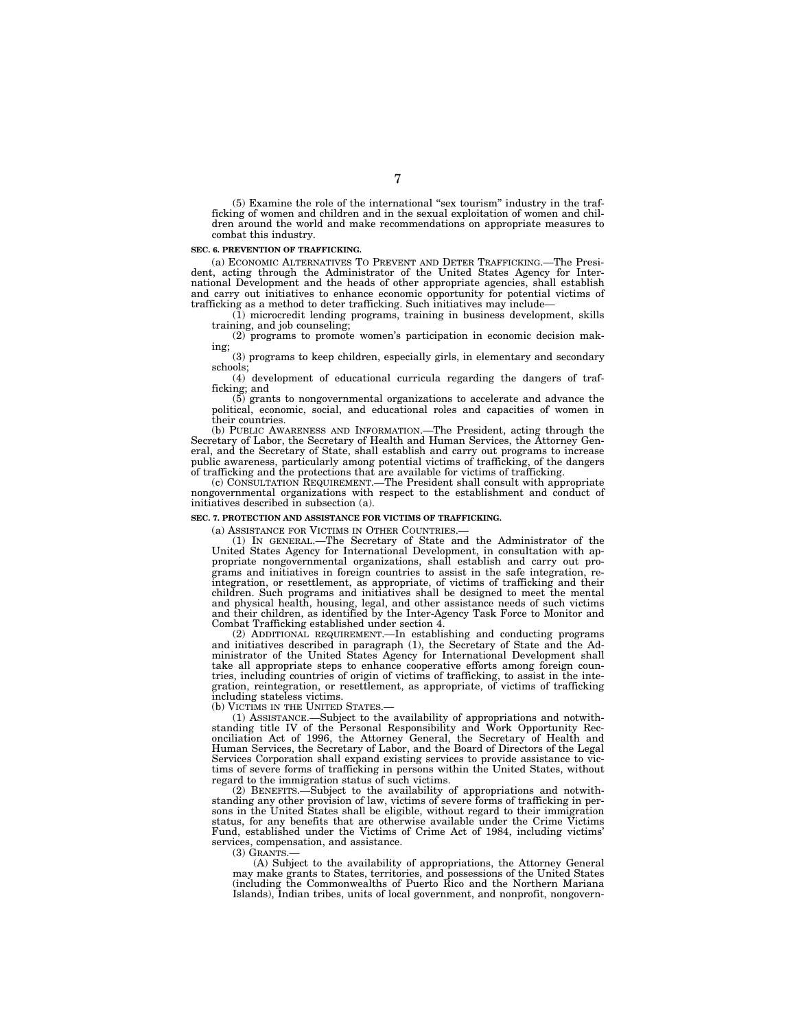(5) Examine the role of the international ''sex tourism'' industry in the trafficking of women and children and in the sexual exploitation of women and children around the world and make recommendations on appropriate measures to combat this industry.

#### **SEC. 6. PREVENTION OF TRAFFICKING.**

(a) ECONOMIC ALTERNATIVES TO PREVENT AND DETER TRAFFICKING.—The President, acting through the Administrator of the United States Agency for International Development and the heads of other appropriate agencies, shall establish and carry out initiatives to enhance economic opportunity for potential victims of trafficking as a method to deter trafficking. Such initiatives may include—

(1) microcredit lending programs, training in business development, skills training, and job counseling;

(2) programs to promote women's participation in economic decision making;

(3) programs to keep children, especially girls, in elementary and secondary schools;

(4) development of educational curricula regarding the dangers of trafficking; and

(5) grants to nongovernmental organizations to accelerate and advance the political, economic, social, and educational roles and capacities of women in their countries.

(b) PUBLIC AWARENESS AND INFORMATION.—The President, acting through the Secretary of Labor, the Secretary of Health and Human Services, the Attorney General, and the Secretary of State, shall establish and carry out programs to increase public awareness, particularly among potential victims of trafficking, of the dangers of trafficking and the protections that are available for victims of trafficking.

(c) CONSULTATION REQUIREMENT.—The President shall consult with appropriate nongovernmental organizations with respect to the establishment and conduct of initiatives described in subsection (a).

#### **SEC. 7. PROTECTION AND ASSISTANCE FOR VICTIMS OF TRAFFICKING.**

(a) ASSISTANCE FOR VICTIMS IN OTHER COUNTRIES.—

(1) IN GENERAL.—The Secretary of State and the Administrator of the United States Agency for International Development, in consultation with appropriate nongovernmental organizations, shall establish and carry out programs and initiatives in foreign countries to assist in the safe integration, reintegration, or resettlement, as appropriate, of victims of trafficking and their children. Such programs and initiatives shall be designed to meet the mental and physical health, housing, legal, and other assistance needs of such victims and their children, as identified by the Inter-Agency Task Force to Monitor and Combat Trafficking established under section 4.

(2) ADDITIONAL REQUIREMENT.—In establishing and conducting programs and initiatives described in paragraph (1), the Secretary of State and the Administrator of the United States Agency for International Development shall take all appropriate steps to enhance cooperative efforts among foreign countries, including countries of origin of victims of trafficking, to assist in the integration, reintegration, or resettlement, as appropriate, of victims of trafficking including stateless victims.

(b) VICTIMS IN THE UNITED STATES.—

(1) ASSISTANCE.—Subject to the availability of appropriations and notwithstanding title IV of the Personal Responsibility and Work Opportunity Reconciliation Act of 1996, the Attorney General, the Secretary of Health and Human Services, the Secretary of Labor, and the Board of Directors of the Legal Services Corporation shall expand existing services to provide assistance to victims of severe forms of trafficking in persons within the United States, without regard to the immigration status of such victims.

(2) BENEFITS.—Subject to the availability of appropriations and notwithstanding any other provision of law, victims of severe forms of trafficking in persons in the United States shall be eligible, without regard to their immigration status, for any benefits that are otherwise available under the Crime Victims Fund, established under the Victims of Crime Act of 1984, including victims' services, compensation, and assistance.

 $(3)$  GRANTS.

(A) Subject to the availability of appropriations, the Attorney General may make grants to States, territories, and possessions of the United States (including the Commonwealths of Puerto Rico and the Northern Mariana Islands), Indian tribes, units of local government, and nonprofit, nongovern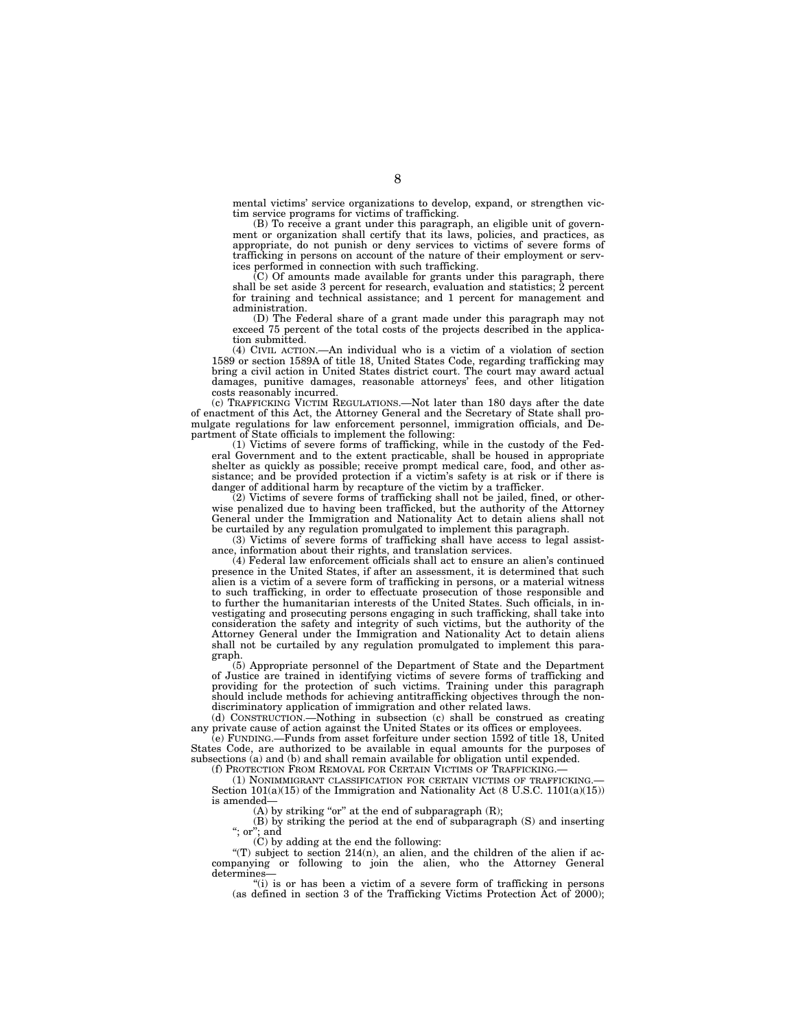mental victims' service organizations to develop, expand, or strengthen victim service programs for victims of trafficking.

(B) To receive a grant under this paragraph, an eligible unit of government or organization shall certify that its laws, policies, and practices, as appropriate, do not punish or deny services to victims of severe forms of trafficking in persons on account of the nature of their employment or services performed in connection with such trafficking.

(C) Of amounts made available for grants under this paragraph, there shall be set aside 3 percent for research, evaluation and statistics; 2 percent for training and technical assistance; and 1 percent for management and administration.

(D) The Federal share of a grant made under this paragraph may not exceed 75 percent of the total costs of the projects described in the application submitted.

(4) CIVIL ACTION.—An individual who is a victim of a violation of section 1589 or section 1589A of title 18, United States Code, regarding trafficking may bring a civil action in United States district court. The court may award actual damages, punitive damages, reasonable attorneys' fees, and other litigation costs reasonably incurred.

(c) TRAFFICKING VICTIM REGULATIONS.—Not later than 180 days after the date of enactment of this Act, the Attorney General and the Secretary of State shall promulgate regulations for law enforcement personnel, immigration officials, and Department of State officials to implement the following:

(1) Victims of severe forms of trafficking, while in the custody of the Federal Government and to the extent practicable, shall be housed in appropriate shelter as quickly as possible; receive prompt medical care, food, and other assistance; and be provided protection if a victim's safety is at risk or if there is danger of additional harm by recapture of the victim by a trafficker.

 $(2)$  Victims of severe forms of trafficking shall not be jailed, fined, or otherwise penalized due to having been trafficked, but the authority of the Attorney General under the Immigration and Nationality Act to detain aliens shall not be curtailed by any regulation promulgated to implement this paragraph.

(3) Victims of severe forms of trafficking shall have access to legal assistance, information about their rights, and translation services.

(4) Federal law enforcement officials shall act to ensure an alien's continued presence in the United States, if after an assessment, it is determined that such alien is a victim of a severe form of trafficking in persons, or a material witness to such trafficking, in order to effectuate prosecution of those responsible and to further the humanitarian interests of the United States. Such officials, in investigating and prosecuting persons engaging in such trafficking, shall take into consideration the safety and integrity of such victims, but the authority of the Attorney General under the Immigration and Nationality Act to detain aliens shall not be curtailed by any regulation promulgated to implement this paragraph.

(5) Appropriate personnel of the Department of State and the Department of Justice are trained in identifying victims of severe forms of trafficking and providing for the protection of such victims. Training under this paragraph should include methods for achieving antitrafficking objectives through the nondiscriminatory application of immigration and other related laws.

(d) CONSTRUCTION.—Nothing in subsection (c) shall be construed as creating any private cause of action against the United States or its offices or employees.

(e) FUNDING.—Funds from asset forfeiture under section 1592 of title 18, United States Code, are authorized to be available in equal amounts for the purposes of subsections (a) and (b) and shall remain available for obligation until expended.

(f) PROTECTION FROM REMOVAL FOR CERTAIN VICTIMS OF TRAFFICKING.

(1) NONIMMIGRANT CLASSIFICATION FOR CERTAIN VICTIMS OF TRAFFICKING.— Section 101(a)(15) of the Immigration and Nationality Act (8 U.S.C. 1101(a)(15)) is amended—

(A) by striking "or" at the end of subparagraph  $(R)$ ;

(B) by striking the period at the end of subparagraph (S) and inserting ''; or''; and

(C) by adding at the end the following:

"(T) subject to section  $214(n)$ , an alien, and the children of the alien if accompanying or following to join the alien, who the Attorney General determines

''(i) is or has been a victim of a severe form of trafficking in persons (as defined in section 3 of the Trafficking Victims Protection Act of 2000);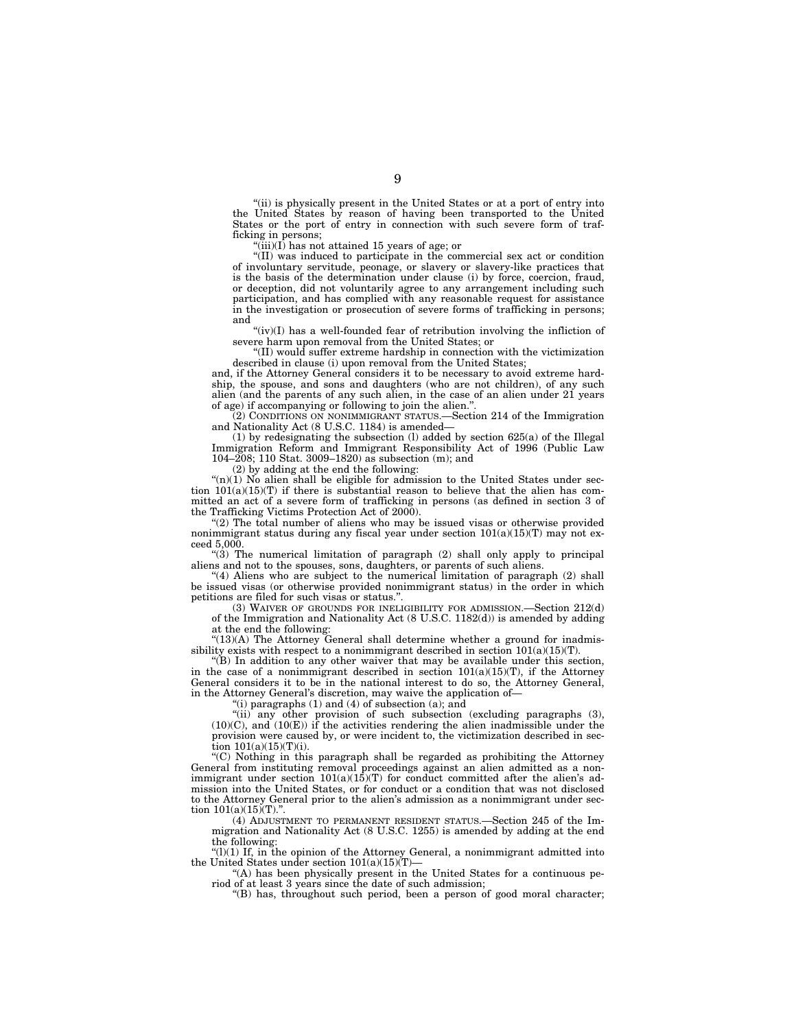''(ii) is physically present in the United States or at a port of entry into the United States by reason of having been transported to the United States or the port of entry in connection with such severe form of trafficking in persons;

 $\mathcal{F}(\text{iii})(I)$  has not attained 15 years of age; or

''(II) was induced to participate in the commercial sex act or condition of involuntary servitude, peonage, or slavery or slavery-like practices that is the basis of the determination under clause (i) by force, coercion, fraud, or deception, did not voluntarily agree to any arrangement including such participation, and has complied with any reasonable request for assistance in the investigation or prosecution of severe forms of trafficking in persons; and

''(iv)(I) has a well-founded fear of retribution involving the infliction of severe harm upon removal from the United States; or

''(II) would suffer extreme hardship in connection with the victimization described in clause (i) upon removal from the United States;

and, if the Attorney General considers it to be necessary to avoid extreme hardship, the spouse, and sons and daughters (who are not children), of any such alien (and the parents of any such alien, in the case of an alien under 21 years of age) if accompanying or following to join the alien.''.

(2) CONDITIONS ON NONIMMIGRANT STATUS.—Section 214 of the Immigration and Nationality Act (8 U.S.C. 1184) is amended—

(1) by redesignating the subsection (l) added by section 625(a) of the Illegal Immigration Reform and Immigrant Responsibility Act of 1996 (Public Law 104–208; 110 Stat. 3009–1820) as subsection (m); and

(2) by adding at the end the following:

" $(n)(1)$  No alien shall be eligible for admission to the United States under section  $101(a)(15)(T)$  if there is substantial reason to believe that the alien has committed an act of a severe form of trafficking in persons (as defined in section 3 of the Trafficking Victims Protection Act of 2000).

''(2) The total number of aliens who may be issued visas or otherwise provided nonimmigrant status during any fiscal year under section  $101(a)(15)(T)$  may not exceed 5,000.

 $(3)$  The numerical limitation of paragraph  $(2)$  shall only apply to principal aliens and not to the spouses, sons, daughters, or parents of such aliens.

"(4) Aliens who are subject to the numerical limitation of paragraph (2) shall be issued visas (or otherwise provided nonimmigrant status) in the order in which petitions are filed for such visas or status."

(3) WAIVER OF GROUNDS FOR INELIGIBILITY FOR ADMISSION.—Section 212(d) of the Immigration and Nationality Act (8 U.S.C. 1182(d)) is amended by adding at the end the following:

 $''(13)(A)$  The Attorney General shall determine whether a ground for inadmissibility exists with respect to a nonimmigrant described in section  $101(a)(15)(T)$ .

''(B) In addition to any other waiver that may be available under this section, in the case of a nonimmigrant described in section  $101(a)(15)(T)$ , if the Attorney General considers it to be in the national interest to do so, the Attorney General, in the Attorney General's discretion, may waive the application of—

"(i) paragraphs  $(1)$  and  $(4)$  of subsection  $(a)$ ; and

''(ii) any other provision of such subsection (excluding paragraphs (3),  $(10)(C)$ , and  $(10(E))$  if the activities rendering the alien inadmissible under the provision were caused by, or were incident to, the victimization described in section  $101(a)(15)(T)(i)$ .

''(C) Nothing in this paragraph shall be regarded as prohibiting the Attorney General from instituting removal proceedings against an alien admitted as a nonimmigrant under section  $101(a)(15)(T)$  for conduct committed after the alien's admission into the United States, or for conduct or a condition that was not disclosed to the Attorney General prior to the alien's admission as a nonimmigrant under section  $101(a)(15)(T)$ .".

(4) ADJUSTMENT TO PERMANENT RESIDENT STATUS.—Section 245 of the Immigration and Nationality Act (8 U.S.C. 1255) is amended by adding at the end the following:

" $(l)(1)$  If, in the opinion of the Attorney General, a nonimmigrant admitted into the United States under section  $101(a)(15)(T)$ 

''(A) has been physically present in the United States for a continuous period of at least 3 years since the date of such admission;

''(B) has, throughout such period, been a person of good moral character;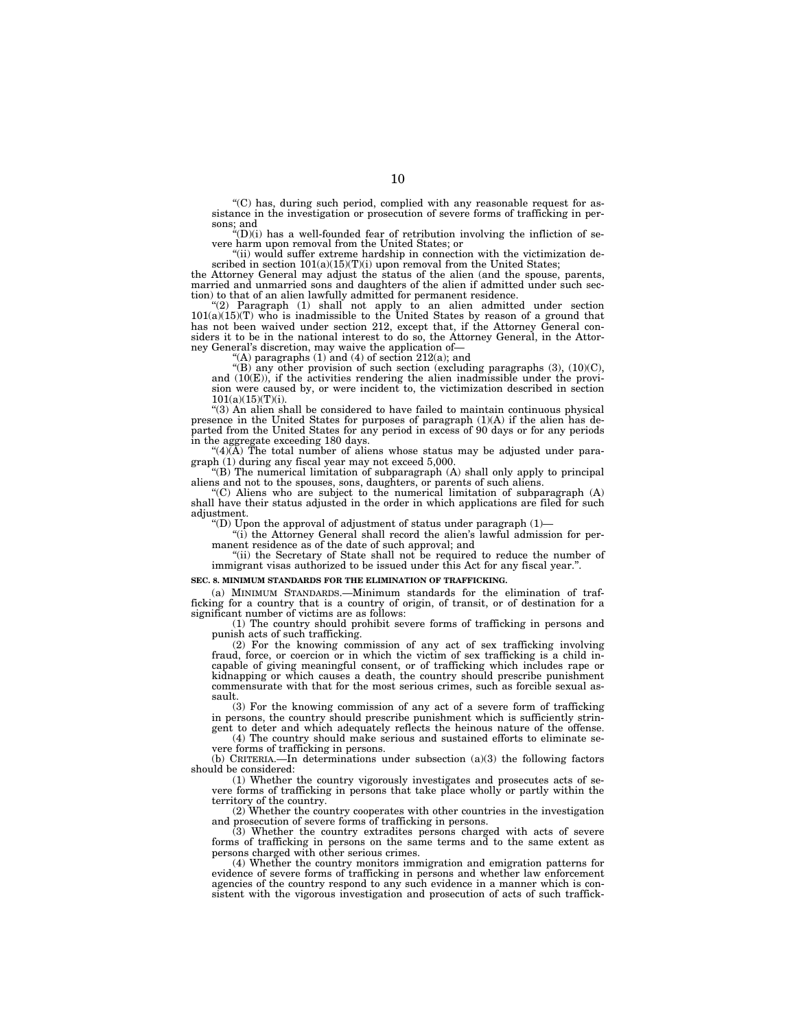''(C) has, during such period, complied with any reasonable request for assistance in the investigation or prosecution of severe forms of trafficking in per-

sons; and ''(D)(i) has a well-founded fear of retribution involving the infliction of se-vere harm upon removal from the United States; or

''(ii) would suffer extreme hardship in connection with the victimization described in section  $101(a)(15)(T)(i)$  upon removal from the United States;

the Attorney General may adjust the status of the alien (and the spouse, parents, married and unmarried sons and daughters of the alien if admitted under such section) to that of an alien lawfully admitted for permanent residence. ''(2) Paragraph (1) shall not apply to an alien admitted under section

 $101(a)(15)(T)$  who is inadmissible to the United States by reason of a ground that has not been waived under section 212, except that, if the Attorney General considers it to be in the national interest to do so, the Attorney General, in the Attorney General's discretion, may waive the application of—

"(A) paragraphs  $(1)$  and  $(4)$  of section  $212(a)$ ; and

"(B) any other provision of such section (excluding paragraphs  $(3)$ ,  $(10)(C)$ , and (10(E)), if the activities rendering the alien inadmissible under the provision were caused by, or were incident to, the victimization described in section  $101(a)(15)(T)(i)$ .

''(3) An alien shall be considered to have failed to maintain continuous physical presence in the United States for purposes of paragraph (1)(A) if the alien has departed from the United States for any period in excess of 90 days or for any periods in the aggregate exceeding 180 days.

 $^{(4)}$ (A) The total number of aliens whose status may be adjusted under paragraph (1) during any fiscal year may not exceed 5,000.

''(B) The numerical limitation of subparagraph (A) shall only apply to principal aliens and not to the spouses, sons, daughters, or parents of such aliens.

 $C^{\prime\prime}(C)$  Aliens who are subject to the numerical limitation of subparagraph  $(A)$ shall have their status adjusted in the order in which applications are filed for such adjustment.

"(D) Upon the approval of adjustment of status under paragraph  $(1)$ -

"(i) the Attorney General shall record the alien's lawful admission for permanent residence as of the date of such approval; and

"(ii) the Secretary of State shall not be required to reduce the number of immigrant visas authorized to be issued under this Act for any fiscal year.''.

#### **SEC. 8. MINIMUM STANDARDS FOR THE ELIMINATION OF TRAFFICKING.**

(a) MINIMUM STANDARDS.—Minimum standards for the elimination of trafficking for a country that is a country of origin, of transit, or of destination for a significant number of victims are as follows:

(1) The country should prohibit severe forms of trafficking in persons and punish acts of such trafficking.

(2) For the knowing commission of any act of sex trafficking involving fraud, force, or coercion or in which the victim of sex trafficking is a child incapable of giving meaningful consent, or of trafficking which includes rape or kidnapping or which causes a death, the country should prescribe punishment commensurate with that for the most serious crimes, such as forcible sexual assault.

(3) For the knowing commission of any act of a severe form of trafficking in persons, the country should prescribe punishment which is sufficiently strin-

gent to deter and which adequately reflects the heinous nature of the offense. (4) The country should make serious and sustained efforts to eliminate severe forms of trafficking in persons.

(b) CRITERIA.—In determinations under subsection (a)(3) the following factors should be considered:

(1) Whether the country vigorously investigates and prosecutes acts of severe forms of trafficking in persons that take place wholly or partly within the territory of the country.

(2) Whether the country cooperates with other countries in the investigation and prosecution of severe forms of trafficking in persons.

(3) Whether the country extradites persons charged with acts of severe forms of trafficking in persons on the same terms and to the same extent as persons charged with other serious crimes.

(4) Whether the country monitors immigration and emigration patterns for evidence of severe forms of trafficking in persons and whether law enforcement agencies of the country respond to any such evidence in a manner which is consistent with the vigorous investigation and prosecution of acts of such traffick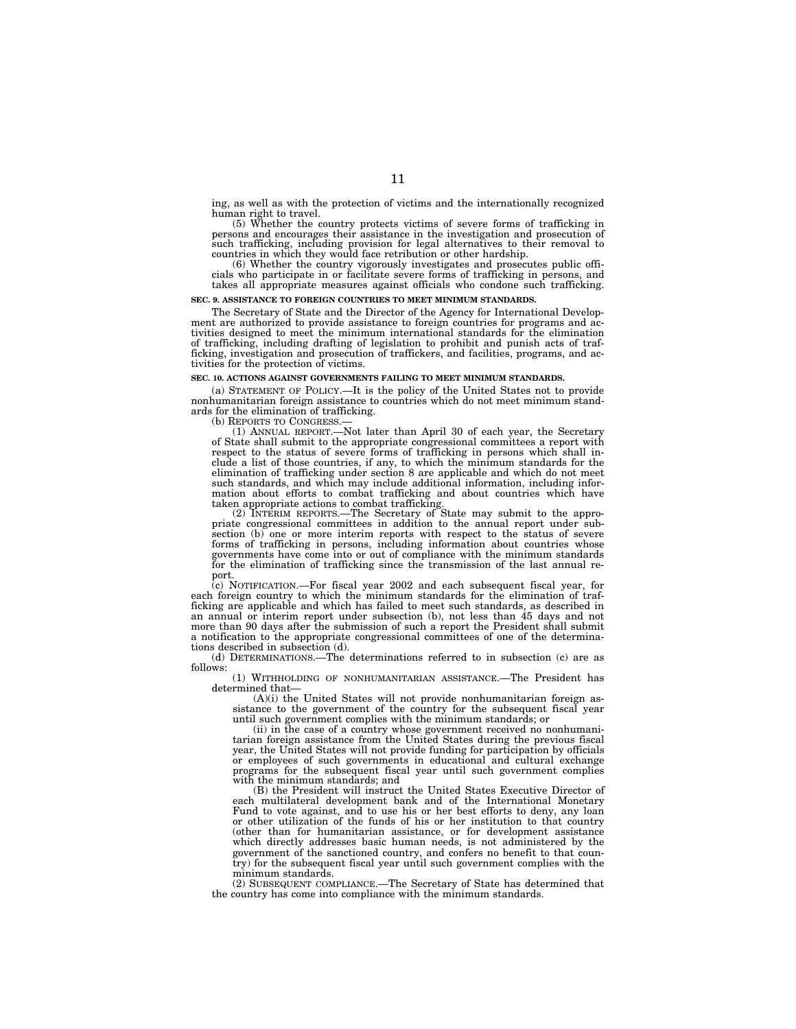ing, as well as with the protection of victims and the internationally recognized

human right to travel. (5) Whether the country protects victims of severe forms of trafficking in persons and encourages their assistance in the investigation and prosecution of such trafficking, including provision for legal alternatives to their removal to countries in which they would face retribution or other hardship.

(6) Whether the country vigorously investigates and prosecutes public officials who participate in or facilitate severe forms of trafficking in persons, and takes all appropriate measures against officials who condone such trafficking.

#### **SEC. 9. ASSISTANCE TO FOREIGN COUNTRIES TO MEET MINIMUM STANDARDS.**

The Secretary of State and the Director of the Agency for International Development are authorized to provide assistance to foreign countries for programs and activities designed to meet the minimum international standards for the elimination of trafficking, including drafting of legislation to prohibit and punish acts of trafficking, investigation and prosecution of traffickers, and facilities, programs, and activities for the protection of victims.

#### **SEC. 10. ACTIONS AGAINST GOVERNMENTS FAILING TO MEET MINIMUM STANDARDS.**

(a) STATEMENT OF POLICY.—It is the policy of the United States not to provide nonhumanitarian foreign assistance to countries which do not meet minimum standards for the elimination of trafficking.<br>(b) REPORTS TO CONGRESS.—

(1) ANNUAL REPORT.—Not later than April 30 of each year, the Secretary of State shall submit to the appropriate congressional committees a report with respect to the status of severe forms of trafficking in persons which shall include a list of those countries, if any, to which the minimum standards for the elimination of trafficking under section 8 are applicable and which do not meet such standards, and which may include additional information, including information about efforts to combat trafficking and about countries which have taken appropriate actions to combat trafficking.

(2) INTERIM REPORTS.—The Secretary of State may submit to the appropriate congressional committees in addition to the annual report under subsection (b) one or more interim reports with respect to the status of severe forms of trafficking in persons, including information about countries whose governments have come into or out of compliance with the minimum standards for the elimination of trafficking since the transmission of the last annual report.

(c) NOTIFICATION.—For fiscal year 2002 and each subsequent fiscal year, for each foreign country to which the minimum standards for the elimination of trafficking are applicable and which has failed to meet such standards, as described in an annual or interim report under subsection (b), not less than 45 days and not more than 90 days after the submission of such a report the President shall submit a notification to the appropriate congressional committees of one of the determinations described in subsection (d).

(d) DETERMINATIONS.—The determinations referred to in subsection (c) are as follows:

(1) WITHHOLDING OF NONHUMANITARIAN ASSISTANCE.—The President has determined that—

(A)(i) the United States will not provide nonhumanitarian foreign assistance to the government of the country for the subsequent fiscal year until such government complies with the minimum standards; or

(ii) in the case of a country whose government received no nonhumanitarian foreign assistance from the United States during the previous fiscal year, the United States will not provide funding for participation by officials or employees of such governments in educational and cultural exchange programs for the subsequent fiscal year until such government complies with the minimum standards; and

(B) the President will instruct the United States Executive Director of each multilateral development bank and of the International Monetary Fund to vote against, and to use his or her best efforts to deny, any loan or other utilization of the funds of his or her institution to that country (other than for humanitarian assistance, or for development assistance which directly addresses basic human needs, is not administered by the government of the sanctioned country, and confers no benefit to that country) for the subsequent fiscal year until such government complies with the minimum standards.

(2) SUBSEQUENT COMPLIANCE.—The Secretary of State has determined that the country has come into compliance with the minimum standards.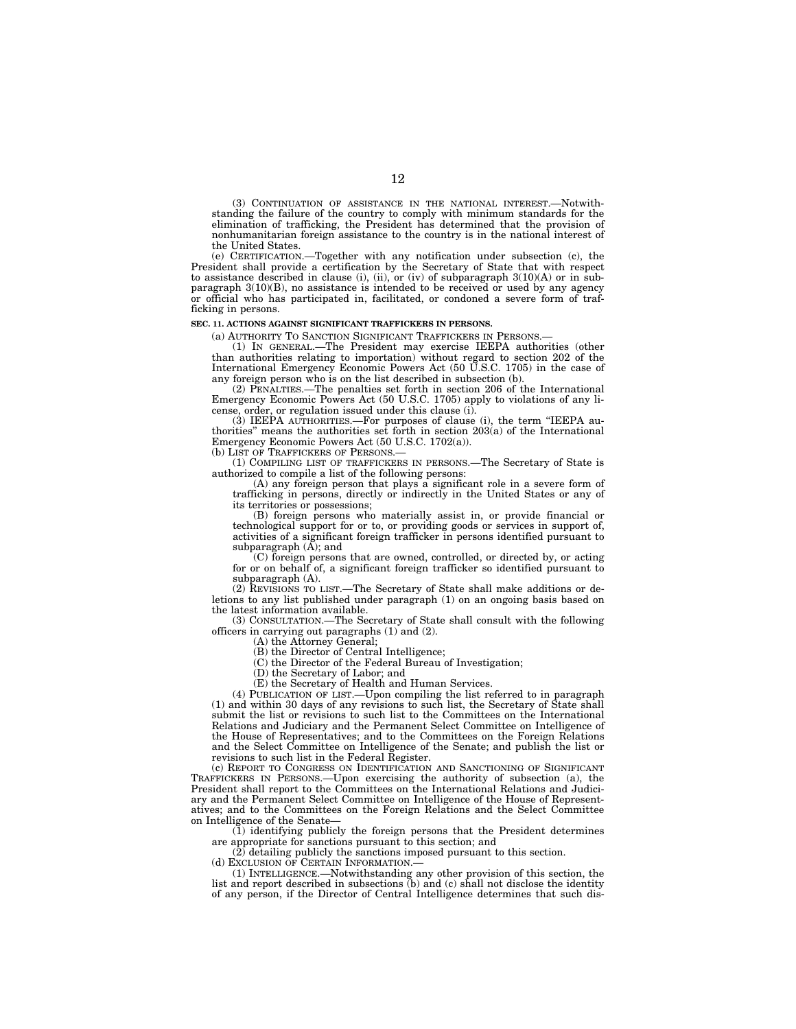(3) CONTINUATION OF ASSISTANCE IN THE NATIONAL INTEREST.—Notwithstanding the failure of the country to comply with minimum standards for the elimination of trafficking, the President has determined that the provision of nonhumanitarian foreign assistance to the country is in the national interest of the United States.

(e) CERTIFICATION.—Together with any notification under subsection (c), the President shall provide a certification by the Secretary of State that with respect to assistance described in clause (i), (ii), or (iv) of subparagraph  $3(10)(A)$  or in subparagraph 3(10)(B), no assistance is intended to be received or used by any agency or official who has participated in, facilitated, or condoned a severe form of trafficking in persons.

#### **SEC. 11. ACTIONS AGAINST SIGNIFICANT TRAFFICKERS IN PERSONS.**

(a) AUTHORITY TO SANCTION SIGNIFICANT TRAFFICKERS IN PERSONS.—

(1) IN GENERAL.—The President may exercise IEEPA authorities (other than authorities relating to importation) without regard to section 202 of the International Emergency Economic Powers Act (50 U.S.C. 1705) in the case of any foreign person who is on the list described in subsection (b).

(2) PENALTIES.—The penalties set forth in section 206 of the International Emergency Economic Powers Act (50 U.S.C. 1705) apply to violations of any license, order, or regulation issued under this clause (i).

(3) IEEPA AUTHORITIES.—For purposes of clause (i), the term ''IEEPA authorities'' means the authorities set forth in section 203(a) of the International Emergency Economic Powers Act (50 U.S.C. 1702(a)).

(b) LIST OF TRAFFICKERS OF PERSONS.—

(1) COMPILING LIST OF TRAFFICKERS IN PERSONS.—The Secretary of State is authorized to compile a list of the following persons:

 $(A)$  any foreign person that plays a significant role in a severe form of trafficking in persons, directly or indirectly in the United States or any of its territories or possessions;

(B) foreign persons who materially assist in, or provide financial or technological support for or to, or providing goods or services in support of, activities of a significant foreign trafficker in persons identified pursuant to subparagraph  $(A)$ ; and

(C) foreign persons that are owned, controlled, or directed by, or acting for or on behalf of, a significant foreign trafficker so identified pursuant to subparagraph (A).

(2) REVISIONS TO LIST.—The Secretary of State shall make additions or deletions to any list published under paragraph (1) on an ongoing basis based on the latest information available.

(3) CONSULTATION.—The Secretary of State shall consult with the following officers in carrying out paragraphs (1) and (2).

(A) the Attorney General;

(B) the Director of Central Intelligence;

(C) the Director of the Federal Bureau of Investigation;

(D) the Secretary of Labor; and

(E) the Secretary of Health and Human Services.

(4) PUBLICATION OF LIST.—Upon compiling the list referred to in paragraph (1) and within 30 days of any revisions to such list, the Secretary of State shall submit the list or revisions to such list to the Committees on the International Relations and Judiciary and the Permanent Select Committee on Intelligence of the House of Representatives; and to the Committees on the Foreign Relations and the Select Committee on Intelligence of the Senate; and publish the list or revisions to such list in the Federal Register.

(c) REPORT TO CONGRESS ON IDENTIFICATION AND SANCTIONING OF SIGNIFICANT TRAFFICKERS IN PERSONS.—Upon exercising the authority of subsection (a), the President shall report to the Committees on the International Relations and Judiciary and the Permanent Select Committee on Intelligence of the House of Representatives; and to the Committees on the Foreign Relations and the Select Committee on Intelligence of the Senate-

(1) identifying publicly the foreign persons that the President determines are appropriate for sanctions pursuant to this section; and

(2) detailing publicly the sanctions imposed pursuant to this section.

(d) EXCLUSION OF CERTAIN INFORMATION.

(1) INTELLIGENCE.—Notwithstanding any other provision of this section, the list and report described in subsections (b) and (c) shall not disclose the identity of any person, if the Director of Central Intelligence determines that such dis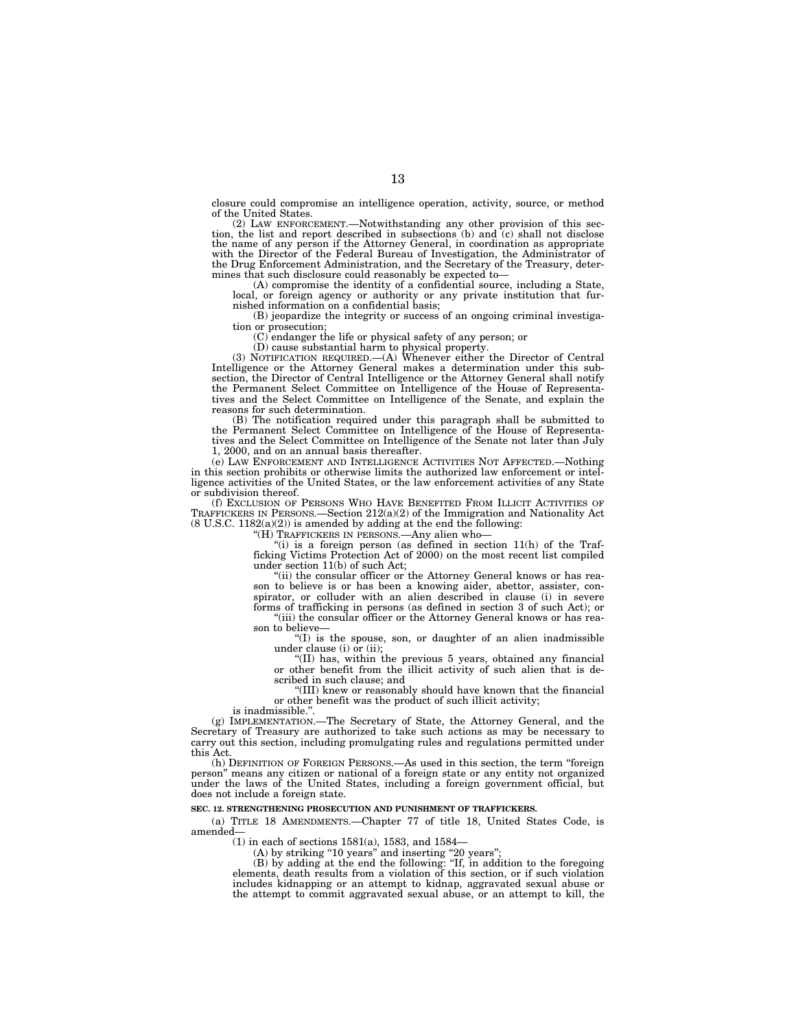closure could compromise an intelligence operation, activity, source, or method of the United States.

(2) LAW ENFORCEMENT.—Notwithstanding any other provision of this section, the list and report described in subsections (b) and  $(c)$  shall not disclose the name of any person if the Attorney General, in coordination as appropriate with the Director of the Federal Bureau of Investigation, the Administrator of the Drug Enforcement Administration, and the Secretary of the Treasury, determines that such disclosure could reasonably be expected to—

(A) compromise the identity of a confidential source, including a State, local, or foreign agency or authority or any private institution that furnished information on a confidential basis;

(B) jeopardize the integrity or success of an ongoing criminal investigation or prosecution;

(C) endanger the life or physical safety of any person; or

(D) cause substantial harm to physical property.

(3) NOTIFICATION REQUIRED.—(A) Whenever either the Director of Central Intelligence or the Attorney General makes a determination under this subsection, the Director of Central Intelligence or the Attorney General shall notify the Permanent Select Committee on Intelligence of the House of Representatives and the Select Committee on Intelligence of the Senate, and explain the reasons for such determination.

(B) The notification required under this paragraph shall be submitted to the Permanent Select Committee on Intelligence of the House of Representatives and the Select Committee on Intelligence of the Senate not later than July 1, 2000, and on an annual basis thereafter.

(e) LAW ENFORCEMENT AND INTELLIGENCE ACTIVITIES NOT AFFECTED.—Nothing in this section prohibits or otherwise limits the authorized law enforcement or intelligence activities of the United States, or the law enforcement activities of any State or subdivision thereof.

(f) EXCLUSION OF PERSONS WHO HAVE BENEFITED FROM ILLICIT ACTIVITIES OF TRAFFICKERS IN PERSONS.—Section 212(a)(2) of the Immigration and Nationality Act  $(8 \text{ U.S.C. } 1182(a)(2))$  is amended by adding at the end the following:

"(H) TRAFFICKERS IN PERSONS.—Any alien who-

"(i) is a foreign person (as defined in section  $11(h)$  of the Trafficking Victims Protection Act of 2000) on the most recent list compiled under section 11(b) of such Act;

"(ii) the consular officer or the Attorney General knows or has reason to believe is or has been a knowing aider, abettor, assister, conspirator, or colluder with an alien described in clause (i) in severe forms of trafficking in persons (as defined in section 3 of such Act); or

 $\tilde{f}$ (iii) the consular officer or the Attorney General knows or has reason to believe—

''(I) is the spouse, son, or daughter of an alien inadmissible under clause (i) or (ii);

''(II) has, within the previous 5 years, obtained any financial or other benefit from the illicit activity of such alien that is described in such clause; and

''(III) knew or reasonably should have known that the financial or other benefit was the product of such illicit activity;

is inadmissible."

(g) IMPLEMENTATION.—The Secretary of State, the Attorney General, and the Secretary of Treasury are authorized to take such actions as may be necessary to carry out this section, including promulgating rules and regulations permitted under this Act.

(h) DEFINITION OF FOREIGN PERSONS.—As used in this section, the term ''foreign person'' means any citizen or national of a foreign state or any entity not organized under the laws of the United States, including a foreign government official, but does not include a foreign state.

#### **SEC. 12. STRENGTHENING PROSECUTION AND PUNISHMENT OF TRAFFICKERS.**

(a) TITLE 18 AMENDMENTS.—Chapter 77 of title 18, United States Code, is amended—

(1) in each of sections 1581(a), 1583, and 1584—

(A) by striking ''10 years'' and inserting ''20 years''; (B) by adding at the end the following: ''If, in addition to the foregoing elements, death results from a violation of this section, or if such violation includes kidnapping or an attempt to kidnap, aggravated sexual abuse or the attempt to commit aggravated sexual abuse, or an attempt to kill, the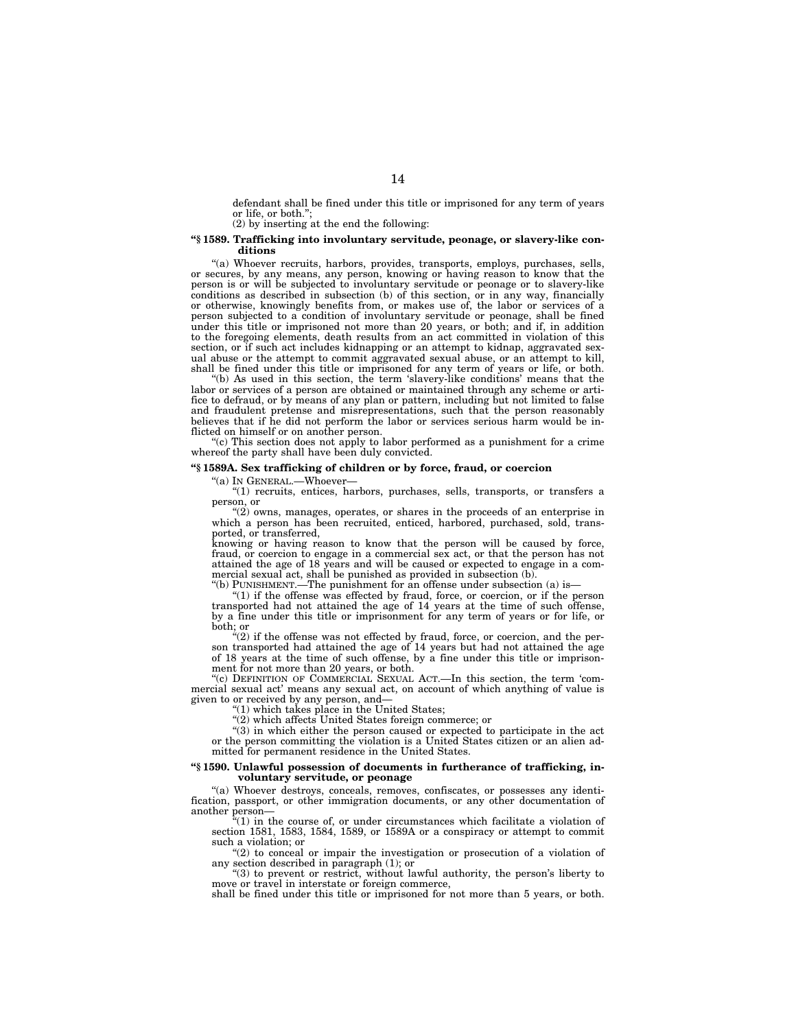defendant shall be fined under this title or imprisoned for any term of years or life, or both.'';

(2) by inserting at the end the following:

#### **''§ 1589. Trafficking into involuntary servitude, peonage, or slavery-like conditions**

"(a) Whoever recruits, harbors, provides, transports, employs, purchases, sells, or secures, by any means, any person, knowing or having reason to know that the person is or will be subjected to involuntary servitude or peonage or to slavery-like conditions as described in subsection (b) of this section, or in any way, financially or otherwise, knowingly benefits from, or makes use of, the labor or services of a person subjected to a condition of involuntary servitude or peonage, shall be fined under this title or imprisoned not more than 20 years, or both; and if, in addition to the foregoing elements, death results from an act committed in violation of this section, or if such act includes kidnapping or an attempt to kidnap, aggravated sexual abuse or the attempt to commit aggravated sexual abuse, or an attempt to kill, shall be fined under this title or imprisoned for any term of years or life, or both.

''(b) As used in this section, the term 'slavery-like conditions' means that the labor or services of a person are obtained or maintained through any scheme or artifice to defraud, or by means of any plan or pattern, including but not limited to false and fraudulent pretense and misrepresentations, such that the person reasonably believes that if he did not perform the labor or services serious harm would be inflicted on himself or on another person.

''(c) This section does not apply to labor performed as a punishment for a crime whereof the party shall have been duly convicted.

#### **''§ 1589A. Sex trafficking of children or by force, fraud, or coercion**

''(a) IN GENERAL.—Whoever—

''(1) recruits, entices, harbors, purchases, sells, transports, or transfers a person, or

"(2) owns, manages, operates, or shares in the proceeds of an enterprise in which a person has been recruited, enticed, harbored, purchased, sold, transported, or transferred,

knowing or having reason to know that the person will be caused by force, fraud, or coercion to engage in a commercial sex act, or that the person has not attained the age of 18 years and will be caused or expected to engage in a commercial sexual act, shall be punished as provided in subsection (b).

''(b) PUNISHMENT.—The punishment for an offense under subsection (a) is—

''(1) if the offense was effected by fraud, force, or coercion, or if the person transported had not attained the age of 14 years at the time of such offense, by a fine under this title or imprisonment for any term of years or for life, or both; or

" $(2)$  if the offense was not effected by fraud, force, or coercion, and the person transported had attained the age of 14 years but had not attained the age of 18 years at the time of such offense, by a fine under this title or imprisonment for not more than 20 years, or both.

"(c) DEFINITION OF COMMERCIAL SEXUAL ACT.—In this section, the term 'commercial sexual act' means any sexual act, on account of which anything of value is given to or received by any person, and—

" $(1)$  which takes place in the United States;

"(2) which affects United States foreign commerce; or

 $(3)$  in which either the person caused or expected to participate in the act or the person committing the violation is a United States citizen or an alien admitted for permanent residence in the United States.

#### **''§ 1590. Unlawful possession of documents in furtherance of trafficking, involuntary servitude, or peonage**

''(a) Whoever destroys, conceals, removes, confiscates, or possesses any identification, passport, or other immigration documents, or any other documentation of another person—

''(1) in the course of, or under circumstances which facilitate a violation of section 1581, 1583, 1584, 1589, or 1589A or a conspiracy or attempt to commit such a violation; or

" $(2)$  to conceal or impair the investigation or prosecution of a violation of any section described in paragraph (1); or

"(3) to prevent or restrict, without lawful authority, the person's liberty to move or travel in interstate or foreign commerce,

shall be fined under this title or imprisoned for not more than 5 years, or both.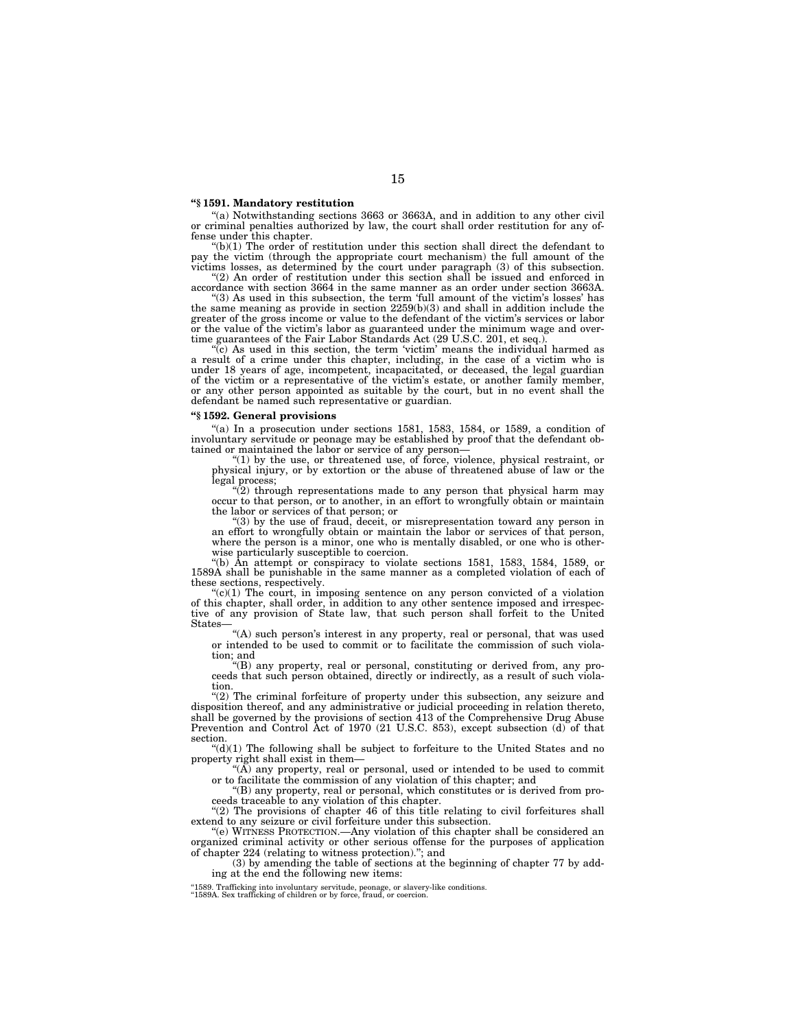#### **''§ 1591. Mandatory restitution**

"(a) Notwithstanding sections 3663 or 3663A, and in addition to any other civil or criminal penalties authorized by law, the court shall order restitution for any offense under this chapter.

 $f(b)(1)$  The order of restitution under this section shall direct the defendant to pay the victim (through the appropriate court mechanism) the full amount of the victims losses, as determined by the court under paragraph (3) of this subsection.

''(2) An order of restitution under this section shall be issued and enforced in accordance with section 3664 in the same manner as an order under section 3663A. ''(3) As used in this subsection, the term 'full amount of the victim's losses' has

the same meaning as provide in section 2259(b)(3) and shall in addition include the greater of the gross income or value to the defendant of the victim's services or labor or the value of the victim's labor as guaranteed under the minimum wage and overtime guarantees of the Fair Labor Standards Act (29 U.S.C. 201, et seq.).

 $\overline{c}$ ) As used in this section, the term 'victim' means the individual harmed as a result of a crime under this chapter, including, in the case of a victim who is under 18 years of age, incompetent, incapacitated, or deceased, the legal guardian of the victim or a representative of the victim's estate, or another family member, or any other person appointed as suitable by the court, but in no event shall the defendant be named such representative or guardian.

# **''§ 1592. General provisions**

 $(4)$  In a prosecution under sections 1581, 1583, 1584, or 1589, a condition of involuntary servitude or peonage may be established by proof that the defendant obtained or maintained the labor or service of any person— ''(1) by the use, or threatened use, of force, violence, physical restraint, or

physical injury, or by extortion or the abuse of threatened abuse of law or the

legal process; ''(2) through representations made to any person that physical harm may occur to that person, or to another, in an effort to wrongfully obtain or maintain the labor or services of that person; or

''(3) by the use of fraud, deceit, or misrepresentation toward any person in an effort to wrongfully obtain or maintain the labor or services of that person, where the person is a minor, one who is mentally disabled, or one who is otherwise particularly susceptible to coercion.

 $(6)$  Ån attempt or conspiracy to violate sections 1581, 1583, 1584, 1589, or 1589A shall be punishable in the same manner as a completed violation of each of these sections, respectively.

 $C'(c)(1)$  The court, in imposing sentence on any person convicted of a violation of this chapter, shall order, in addition to any other sentence imposed and irrespec-tive of any provision of State law, that such person shall forfeit to the United **States** 

"(A) such person's interest in any property, real or personal, that was used or intended to be used to commit or to facilitate the commission of such violation; and

''(B) any property, real or personal, constituting or derived from, any proceeds that such person obtained, directly or indirectly, as a result of such violation.

"(2) The criminal forfeiture of property under this subsection, any seizure and disposition thereof, and any administrative or judicial proceeding in relation thereto, shall be governed by the provisions of section 413 of the Comprehensive Drug Abuse Prevention and Control Act of 1970 (21 U.S.C. 853), except subsection (d) of that section.

 $'(d)(1)$  The following shall be subject to forfeiture to the United States and no property right shall exist in them—

" $(A)$  any property, real or personal, used or intended to be used to commit

or to facilitate the commission of any violation of this chapter; and ''(B) any property, real or personal, which constitutes or is derived from pro-

ceeds traceable to any violation of this chapter.

"(2) The provisions of chapter 46 of this title relating to civil forfeitures shall extend to any seizure or civil forfeiture under this subsection.

''(e) WITNESS PROTECTION.—Any violation of this chapter shall be considered an organized criminal activity or other serious offense for the purposes of application of chapter 224 (relating to witness protection).''; and

(3) by amending the table of sections at the beginning of chapter 77 by adding at the end the following new items:

''1589. Trafficking into involuntary servitude, peonage, or slavery-like conditions. ''1589A. Sex trafficking of children or by force, fraud, or coercion.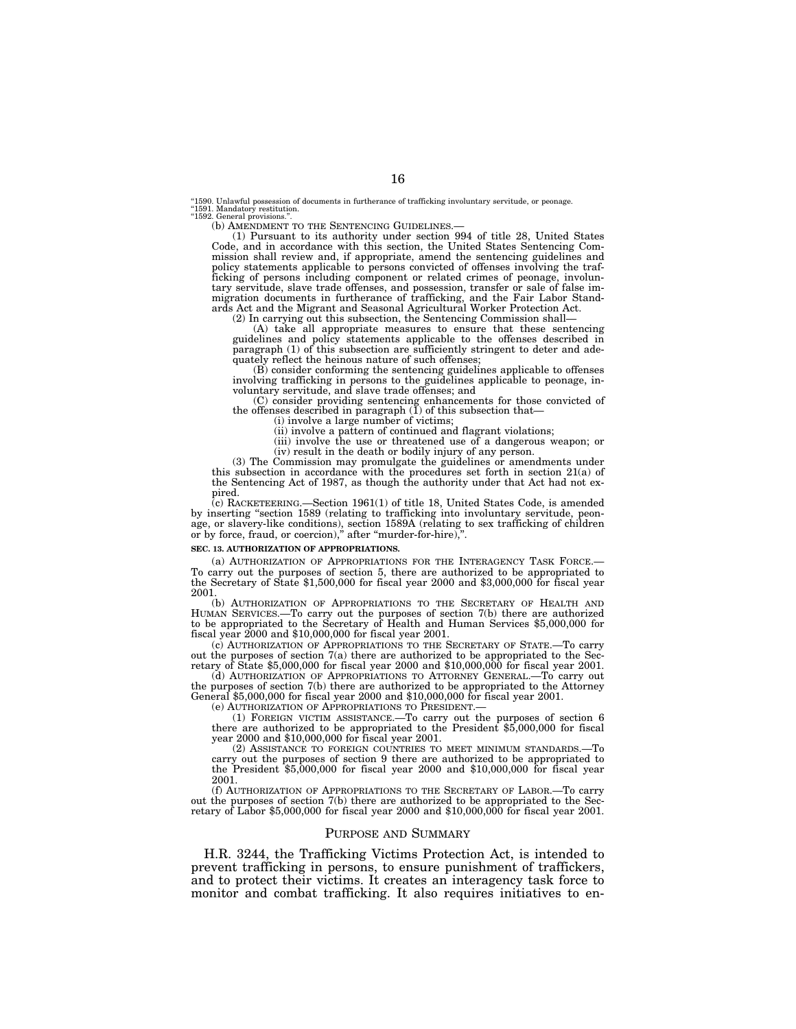''1590. Unlawful possession of documents in furtherance of trafficking involuntary servitude, or peonage. "1591. Mandatory≀ restitution.<br>"1592. General provisions.".

(b) AMENDMENT TO THE SENTENCING GUIDELINES.— (1) Pursuant to its authority under section 994 of title 28, United States Code, and in accordance with this section, the United States Sentencing Commission shall review and, if appropriate, amend the sentencing guidelines and policy statements applicable to persons convicted of offenses involving the traf-ficking of persons including component or related crimes of peonage, involuntary servitude, slave trade offenses, and possession, transfer or sale of false immigration documents in furtherance of trafficking, and the Fair Labor Standards Act and the Migrant and Seasonal Agricultural Worker Protection Act.

(2) In carrying out this subsection, the Sentencing Commission shall—

(A) take all appropriate measures to ensure that these sentencing guidelines and policy statements applicable to the offenses described in paragraph (1) of this subsection are sufficiently stringent to deter and adequately reflect the heinous nature of such offenses;

(B) consider conforming the sentencing guidelines applicable to offenses involving trafficking in persons to the guidelines applicable to peonage, involuntary servitude, and slave trade offenses; and

(C) consider providing sentencing enhancements for those convicted of the offenses described in paragraph (1) of this subsection that—

(i) involve a large number of victims;

(ii) involve a pattern of continued and flagrant violations;

(iii) involve the use or threatened use of a dangerous weapon; or (iv) result in the death or bodily injury of any person.

(3) The Commission may promulgate the guidelines or amendments under this subsection in accordance with the procedures set forth in section 21(a) of the Sentencing Act of 1987, as though the authority under that Act had not expired.

(c) RACKETEERING.—Section 1961(1) of title 18, United States Code, is amended by inserting "section 1589 (relating to trafficking into involuntary servitude, peonage, or slavery-like conditions), section 1589A (relating to sex trafficking of children or by force, fraud, or coercion)," after "murder-for-hire),".

#### **SEC. 13. AUTHORIZATION OF APPROPRIATIONS.**

(a) AUTHORIZATION OF APPROPRIATIONS FOR THE INTERAGENCY TASK FORCE.— To carry out the purposes of section 5, there are authorized to be appropriated to the Secretary of State \$1,500,000 for fiscal year 2000 and \$3,000,000 for fiscal year 2001.

(b) AUTHORIZATION OF APPROPRIATIONS TO THE SECRETARY OF HEALTH AND HUMAN SERVICES.—To carry out the purposes of section 7(b) there are authorized to be appropriated to the Secretary of Health and Human Services \$5,000,000 for fiscal year 2000 and \$10,000,000 for fiscal year 2001.

(c) AUTHORIZATION OF APPROPRIATIONS TO THE SECRETARY OF STATE.—To carry out the purposes of section  $7(a)$  there are authorized to be appropriated to the Secretary of State \$5,000,000 for fiscal year 2000 and \$10,000,000 for fiscal year 2001.

(d) AUTHORIZATION OF APPROPRIATIONS TO ATTORNEY GENERAL.—To carry out the purposes of section 7(b) there are authorized to be appropriated to the Attorney General \$5,000,000 for fiscal year 2000 and \$10,000,000 for fiscal year 2001.

(e) AUTHORIZATION OF APPROPRIATIONS TO PRESIDENT.—

(1) FOREIGN VICTIM ASSISTANCE.—To carry out the purposes of section 6 there are authorized to be appropriated to the President \$5,000,000 for fiscal year 2000 and \$10,000,000 for fiscal year 2001.

(2) ASSISTANCE TO FOREIGN COUNTRIES TO MEET MINIMUM STANDARDS.—To carry out the purposes of section 9 there are authorized to be appropriated to the President \$5,000,000 for fiscal year 2000 and \$10,000,000 for fiscal year 2001.

(f) AUTHORIZATION OF APPROPRIATIONS TO THE SECRETARY OF LABOR.—To carry out the purposes of section 7(b) there are authorized to be appropriated to the Secretary of Labor \$5,000,000 for fiscal year 2000 and \$10,000,000 for fiscal year 2001.

#### PURPOSE AND SUMMARY

H.R. 3244, the Trafficking Victims Protection Act, is intended to prevent trafficking in persons, to ensure punishment of traffickers, and to protect their victims. It creates an interagency task force to monitor and combat trafficking. It also requires initiatives to en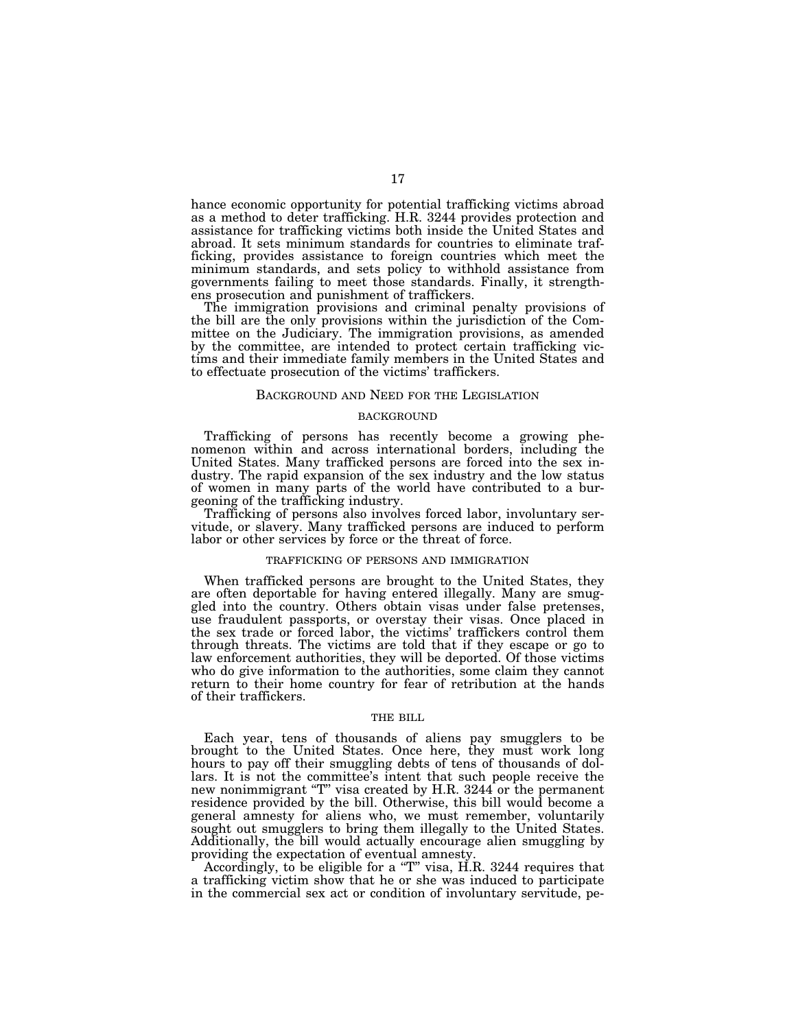hance economic opportunity for potential trafficking victims abroad as a method to deter trafficking. H.R. 3244 provides protection and assistance for trafficking victims both inside the United States and abroad. It sets minimum standards for countries to eliminate trafficking, provides assistance to foreign countries which meet the minimum standards, and sets policy to withhold assistance from governments failing to meet those standards. Finally, it strengthens prosecution and punishment of traffickers.

The immigration provisions and criminal penalty provisions of the bill are the only provisions within the jurisdiction of the Committee on the Judiciary. The immigration provisions, as amended by the committee, are intended to protect certain trafficking victims and their immediate family members in the United States and to effectuate prosecution of the victims' traffickers.

#### BACKGROUND AND NEED FOR THE LEGISLATION

# **BACKGROUND**

Trafficking of persons has recently become a growing phenomenon within and across international borders, including the United States. Many trafficked persons are forced into the sex industry. The rapid expansion of the sex industry and the low status of women in many parts of the world have contributed to a burgeoning of the trafficking industry.

Trafficking of persons also involves forced labor, involuntary servitude, or slavery. Many trafficked persons are induced to perform labor or other services by force or the threat of force.

#### TRAFFICKING OF PERSONS AND IMMIGRATION

When trafficked persons are brought to the United States, they are often deportable for having entered illegally. Many are smuggled into the country. Others obtain visas under false pretenses, use fraudulent passports, or overstay their visas. Once placed in the sex trade or forced labor, the victims' traffickers control them through threats. The victims are told that if they escape or go to law enforcement authorities, they will be deported. Of those victims who do give information to the authorities, some claim they cannot return to their home country for fear of retribution at the hands of their traffickers.

#### THE BILL

Each year, tens of thousands of aliens pay smugglers to be brought to the United States. Once here, they must work long hours to pay off their smuggling debts of tens of thousands of dollars. It is not the committee's intent that such people receive the new nonimmigrant "T" visa created by H.R. 3244 or the permanent residence provided by the bill. Otherwise, this bill would become a general amnesty for aliens who, we must remember, voluntarily sought out smugglers to bring them illegally to the United States. Additionally, the bill would actually encourage alien smuggling by providing the expectation of eventual amnesty.

Accordingly, to be eligible for a "T" visa, H.R. 3244 requires that a trafficking victim show that he or she was induced to participate in the commercial sex act or condition of involuntary servitude, pe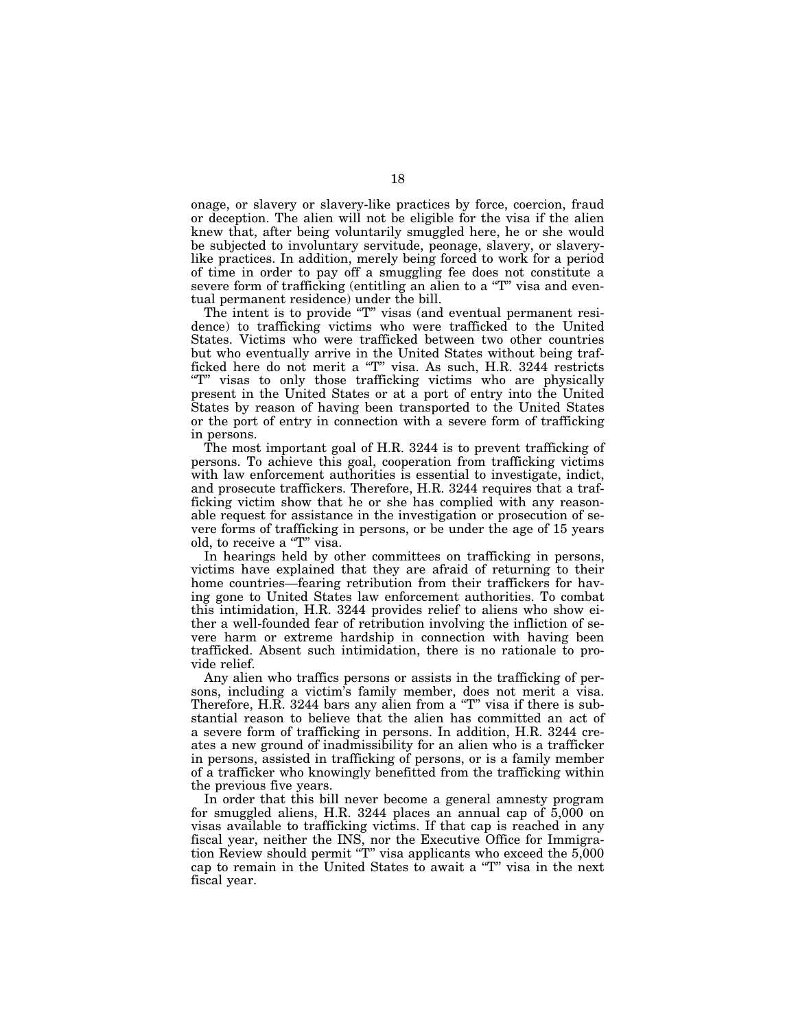onage, or slavery or slavery-like practices by force, coercion, fraud or deception. The alien will not be eligible for the visa if the alien knew that, after being voluntarily smuggled here, he or she would be subjected to involuntary servitude, peonage, slavery, or slaverylike practices. In addition, merely being forced to work for a period of time in order to pay off a smuggling fee does not constitute a severe form of trafficking (entitling an alien to a "T" visa and eventual permanent residence) under the bill.

The intent is to provide "T" visas (and eventual permanent residence) to trafficking victims who were trafficked to the United States. Victims who were trafficked between two other countries but who eventually arrive in the United States without being trafficked here do not merit a "T" visa. As such, H.R. 3244 restricts "T" visas to only those trafficking victims who are physically present in the United States or at a port of entry into the United States by reason of having been transported to the United States or the port of entry in connection with a severe form of trafficking in persons.

The most important goal of H.R. 3244 is to prevent trafficking of persons. To achieve this goal, cooperation from trafficking victims with law enforcement authorities is essential to investigate, indict, and prosecute traffickers. Therefore, H.R. 3244 requires that a trafficking victim show that he or she has complied with any reasonable request for assistance in the investigation or prosecution of severe forms of trafficking in persons, or be under the age of 15 years old, to receive a "T" visa.

In hearings held by other committees on trafficking in persons, victims have explained that they are afraid of returning to their home countries—fearing retribution from their traffickers for having gone to United States law enforcement authorities. To combat this intimidation, H.R. 3244 provides relief to aliens who show either a well-founded fear of retribution involving the infliction of severe harm or extreme hardship in connection with having been trafficked. Absent such intimidation, there is no rationale to provide relief.

Any alien who traffics persons or assists in the trafficking of persons, including a victim's family member, does not merit a visa. Therefore, H.R. 3244 bars any alien from a "T" visa if there is substantial reason to believe that the alien has committed an act of a severe form of trafficking in persons. In addition, H.R. 3244 creates a new ground of inadmissibility for an alien who is a trafficker in persons, assisted in trafficking of persons, or is a family member of a trafficker who knowingly benefitted from the trafficking within the previous five years.

In order that this bill never become a general amnesty program for smuggled aliens, H.R. 3244 places an annual cap of  $5,000$  on visas available to trafficking victims. If that cap is reached in any fiscal year, neither the INS, nor the Executive Office for Immigration Review should permit " $T$ " visa applicants who exceed the  $5,000$ cap to remain in the United States to await a ''T'' visa in the next fiscal year.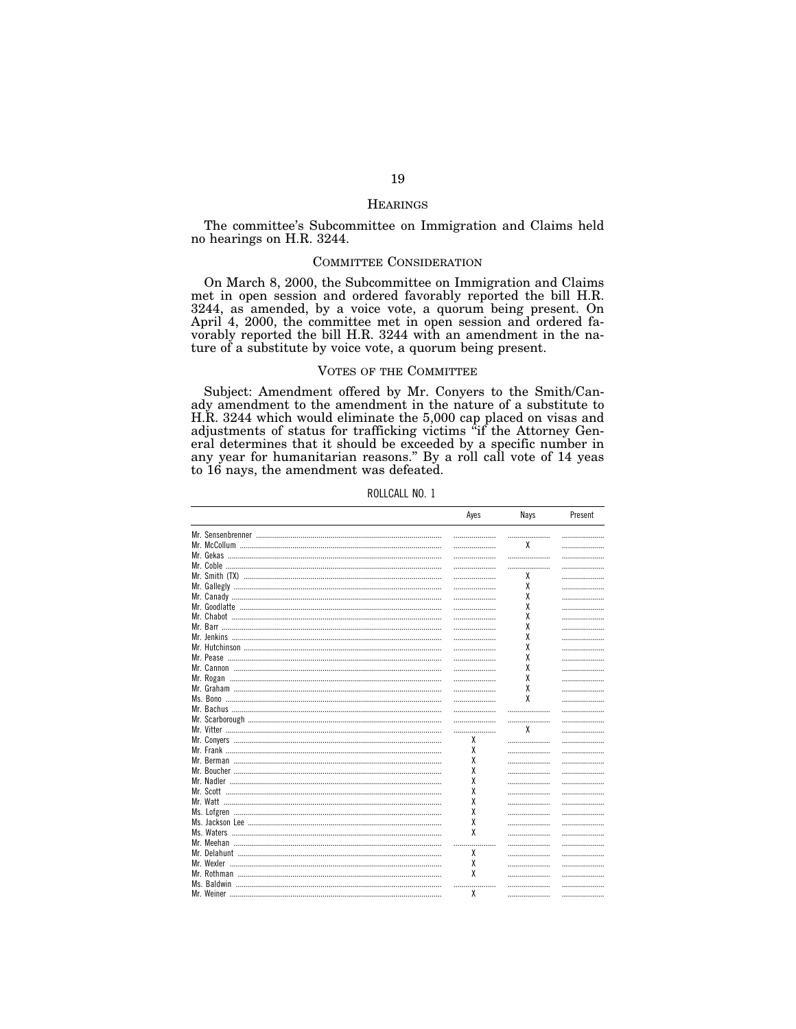#### **HEARINGS**

The committee's Subcommittee on Immigration and Claims held no hearings on H.R. 3244.

# **COMMITTEE CONSIDERATION**

On March 8, 2000, the Subcommittee on Immigration and Claims met in open session and ordered favorably reported the bill H.R. 3244, as amended, by a voice vote, a quorum being present. On April 4, 2000, the committee met in open session and ordered fa-<br>vorably reported the bill H.R. 3244 with an amendment in the nature of a substitute by voice vote, a quorum being present.

# **VOTES OF THE COMMITTEE**

Subject: Amendment offered by Mr. Conyers to the Smith/Canady amendment to the amendment in the nature of a substitute to H.R. 3244 which would eliminate the 5,000 cap placed on visas and T.R. 3244 which would enfinite the 3,000 cap placed on visas and<br>adjustments of status for trafficking victims "if the Attorney Gen-<br>eral determines that it should be exceeded by a specific number in<br>any year for humanitar to 16 nays, the amendment was defeated.

|           | лусэ | ivayə | <b>I</b> ICSCIIL |
|-----------|------|-------|------------------|
|           |      |       | .                |
|           |      | X     | .                |
|           |      |       | .                |
|           |      |       | .                |
|           |      | X     | .                |
|           |      | χ     |                  |
|           |      | χ     | .                |
|           |      |       | .                |
|           |      | χ     | .                |
|           |      | χ     | .                |
|           |      | χ     | .                |
|           |      | χ     | .                |
|           |      | χ     | .                |
|           |      | χ     | .                |
|           |      | χ     | .                |
|           |      | χ     | .                |
|           |      | χ     | .                |
|           |      | X     | .                |
|           |      |       | .                |
|           |      |       | .                |
|           |      | X     | .                |
|           | X    |       | .                |
|           | X    |       | .                |
|           | X    |       | .                |
|           | X    |       | .                |
|           | X    |       | .                |
|           | X    |       | .                |
|           | X    |       | .                |
|           | X    |       | .                |
|           | χ    |       | .                |
|           | X    |       |                  |
|           |      |       | .                |
|           | X    |       | .                |
|           |      |       | .                |
|           | X    |       | .                |
|           | x    |       | .                |
|           |      |       | .                |
| Mr Wainar | Y    |       |                  |

ROLLCALL NO. 1

 $\mathbf{A}$ 

 $N_{\text{max}}$ 

 $D_{\text{max}}$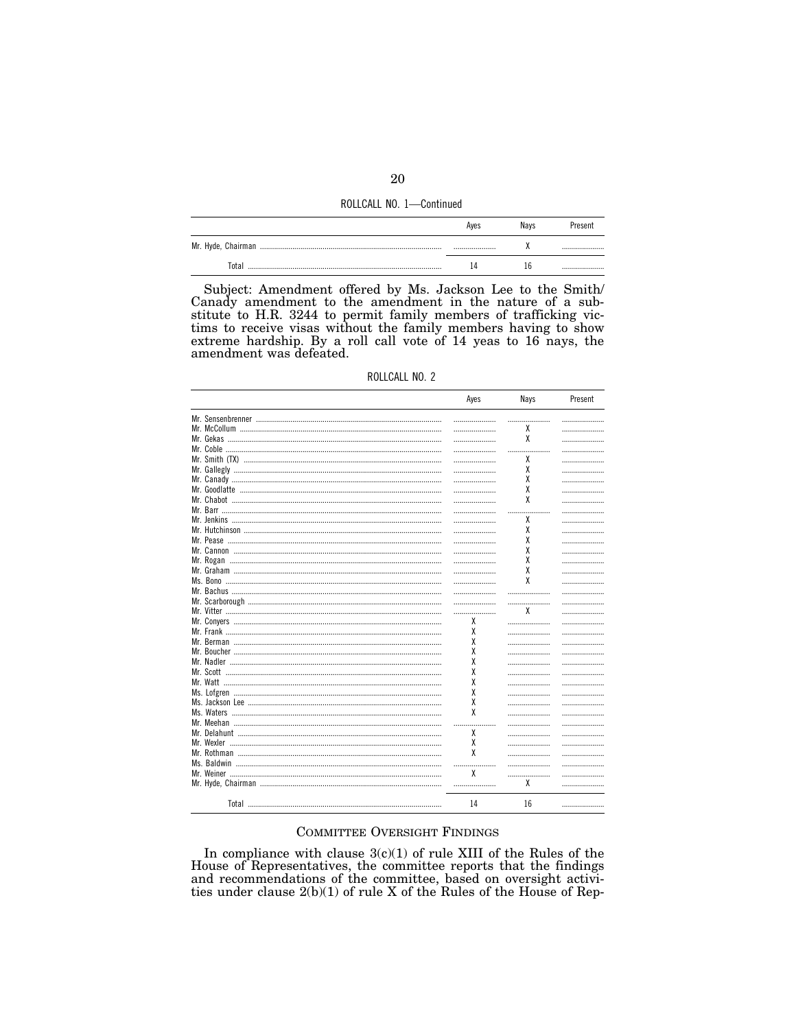| ROLLCALL NO. 1-Continued |  |  |  |
|--------------------------|--|--|--|
|--------------------------|--|--|--|

|       | Aves | Navs | Present |
|-------|------|------|---------|
|       |      |      |         |
| Total |      |      |         |

Subject: Amendment offered by Ms. Jackson Lee to the Smith/ Canady amendment to the amendment in the nature of a substitute to H.R. 3244 to permit family members of trafficking victims to receive visas without the family members having to show extreme hardship. By a roll call vote of 14 yeas to 16 nays, the amendment was defeated.

| ROLLCALL NO. 2 |  |
|----------------|--|
|                |  |

|                                       | Ayes   | Nays | Present |
|---------------------------------------|--------|------|---------|
|                                       |        |      |         |
|                                       |        | X    |         |
|                                       |        | χ    |         |
|                                       |        |      |         |
|                                       |        |      |         |
|                                       |        | χ    |         |
|                                       |        | χ    |         |
|                                       |        | χ    |         |
|                                       |        | χ    |         |
|                                       |        | χ    |         |
|                                       |        |      |         |
|                                       |        | χ    |         |
|                                       |        | χ    |         |
|                                       |        | χ    |         |
|                                       |        | χ    |         |
|                                       |        |      |         |
|                                       |        | χ    |         |
|                                       |        | χ    |         |
|                                       |        | χ    |         |
|                                       |        |      |         |
|                                       |        |      |         |
|                                       |        | x    |         |
|                                       | X      |      |         |
|                                       | χ      |      |         |
|                                       | X      |      |         |
|                                       | χ      |      |         |
|                                       | χ      |      |         |
|                                       | χ      |      |         |
|                                       |        |      |         |
|                                       | χ      |      |         |
|                                       | χ      |      |         |
|                                       | χ      |      |         |
|                                       | χ      |      |         |
|                                       | .<br>. |      |         |
|                                       | X      |      |         |
|                                       | X      |      |         |
|                                       | X      |      |         |
|                                       |        |      |         |
|                                       | x      |      |         |
|                                       |        | x    |         |
|                                       |        |      |         |
| Total ………………………………………………………………………………… | 14     | 16   |         |

# **COMMITTEE OVERSIGHT FINDINGS**

In compliance with clause  $3(c)(1)$  of rule XIII of the Rules of the House of Representatives, the committee reports that the findings and recommendations of the committee, based on oversight activities under clause 2(b)(1) of rule X of the Rules of the House of Rep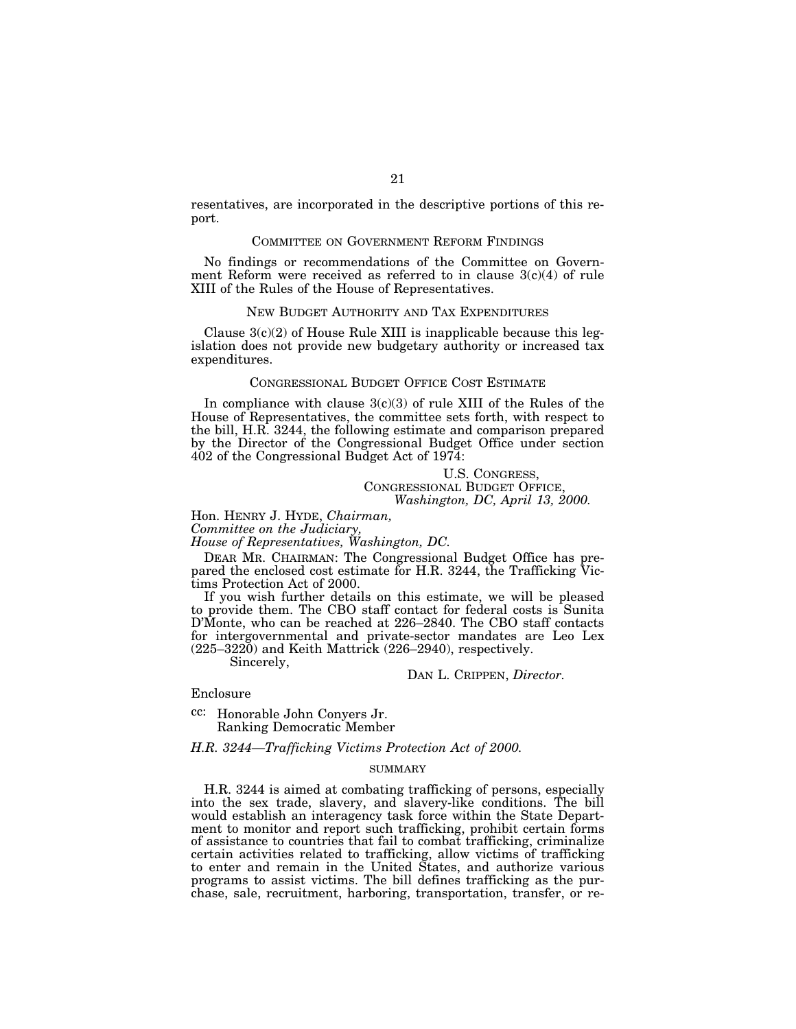resentatives, are incorporated in the descriptive portions of this report.

#### COMMITTEE ON GOVERNMENT REFORM FINDINGS

No findings or recommendations of the Committee on Government Reform were received as referred to in clause 3(c)(4) of rule XIII of the Rules of the House of Representatives.

#### NEW BUDGET AUTHORITY AND TAX EXPENDITURES

Clause  $3(c)(2)$  of House Rule XIII is inapplicable because this legislation does not provide new budgetary authority or increased tax expenditures.

# CONGRESSIONAL BUDGET OFFICE COST ESTIMATE

In compliance with clause  $3(c)(3)$  of rule XIII of the Rules of the House of Representatives, the committee sets forth, with respect to the bill, H.R. 3244, the following estimate and comparison prepared by the Director of the Congressional Budget Office under section 402 of the Congressional Budget Act of 1974:

# U.S. CONGRESS, CONGRESSIONAL BUDGET OFFICE, *Washington, DC, April 13, 2000.*

# Hon. HENRY J. HYDE, *Chairman,*

*Committee on the Judiciary,*

*House of Representatives, Washington, DC.*

DEAR MR. CHAIRMAN: The Congressional Budget Office has prepared the enclosed cost estimate for H.R. 3244, the Trafficking Victims Protection Act of 2000.

If you wish further details on this estimate, we will be pleased to provide them. The CBO staff contact for federal costs is Sunita D'Monte, who can be reached at 226–2840. The CBO staff contacts for intergovernmental and private-sector mandates are Leo Lex  $(225-3220)$  and Keith Mattrick  $(226-2940)$ , respectively.

Sincerely,

DAN L. CRIPPEN, *Director.*

Enclosure

cc: Honorable John Conyers Jr. Ranking Democratic Member

*H.R. 3244—Trafficking Victims Protection Act of 2000.*

# SUMMARY

H.R. 3244 is aimed at combating trafficking of persons, especially into the sex trade, slavery, and slavery-like conditions. The bill would establish an interagency task force within the State Department to monitor and report such trafficking, prohibit certain forms of assistance to countries that fail to combat trafficking, criminalize certain activities related to trafficking, allow victims of trafficking to enter and remain in the United States, and authorize various programs to assist victims. The bill defines trafficking as the purchase, sale, recruitment, harboring, transportation, transfer, or re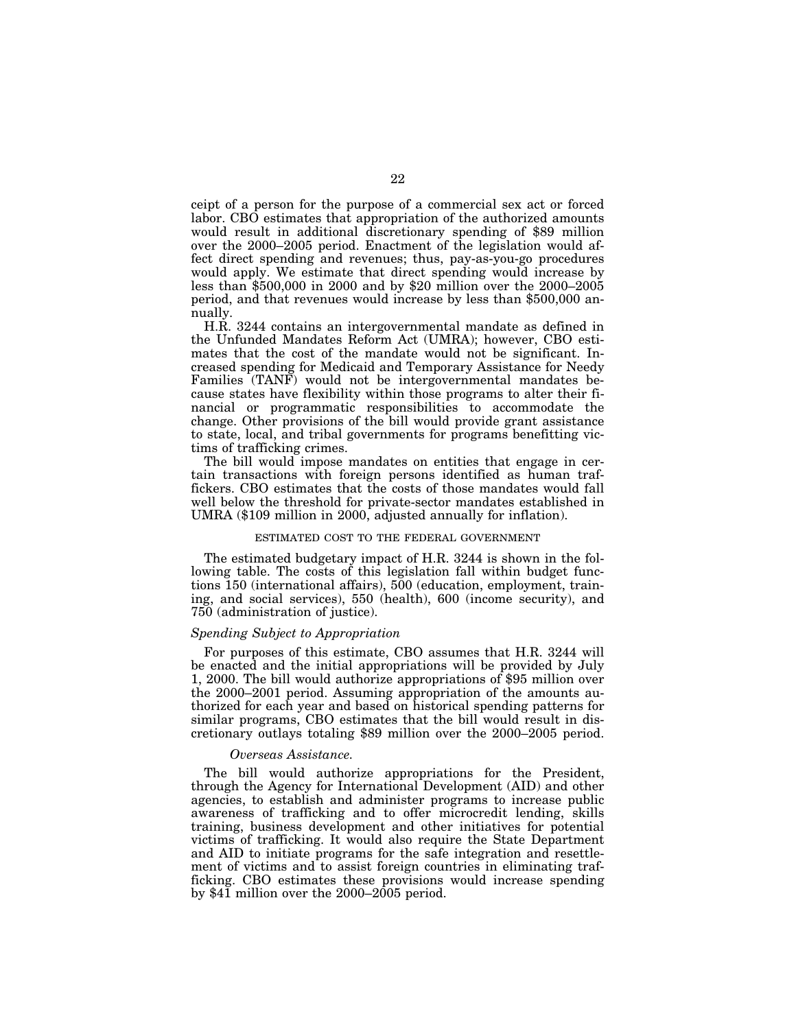ceipt of a person for the purpose of a commercial sex act or forced labor. CBO estimates that appropriation of the authorized amounts would result in additional discretionary spending of \$89 million over the 2000–2005 period. Enactment of the legislation would affect direct spending and revenues; thus, pay-as-you-go procedures would apply. We estimate that direct spending would increase by less than \$500,000 in 2000 and by \$20 million over the 2000–2005 period, and that revenues would increase by less than \$500,000 annually.

H.R. 3244 contains an intergovernmental mandate as defined in the Unfunded Mandates Reform Act (UMRA); however, CBO estimates that the cost of the mandate would not be significant. Increased spending for Medicaid and Temporary Assistance for Needy Families (TANF) would not be intergovernmental mandates because states have flexibility within those programs to alter their financial or programmatic responsibilities to accommodate the change. Other provisions of the bill would provide grant assistance to state, local, and tribal governments for programs benefitting victims of trafficking crimes.

The bill would impose mandates on entities that engage in certain transactions with foreign persons identified as human traffickers. CBO estimates that the costs of those mandates would fall well below the threshold for private-sector mandates established in UMRA (\$109 million in 2000, adjusted annually for inflation).

## ESTIMATED COST TO THE FEDERAL GOVERNMENT

The estimated budgetary impact of H.R. 3244 is shown in the following table. The costs of this legislation fall within budget functions 150 (international affairs), 500 (education, employment, training, and social services), 550 (health), 600 (income security), and 750 (administration of justice).

## *Spending Subject to Appropriation*

For purposes of this estimate, CBO assumes that H.R. 3244 will be enacted and the initial appropriations will be provided by July 1, 2000. The bill would authorize appropriations of \$95 million over the 2000–2001 period. Assuming appropriation of the amounts authorized for each year and based on historical spending patterns for similar programs, CBO estimates that the bill would result in discretionary outlays totaling \$89 million over the 2000–2005 period.

#### *Overseas Assistance.*

The bill would authorize appropriations for the President, through the Agency for International Development (AID) and other agencies, to establish and administer programs to increase public awareness of trafficking and to offer microcredit lending, skills training, business development and other initiatives for potential victims of trafficking. It would also require the State Department and AID to initiate programs for the safe integration and resettlement of victims and to assist foreign countries in eliminating trafficking. CBO estimates these provisions would increase spending by  $$4\bar{1}$  million over the 2000–2005 period.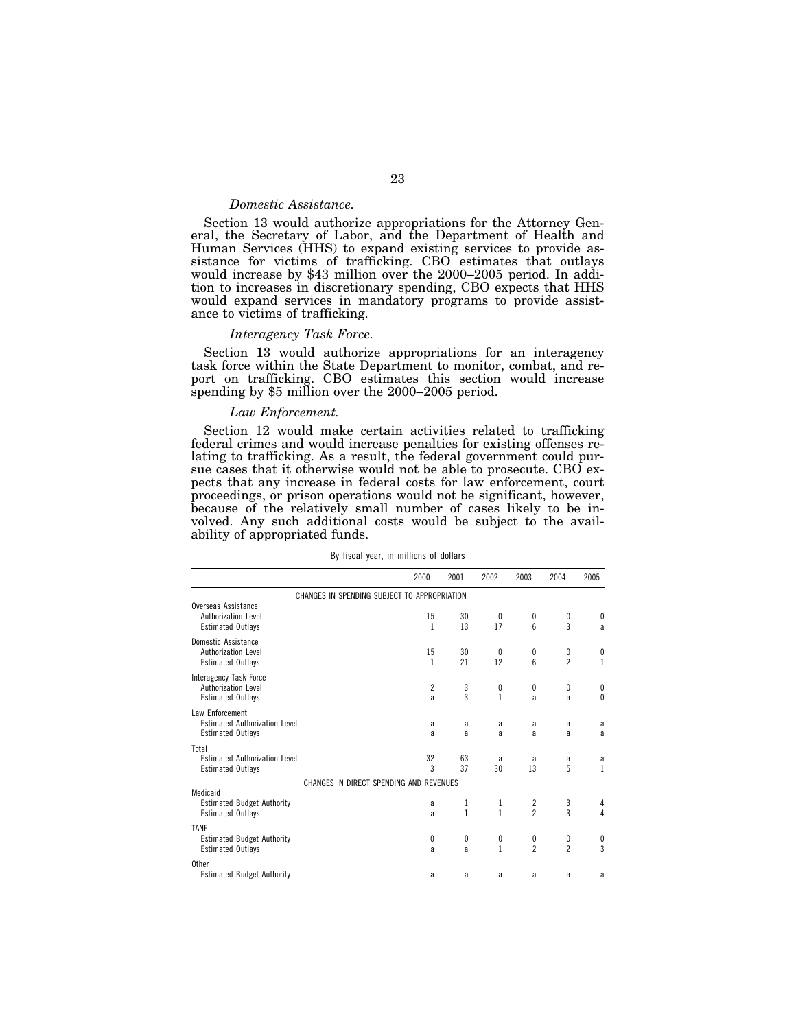# *Domestic Assistance.*

Section 13 would authorize appropriations for the Attorney General, the Secretary of Labor, and the Department of Health and Human Services (HHS) to expand existing services to provide assistance for victims of trafficking. CBO estimates that outlays would increase by \$43 million over the 2000–2005 period. In addition to increases in discretionary spending, CBO expects that HHS would expand services in mandatory programs to provide assistance to victims of trafficking.

## *Interagency Task Force.*

Section 13 would authorize appropriations for an interagency task force within the State Department to monitor, combat, and report on trafficking. CBO estimates this section would increase spending by \$5 million over the 2000–2005 period.

## *Law Enforcement.*

Section 12 would make certain activities related to trafficking federal crimes and would increase penalties for existing offenses relating to trafficking. As a result, the federal government could pursue cases that it otherwise would not be able to prosecute. CBO expects that any increase in federal costs for law enforcement, court proceedings, or prison operations would not be significant, however, because of the relatively small number of cases likely to be involved. Any such additional costs would be subject to the availability of appropriated funds.

| By fiscal year, in millions of dollars |  |  |
|----------------------------------------|--|--|
|----------------------------------------|--|--|

|                                                                                     | 2000                                         | 2001              | 2002              | 2003                 | 2004                | 2005                                 |
|-------------------------------------------------------------------------------------|----------------------------------------------|-------------------|-------------------|----------------------|---------------------|--------------------------------------|
|                                                                                     | CHANGES IN SPENDING SUBJECT TO APPROPRIATION |                   |                   |                      |                     |                                      |
| Overseas Assistance<br>Authorization Level<br><b>Estimated Outlays</b>              | 15<br>$\mathbf{1}$                           | 30<br>13          | 0<br>17           | 0<br>6               | 0<br>3              | 0<br>a                               |
| Domestic Assistance<br>Authorization Level<br><b>Estimated Outlays</b>              | 15<br>1                                      | 30<br>21          | 0<br>12           | 0<br>$6\overline{6}$ | 0<br>$\overline{2}$ | 0<br>1                               |
| Interagency Task Force<br>Authorization Level<br><b>Estimated Outlays</b>           | $\overline{c}$<br>a                          | 3<br>3            | 0<br>1            | 0<br>a               | 0<br>a              | 0<br>$\theta$                        |
| Law Enforcement<br><b>Estimated Authorization Level</b><br><b>Estimated Outlays</b> | a<br>a                                       | a<br>a            | a<br>a            | a<br>a               | a<br>a              | a<br>a                               |
| Total<br><b>Estimated Authorization Level</b><br><b>Estimated Outlays</b>           | 32<br>3                                      | 63<br>37          | a<br>30           | a<br>13              | a<br>5              | a<br>$\mathbf{1}$                    |
|                                                                                     | CHANGES IN DIRECT SPENDING AND REVENUES      |                   |                   |                      |                     |                                      |
| Medicaid<br><b>Estimated Budget Authority</b><br><b>Estimated Outlays</b>           | a<br>a                                       | 1<br>$\mathbf{1}$ | 1<br>$\mathbf{1}$ | $\frac{2}{2}$        | 3<br>$\overline{3}$ | 4<br>4                               |
| <b>TANF</b><br><b>Estimated Budget Authority</b><br><b>Estimated Outlays</b>        | 0<br>a                                       | $\mathbf{0}$<br>a | 0<br>$\mathbf{1}$ | 0<br>$\overline{c}$  | 0<br>$\overline{2}$ | $\begin{matrix} 0 \\ 3 \end{matrix}$ |
| <b>Other</b><br><b>Estimated Budget Authority</b>                                   | a                                            | a                 | a                 | a                    | a                   | a                                    |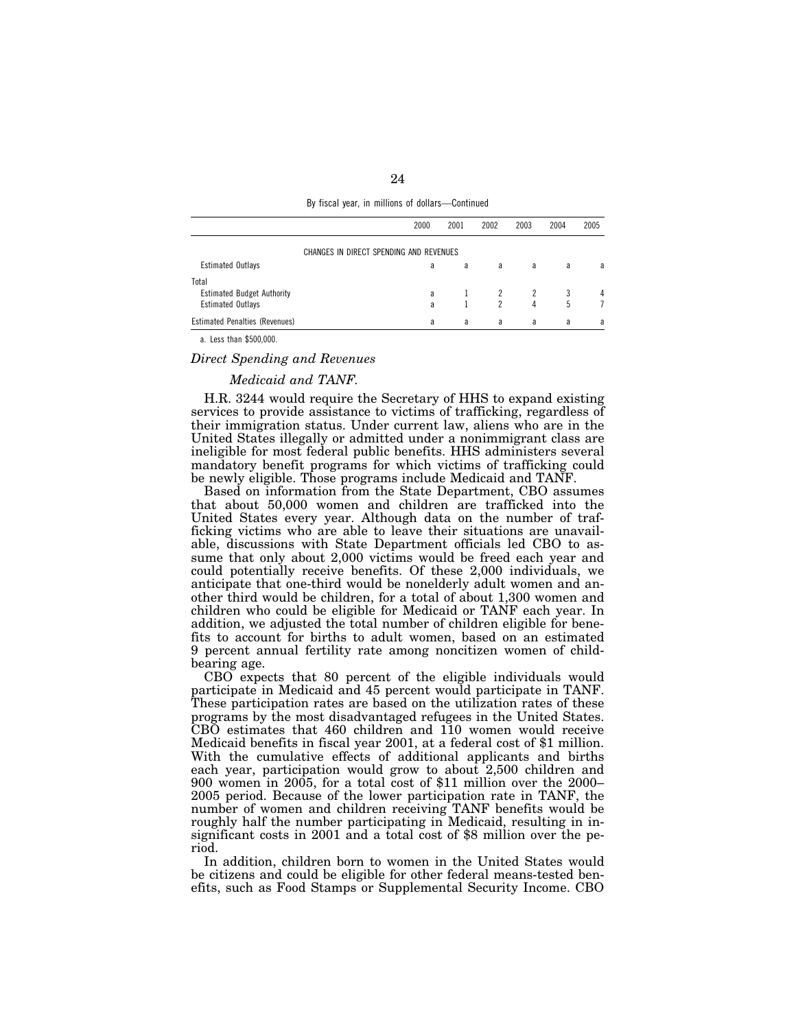| By fiscal year, in millions of dollars-Continued |  |
|--------------------------------------------------|--|
|--------------------------------------------------|--|

|                                            | 2000 | 2001 | 2002 | 2003 | 2004 | 2005 |
|--------------------------------------------|------|------|------|------|------|------|
| CHANGES IN DIRECT SPENDING AND REVENUES    |      |      |      |      |      |      |
| <b>Estimated Outlays</b>                   | a    | a    | a    | a    | a    | a    |
| Total<br><b>Estimated Budget Authority</b> | a    |      |      |      |      | 4    |
| <b>Estimated Outlays</b>                   | a    |      | 2    | 4    | 5    |      |
| <b>Estimated Penalties (Revenues)</b>      | a    | a    | a    | a    | a    | a    |

a. Less than \$500,000.

#### *Direct Spending and Revenues*

# *Medicaid and TANF.*

H.R. 3244 would require the Secretary of HHS to expand existing services to provide assistance to victims of trafficking, regardless of their immigration status. Under current law, aliens who are in the United States illegally or admitted under a nonimmigrant class are ineligible for most federal public benefits. HHS administers several mandatory benefit programs for which victims of trafficking could be newly eligible. Those programs include Medicaid and TANF.

Based on information from the State Department, CBO assumes that about 50,000 women and children are trafficked into the United States every year. Although data on the number of trafficking victims who are able to leave their situations are unavailable, discussions with State Department officials led CBO to assume that only about 2,000 victims would be freed each year and could potentially receive benefits. Of these 2,000 individuals, we anticipate that one-third would be nonelderly adult women and another third would be children, for a total of about 1,300 women and children who could be eligible for Medicaid or TANF each year. In addition, we adjusted the total number of children eligible for benefits to account for births to adult women, based on an estimated 9 percent annual fertility rate among noncitizen women of childbearing age.

CBO expects that 80 percent of the eligible individuals would participate in Medicaid and 45 percent would participate in TANF. These participation rates are based on the utilization rates of these programs by the most disadvantaged refugees in the United States. CBO estimates that 460 children and 110 women would receive Medicaid benefits in fiscal year 2001, at a federal cost of \$1 million. With the cumulative effects of additional applicants and births each year, participation would grow to about 2,500 children and 900 women in 2005, for a total cost of \$11 million over the 2000– 2005 period. Because of the lower participation rate in TANF, the number of women and children receiving TANF benefits would be roughly half the number participating in Medicaid, resulting in insignificant costs in 2001 and a total cost of \$8 million over the period.

In addition, children born to women in the United States would be citizens and could be eligible for other federal means-tested benefits, such as Food Stamps or Supplemental Security Income. CBO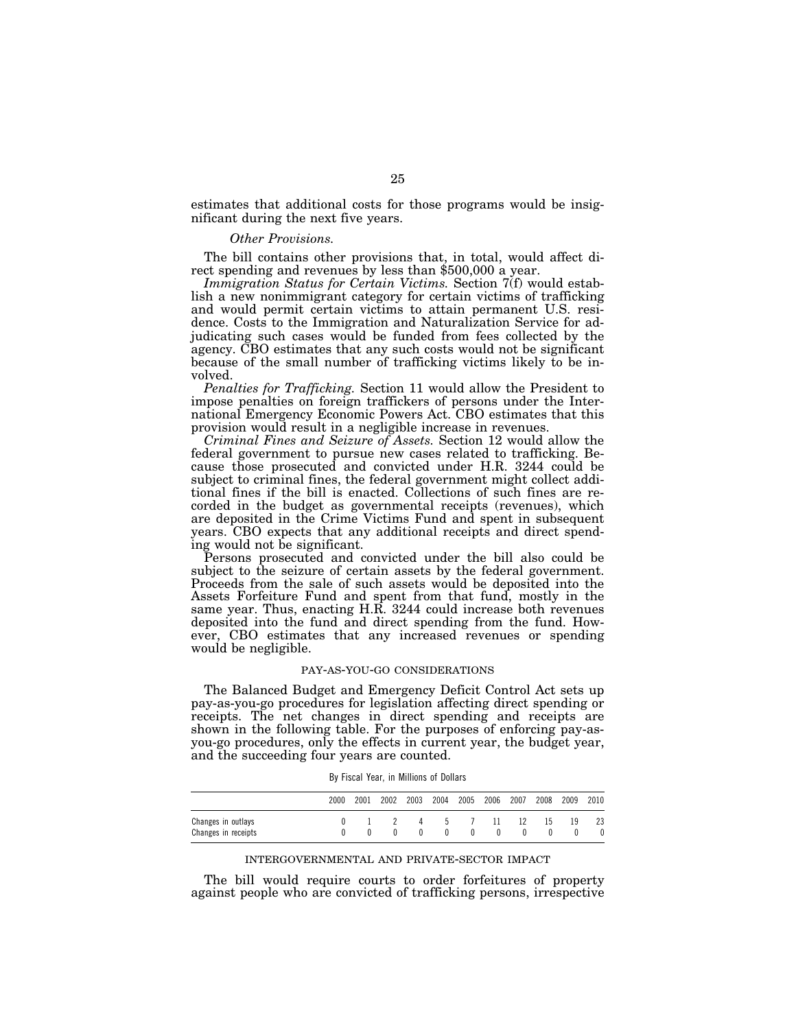estimates that additional costs for those programs would be insignificant during the next five years.

#### *Other Provisions.*

The bill contains other provisions that, in total, would affect direct spending and revenues by less than \$500,000 a year.

*Immigration Status for Certain Victims.* Section 7(f) would establish a new nonimmigrant category for certain victims of trafficking and would permit certain victims to attain permanent U.S. residence. Costs to the Immigration and Naturalization Service for adjudicating such cases would be funded from fees collected by the agency. CBO estimates that any such costs would not be significant because of the small number of trafficking victims likely to be involved.

*Penalties for Trafficking.* Section 11 would allow the President to impose penalties on foreign traffickers of persons under the International Emergency Economic Powers Act. CBO estimates that this provision would result in a negligible increase in revenues.

*Criminal Fines and Seizure of Assets.* Section 12 would allow the federal government to pursue new cases related to trafficking. Because those prosecuted and convicted under H.R. 3244 could be subject to criminal fines, the federal government might collect additional fines if the bill is enacted. Collections of such fines are recorded in the budget as governmental receipts (revenues), which are deposited in the Crime Victims Fund and spent in subsequent years. CBO expects that any additional receipts and direct spending would not be significant.

Persons prosecuted and convicted under the bill also could be subject to the seizure of certain assets by the federal government. Proceeds from the sale of such assets would be deposited into the Assets Forfeiture Fund and spent from that fund, mostly in the same year. Thus, enacting H.R. 3244 could increase both revenues deposited into the fund and direct spending from the fund. However, CBO estimates that any increased revenues or spending would be negligible.

#### PAY-AS-YOU-GO CONSIDERATIONS

The Balanced Budget and Emergency Deficit Control Act sets up pay-as-you-go procedures for legislation affecting direct spending or receipts. The net changes in direct spending and receipts are shown in the following table. For the purposes of enforcing pay-asyou-go procedures, only the effects in current year, the budget year, and the succeeding four years are counted.

|                                           | 2000 | 2001 | 2002 | 2003 | 2004              | 2005 | 2006 | 2007 | 2008 | 2009 | 2010 |
|-------------------------------------------|------|------|------|------|-------------------|------|------|------|------|------|------|
| Changes in outlays<br>Changes in receipts |      |      |      | 4    | $5 -$<br>$\theta$ |      | 11.  | -12  | 15   | 19   | 23   |

#### INTERGOVERNMENTAL AND PRIVATE-SECTOR IMPACT

The bill would require courts to order forfeitures of property against people who are convicted of trafficking persons, irrespective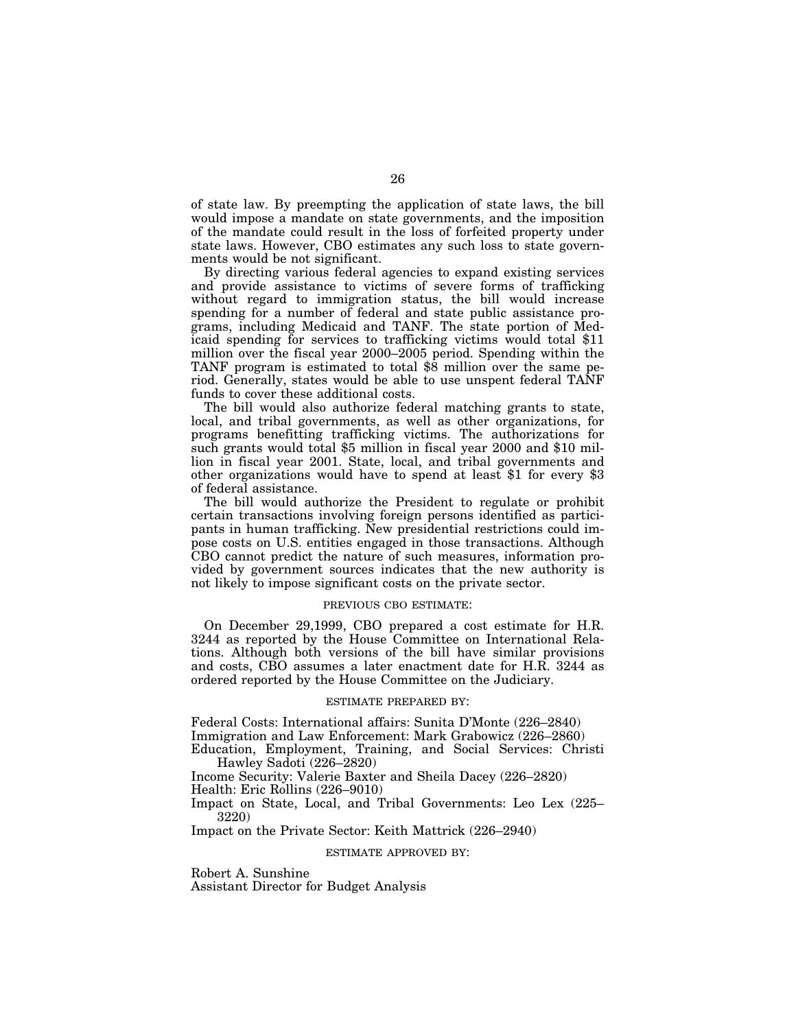of state law. By preempting the application of state laws, the bill would impose a mandate on state governments, and the imposition of the mandate could result in the loss of forfeited property under state laws. However, CBO estimates any such loss to state governments would be not significant.

By directing various federal agencies to expand existing services and provide assistance to victims of severe forms of trafficking without regard to immigration status, the bill would increase spending for a number of federal and state public assistance programs, including Medicaid and TANF. The state portion of Medicaid spending for services to trafficking victims would total \$11 million over the fiscal year 2000–2005 period. Spending within the TANF program is estimated to total \$8 million over the same period. Generally, states would be able to use unspent federal TANF funds to cover these additional costs.

The bill would also authorize federal matching grants to state, local, and tribal governments, as well as other organizations, for programs benefitting trafficking victims. The authorizations for such grants would total \$5 million in fiscal year 2000 and \$10 million in fiscal year 2001. State, local, and tribal governments and other organizations would have to spend at least \$1 for every \$3 of federal assistance.

The bill would authorize the President to regulate or prohibit certain transactions involving foreign persons identified as participants in human trafficking. New presidential restrictions could impose costs on U.S. entities engaged in those transactions. Although CBO cannot predict the nature of such measures, information provided by government sources indicates that the new authority is not likely to impose significant costs on the private sector.

## PREVIOUS CBO ESTIMATE:

On December 29,1999, CBO prepared a cost estimate for H.R. 3244 as reported by the House Committee on International Relations. Although both versions of the bill have similar provisions and costs, CBO assumes a later enactment date for H.R. 3244 as ordered reported by the House Committee on the Judiciary.

## ESTIMATE PREPARED BY:

Federal Costs: International affairs: Sunita D'Monte (226–2840) Immigration and Law Enforcement: Mark Grabowicz (226–2860) Education, Employment, Training, and Social Services: Christi

Hawley Sadoti (226–2820)

Income Security: Valerie Baxter and Sheila Dacey (226–2820)

Health: Eric Rollins (226–9010)

Impact on State, Local, and Tribal Governments: Leo Lex (225– 3220)

Impact on the Private Sector: Keith Mattrick (226–2940)

#### ESTIMATE APPROVED BY:

Robert A. Sunshine Assistant Director for Budget Analysis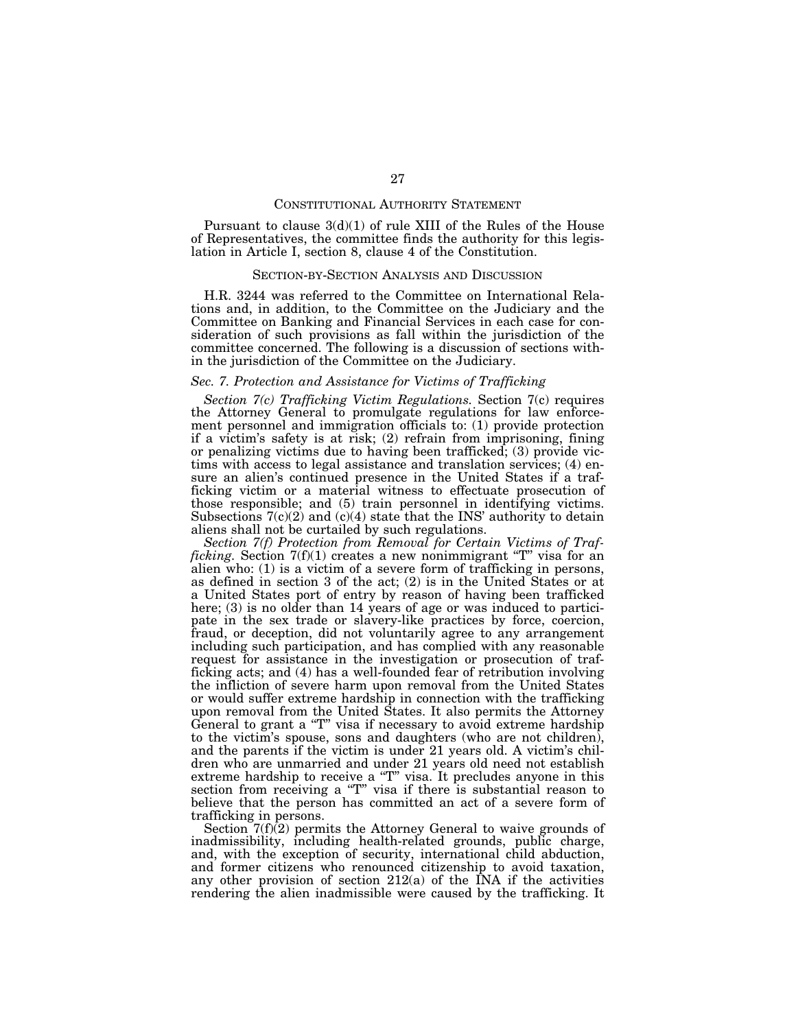#### CONSTITUTIONAL AUTHORITY STATEMENT

Pursuant to clause  $3(d)(1)$  of rule XIII of the Rules of the House of Representatives, the committee finds the authority for this legislation in Article I, section 8, clause 4 of the Constitution.

#### SECTION-BY-SECTION ANALYSIS AND DISCUSSION

H.R. 3244 was referred to the Committee on International Relations and, in addition, to the Committee on the Judiciary and the Committee on Banking and Financial Services in each case for consideration of such provisions as fall within the jurisdiction of the committee concerned. The following is a discussion of sections within the jurisdiction of the Committee on the Judiciary.

## *Sec. 7. Protection and Assistance for Victims of Trafficking*

*Section 7(c) Trafficking Victim Regulations.* Section 7(c) requires the Attorney General to promulgate regulations for law enforcement personnel and immigration officials to: (1) provide protection if a victim's safety is at risk; (2) refrain from imprisoning, fining or penalizing victims due to having been trafficked; (3) provide victims with access to legal assistance and translation services; (4) ensure an alien's continued presence in the United States if a trafficking victim or a material witness to effectuate prosecution of those responsible; and (5) train personnel in identifying victims. Subsections  $7(c)(2)$  and  $(c)(4)$  state that the INS' authority to detain aliens shall not be curtailed by such regulations.

*Section 7(f) Protection from Removal for Certain Victims of Trafficking.* Section 7(f)(1) creates a new nonimmigrant ''T'' visa for an alien who: (1) is a victim of a severe form of trafficking in persons, as defined in section 3 of the act; (2) is in the United States or at a United States port of entry by reason of having been trafficked here; (3) is no older than 14 years of age or was induced to participate in the sex trade or slavery-like practices by force, coercion, fraud, or deception, did not voluntarily agree to any arrangement including such participation, and has complied with any reasonable request for assistance in the investigation or prosecution of trafficking acts; and (4) has a well-founded fear of retribution involving the infliction of severe harm upon removal from the United States or would suffer extreme hardship in connection with the trafficking upon removal from the United States. It also permits the Attorney General to grant a "T" visa if necessary to avoid extreme hardship to the victim's spouse, sons and daughters (who are not children), and the parents if the victim is under 21 years old. A victim's children who are unmarried and under 21 years old need not establish extreme hardship to receive a "T" visa. It precludes anyone in this section from receiving a ''T'' visa if there is substantial reason to believe that the person has committed an act of a severe form of trafficking in persons.

Section  $7(f)(2)$  permits the Attorney General to waive grounds of inadmissibility, including health-related grounds, public charge, and, with the exception of security, international child abduction, and former citizens who renounced citizenship to avoid taxation, any other provision of section  $212(a)$  of the INA if the activities rendering the alien inadmissible were caused by the trafficking. It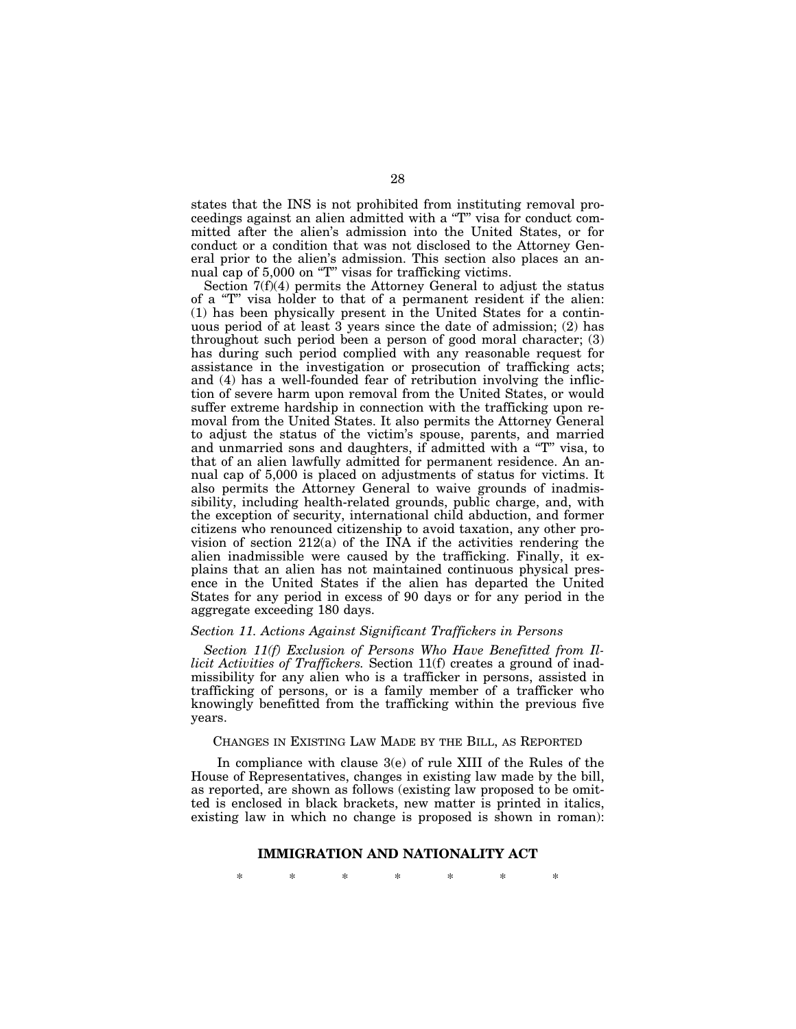states that the INS is not prohibited from instituting removal proceedings against an alien admitted with a ''T'' visa for conduct committed after the alien's admission into the United States, or for conduct or a condition that was not disclosed to the Attorney General prior to the alien's admission. This section also places an annual cap of 5,000 on "T" visas for trafficking victims.

Section 7(f)(4) permits the Attorney General to adjust the status of a "T" visa holder to that of a permanent resident if the alien: (1) has been physically present in the United States for a continuous period of at least  $3$  years since the date of admission; (2) has throughout such period been a person of good moral character; (3) has during such period complied with any reasonable request for assistance in the investigation or prosecution of trafficking acts; and (4) has a well-founded fear of retribution involving the infliction of severe harm upon removal from the United States, or would suffer extreme hardship in connection with the trafficking upon removal from the United States. It also permits the Attorney General to adjust the status of the victim's spouse, parents, and married and unmarried sons and daughters, if admitted with a ''T'' visa, to that of an alien lawfully admitted for permanent residence. An annual cap of 5,000 is placed on adjustments of status for victims. It also permits the Attorney General to waive grounds of inadmissibility, including health-related grounds, public charge, and, with the exception of security, international child abduction, and former citizens who renounced citizenship to avoid taxation, any other provision of section 212(a) of the INA if the activities rendering the alien inadmissible were caused by the trafficking. Finally, it explains that an alien has not maintained continuous physical presence in the United States if the alien has departed the United States for any period in excess of 90 days or for any period in the aggregate exceeding 180 days.

# *Section 11. Actions Against Significant Traffickers in Persons*

*Section 11(f) Exclusion of Persons Who Have Benefitted from Illicit Activities of Traffickers.* Section 11(f) creates a ground of inadmissibility for any alien who is a trafficker in persons, assisted in trafficking of persons, or is a family member of a trafficker who knowingly benefitted from the trafficking within the previous five years.

# CHANGES IN EXISTING LAW MADE BY THE BILL, AS REPORTED

In compliance with clause 3(e) of rule XIII of the Rules of the House of Representatives, changes in existing law made by the bill, as reported, are shown as follows (existing law proposed to be omitted is enclosed in black brackets, new matter is printed in italics, existing law in which no change is proposed is shown in roman):

#### **IMMIGRATION AND NATIONALITY ACT**

\* \* \* \* \* \* \*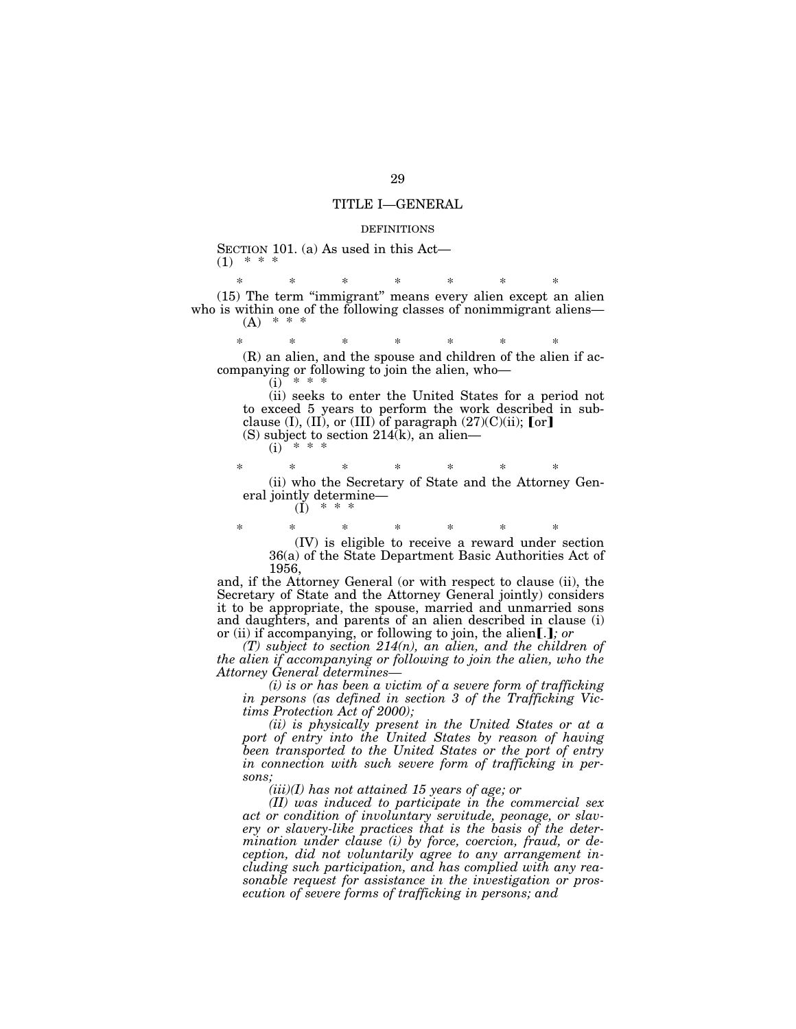## TITLE I—GENERAL

#### DEFINITIONS

SECTION 101. (a) As used in this Act—  $(1)$  \* \*

\* \* \* \* \* \* \* (15) The term ''immigrant'' means every alien except an alien who is within one of the following classes of nonimmigrant aliens—  $(A)$ 

\* \* \* \* \* \* \* (R) an alien, and the spouse and children of the alien if accompanying or following to join the alien, who—  $(i)$ 

(ii) seeks to enter the United States for a period not to exceed 5 years to perform the work described in subclause (I), (II), or (III) of paragraph  $(27)(C)(ii)$ ; [or] (S) subject to section  $214(k)$ , an alien—

 $(i)$ 

\* \* \* \* \* \* \* (ii) who the Secretary of State and the Attorney General jointly determine—

 $(I)$ 

\* \* \* \* \* \* \* (IV) is eligible to receive a reward under section 36(a) of the State Department Basic Authorities Act of 1956,

and, if the Attorney General (or with respect to clause (ii), the Secretary of State and the Attorney General jointly) considers it to be appropriate, the spouse, married and unmarried sons and daughters, and parents of an alien described in clause (i) or (ii) if accompanying, or following to join, the alien[.]; or

*(T) subject to section 214(n), an alien, and the children of the alien if accompanying or following to join the alien, who the Attorney General determines—*

*(i) is or has been a victim of a severe form of trafficking in persons (as defined in section 3 of the Trafficking Victims Protection Act of 2000);*

*(ii) is physically present in the United States or at a port of entry into the United States by reason of having been transported to the United States or the port of entry in connection with such severe form of trafficking in persons;*

*(iii)(I) has not attained 15 years of age; or*

*(II) was induced to participate in the commercial sex act or condition of involuntary servitude, peonage, or slavery or slavery-like practices that is the basis of the determination under clause (i) by force, coercion, fraud, or deception, did not voluntarily agree to any arrangement including such participation, and has complied with any reasonable request for assistance in the investigation or prosecution of severe forms of trafficking in persons; and*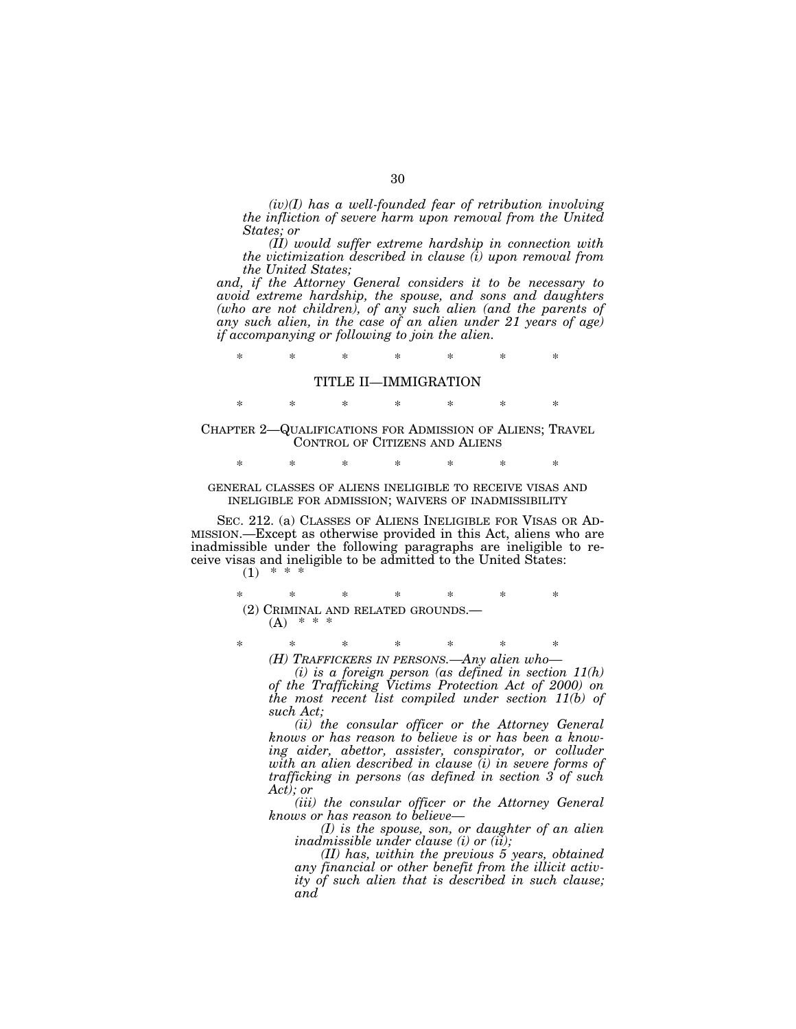*(iv)(I) has a well-founded fear of retribution involving the infliction of severe harm upon removal from the United States; or*

*(II) would suffer extreme hardship in connection with the victimization described in clause (i) upon removal from the United States;*

*and, if the Attorney General considers it to be necessary to avoid extreme hardship, the spouse, and sons and daughters (who are not children), of any such alien (and the parents of any such alien, in the case of an alien under 21 years of age) if accompanying or following to join the alien.*

\* \* \* \* \* \* \*

# TITLE II—IMMIGRATION

\* \* \* \* \* \* \* CHAPTER 2—QUALIFICATIONS FOR ADMISSION OF ALIENS; TRAVEL CONTROL OF CITIZENS AND ALIENS

\* \* \* \* \* \* \*

GENERAL CLASSES OF ALIENS INELIGIBLE TO RECEIVE VISAS AND INELIGIBLE FOR ADMISSION; WAIVERS OF INADMISSIBILITY

SEC. 212. (a) CLASSES OF ALIENS INELIGIBLE FOR VISAS OR AD-MISSION.—Except as otherwise provided in this Act, aliens who are inadmissible under the following paragraphs are ineligible to receive visas and ineligible to be admitted to the United States:  $(1)$  \* \* \*

> \* \* \* \* \* \* \* (2) CRIMINAL AND RELATED GROUNDS.—  $(A)$  \* \* \*

\* \* \* \* \* \* \* *(H) TRAFFICKERS IN PERSONS.—Any alien who—*

*(i) is a foreign person (as defined in section 11(h) of the Trafficking Victims Protection Act of 2000) on the most recent list compiled under section 11(b) of such Act;*

*(ii) the consular officer or the Attorney General knows or has reason to believe is or has been a knowing aider, abettor, assister, conspirator, or colluder with an alien described in clause (i) in severe forms of trafficking in persons (as defined in section 3 of such Act); or*

*(iii) the consular officer or the Attorney General knows or has reason to believe—*

*(I) is the spouse, son, or daughter of an alien inadmissible under clause (i) or (ii);*

*(II) has, within the previous 5 years, obtained any financial or other benefit from the illicit activity of such alien that is described in such clause; and*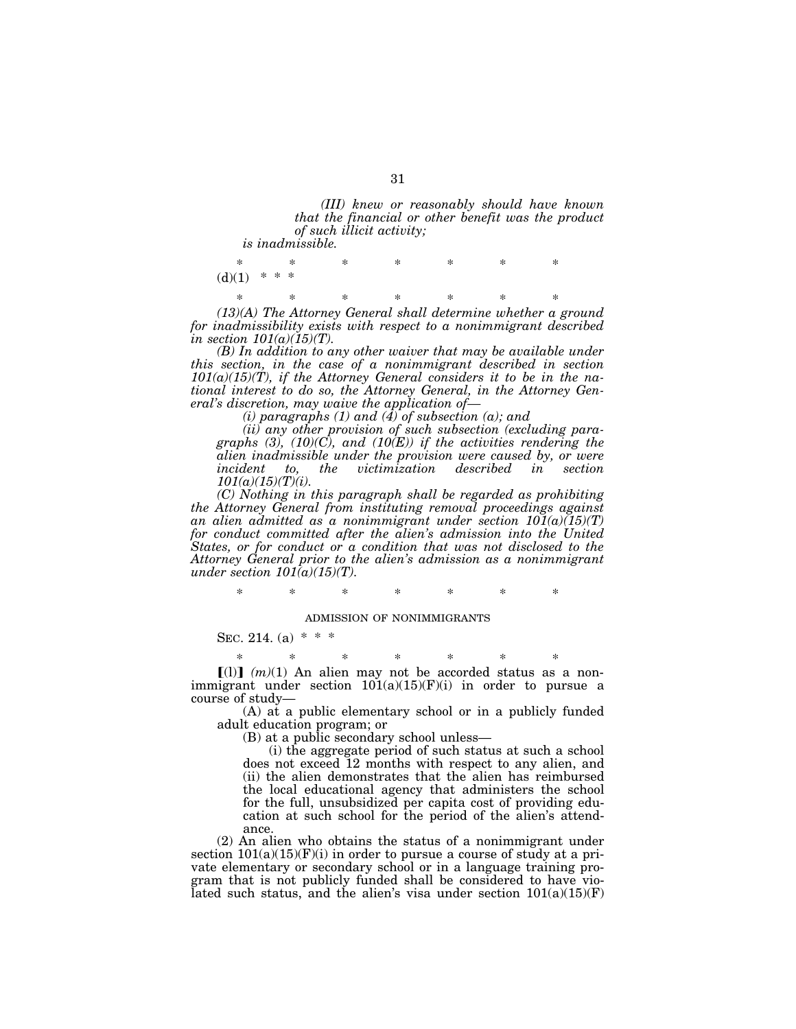*(III) knew or reasonably should have known that the financial or other benefit was the product of such illicit activity;*

*is inadmissible.*

\* \* \* \* \* \* \*  $(d)(1)$  \* \* \* \* \* \* \* \* \* \*

*(13)(A) The Attorney General shall determine whether a ground for inadmissibility exists with respect to a nonimmigrant described in section 101(a)(15)(T).*

*(B) In addition to any other waiver that may be available under this section, in the case of a nonimmigrant described in section 101(a)(15)(T), if the Attorney General considers it to be in the national interest to do so, the Attorney General, in the Attorney General's discretion, may waive the application of—*

*(i) paragraphs (1) and (4) of subsection (a); and*

*(ii) any other provision of such subsection (excluding paragraphs (3), (10)(C), and (10(E)) if the activities rendering the alien inadmissible under the provision were caused by, or were incident to, the victimization described in section 101(a)(15)(T)(i).*

*(C) Nothing in this paragraph shall be regarded as prohibiting the Attorney General from instituting removal proceedings against an alien admitted as a nonimmigrant under section 101(a)(15)(T) for conduct committed after the alien's admission into the United States, or for conduct or a condition that was not disclosed to the Attorney General prior to the alien's admission as a nonimmigrant under section*  $101(a)(15)(T)$ *.* 

\* \* \* \* \* \* \*

#### ADMISSION OF NONIMMIGRANTS

SEC. 214. (a)  $* * *$ 

\* \* \* \* \* \* \*  $[(1)]$   $(m)(1)$  An alien may not be accorded status as a nonimmigrant under section  $101(a)(15)(F)(i)$  in order to pursue a course of study—

(A) at a public elementary school or in a publicly funded adult education program; or

(B) at a public secondary school unless—

(i) the aggregate period of such status at such a school does not exceed 12 months with respect to any alien, and (ii) the alien demonstrates that the alien has reimbursed the local educational agency that administers the school for the full, unsubsidized per capita cost of providing education at such school for the period of the alien's attendance.

(2) An alien who obtains the status of a nonimmigrant under section  $101(a)(15)(F)(i)$  in order to pursue a course of study at a private elementary or secondary school or in a language training program that is not publicly funded shall be considered to have violated such status, and the alien's visa under section  $101(a)(15)(F)$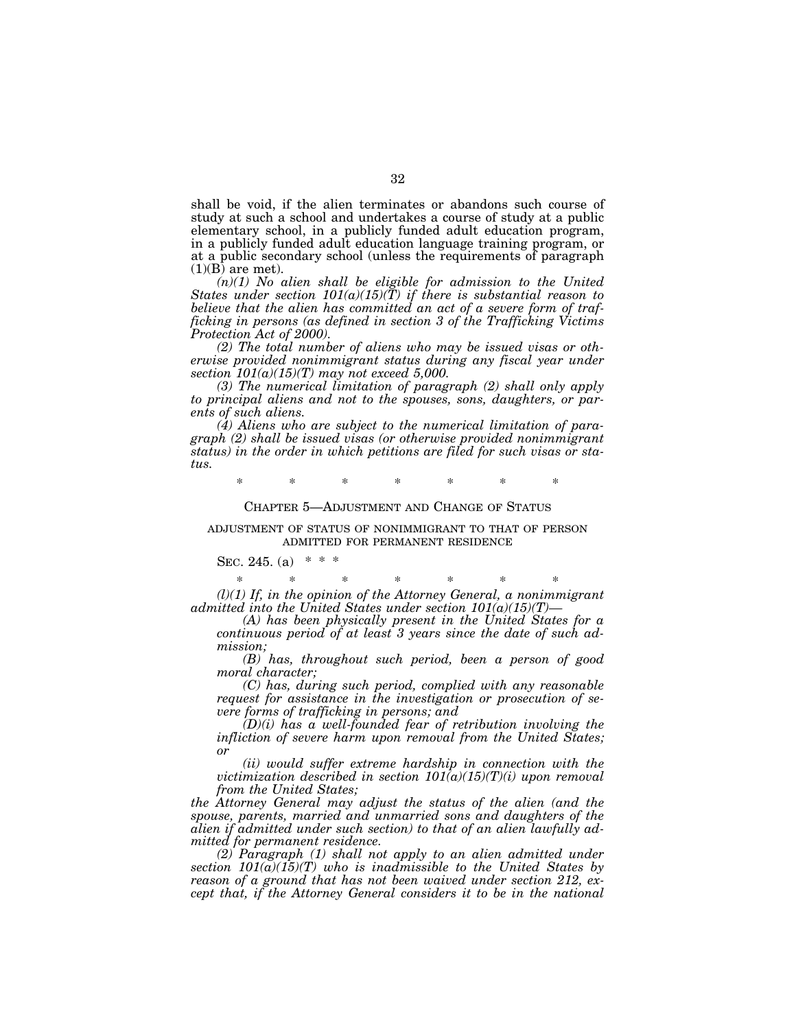shall be void, if the alien terminates or abandons such course of study at such a school and undertakes a course of study at a public elementary school, in a publicly funded adult education program, in a publicly funded adult education language training program, or at a public secondary school (unless the requirements of paragraph  $(1)(B)$  are met).

*(n)(1) No alien shall be eligible for admission to the United States under section 101(a)(15)(T) if there is substantial reason to believe that the alien has committed an act of a severe form of trafficking in persons (as defined in section 3 of the Trafficking Victims Protection Act of 2000).*

*(2) The total number of aliens who may be issued visas or otherwise provided nonimmigrant status during any fiscal year under section 101(a)(15)(T) may not exceed 5,000.*

*(3) The numerical limitation of paragraph (2) shall only apply to principal aliens and not to the spouses, sons, daughters, or parents of such aliens.*

*(4) Aliens who are subject to the numerical limitation of paragraph (2) shall be issued visas (or otherwise provided nonimmigrant status) in the order in which petitions are filed for such visas or status.*

\* \* \* \* \* \* \*

#### CHAPTER 5—ADJUSTMENT AND CHANGE OF STATUS

## ADJUSTMENT OF STATUS OF NONIMMIGRANT TO THAT OF PERSON ADMITTED FOR PERMANENT RESIDENCE

SEC. 245. (a)  $*$  \*

\* \* \* \* \* \* \* *(l)(1) If, in the opinion of the Attorney General, a nonimmigrant admitted into the United States under section 101(a)(15)(T)—*

*(A) has been physically present in the United States for a continuous period of at least 3 years since the date of such admission;*

*(B) has, throughout such period, been a person of good moral character;*

*(C) has, during such period, complied with any reasonable request for assistance in the investigation or prosecution of severe forms of trafficking in persons; and*

*(D)(i) has a well-founded fear of retribution involving the infliction of severe harm upon removal from the United States; or*

*(ii) would suffer extreme hardship in connection with the victimization described in section 101(a)(15)(T)(i) upon removal from the United States;*

*the Attorney General may adjust the status of the alien (and the spouse, parents, married and unmarried sons and daughters of the alien if admitted under such section) to that of an alien lawfully admitted for permanent residence.*

*(2) Paragraph (1) shall not apply to an alien admitted under section 101(a)(15)(T) who is inadmissible to the United States by reason of a ground that has not been waived under section 212, except that, if the Attorney General considers it to be in the national*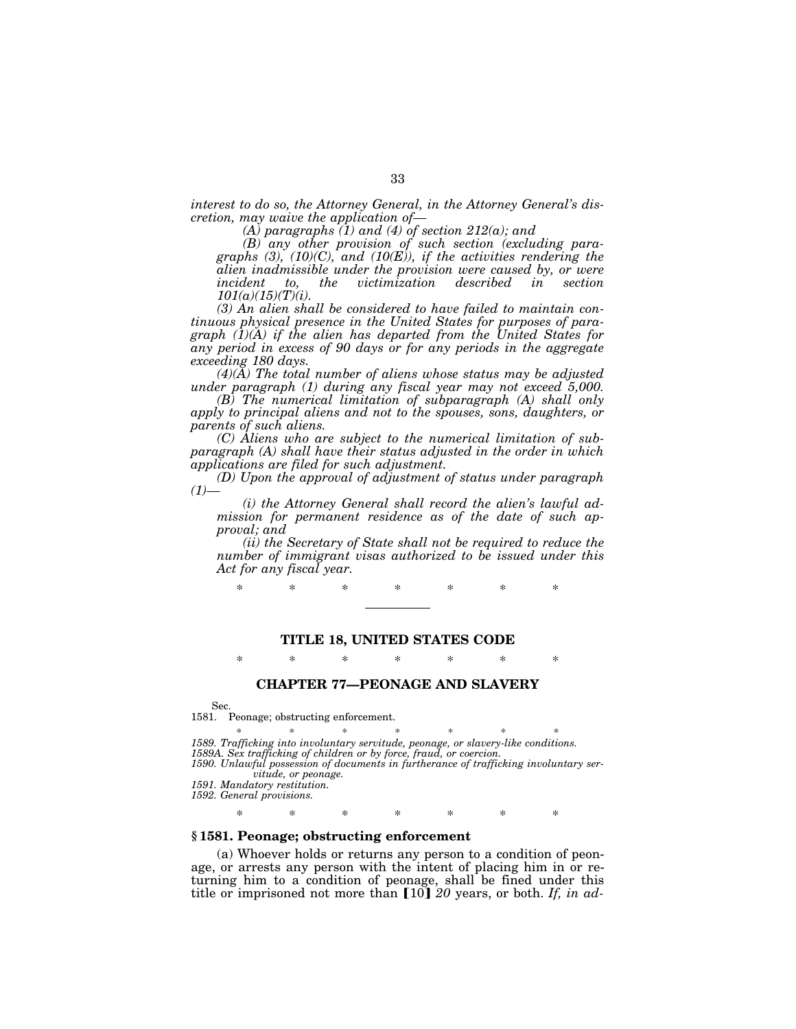*interest to do so, the Attorney General, in the Attorney General's discretion, may waive the application of—*

*(A) paragraphs (1) and (4) of section 212(a); and*

*(B) any other provision of such section (excluding paragraphs (3), (10)(C), and (10(E)), if the activities rendering the alien inadmissible under the provision were caused by, or were incident to, the victimization described in section 101(a)(15)(T)(i).*

*(3) An alien shall be considered to have failed to maintain continuous physical presence in the United States for purposes of paragraph (1)(A) if the alien has departed from the United States for any period in excess of 90 days or for any periods in the aggregate exceeding 180 days.*

*(4)(A) The total number of aliens whose status may be adjusted under paragraph (1) during any fiscal year may not exceed 5,000.*

*(B) The numerical limitation of subparagraph (A) shall only apply to principal aliens and not to the spouses, sons, daughters, or parents of such aliens.*

*(C) Aliens who are subject to the numerical limitation of subparagraph (A) shall have their status adjusted in the order in which applications are filed for such adjustment.*

*(D) Upon the approval of adjustment of status under paragraph*  $(1)$ 

*(i) the Attorney General shall record the alien's lawful admission for permanent residence as of the date of such approval; and*

*(ii) the Secretary of State shall not be required to reduce the number of immigrant visas authorized to be issued under this Act for any fiscal year.*

\* \* \* \* \* \* \*

## **TITLE 18, UNITED STATES CODE**

\* \* \* \* \* \* \*

# **CHAPTER 77—PEONAGE AND SLAVERY**

Sec.

1581. Peonage; obstructing enforcement.

\* \* \* \* \* \* \* *1589. Trafficking into involuntary servitude, peonage, or slavery-like conditions. 1589A. Sex trafficking of children or by force, fraud, or coercion. 1590. Unlawful possession of documents in furtherance of trafficking involuntary ser-*

*vitude, or peonage.*

*1591. Mandatory restitution.*

*1592. General provisions.*

\* \* \* \* \* \* \*

# **§ 1581. Peonage; obstructing enforcement**

(a) Whoever holds or returns any person to a condition of peonage, or arrests any person with the intent of placing him in or returning him to a condition of peonage, shall be fined under this title or imprisoned not more than [10] 20 years, or both. If, in ad-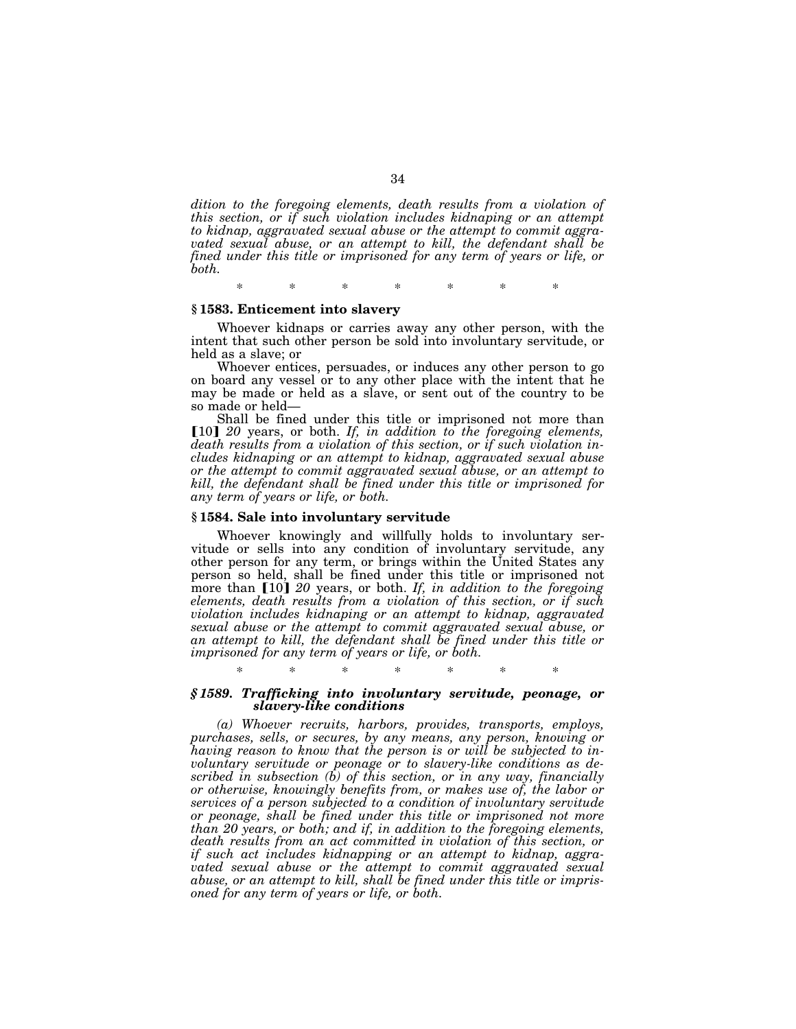*dition to the foregoing elements, death results from a violation of this section, or if such violation includes kidnaping or an attempt to kidnap, aggravated sexual abuse or the attempt to commit aggravated sexual abuse, or an attempt to kill, the defendant shall be fined under this title or imprisoned for any term of years or life, or both.*

\* \* \* \* \* \* \*

# **§ 1583. Enticement into slavery**

Whoever kidnaps or carries away any other person, with the intent that such other person be sold into involuntary servitude, or held as a slave; or

Whoever entices, persuades, or induces any other person to go on board any vessel or to any other place with the intent that he may be made or held as a slave, or sent out of the country to be so made or held—

Shall be fined under this title or imprisoned not more than [10] 20 years, or both. If, in addition to the foregoing elements, *death results from a violation of this section, or if such violation includes kidnaping or an attempt to kidnap, aggravated sexual abuse or the attempt to commit aggravated sexual abuse, or an attempt to kill, the defendant shall be fined under this title or imprisoned for any term of years or life, or both.*

#### **§ 1584. Sale into involuntary servitude**

Whoever knowingly and willfully holds to involuntary servitude or sells into any condition of involuntary servitude, any other person for any term, or brings within the United States any person so held, shall be fined under this title or imprisoned not more than [10] 20 years, or both. If, in addition to the foregoing *elements, death results from a violation of this section, or if such violation includes kidnaping or an attempt to kidnap, aggravated sexual abuse or the attempt to commit aggravated sexual abuse, or an attempt to kill, the defendant shall be fined under this title or imprisoned for any term of years or life, or both.*

\* \* \* \* \* \* \*

## *§ 1589. Trafficking into involuntary servitude, peonage, or slavery-like conditions*

*(a) Whoever recruits, harbors, provides, transports, employs, purchases, sells, or secures, by any means, any person, knowing or having reason to know that the person is or will be subjected to involuntary servitude or peonage or to slavery-like conditions as described in subsection (b) of this section, or in any way, financially or otherwise, knowingly benefits from, or makes use of, the labor or services of a person subjected to a condition of involuntary servitude or peonage, shall be fined under this title or imprisoned not more than 20 years, or both; and if, in addition to the foregoing elements, death results from an act committed in violation of this section, or if such act includes kidnapping or an attempt to kidnap, aggravated sexual abuse or the attempt to commit aggravated sexual abuse, or an attempt to kill, shall be fined under this title or imprisoned for any term of years or life, or both.*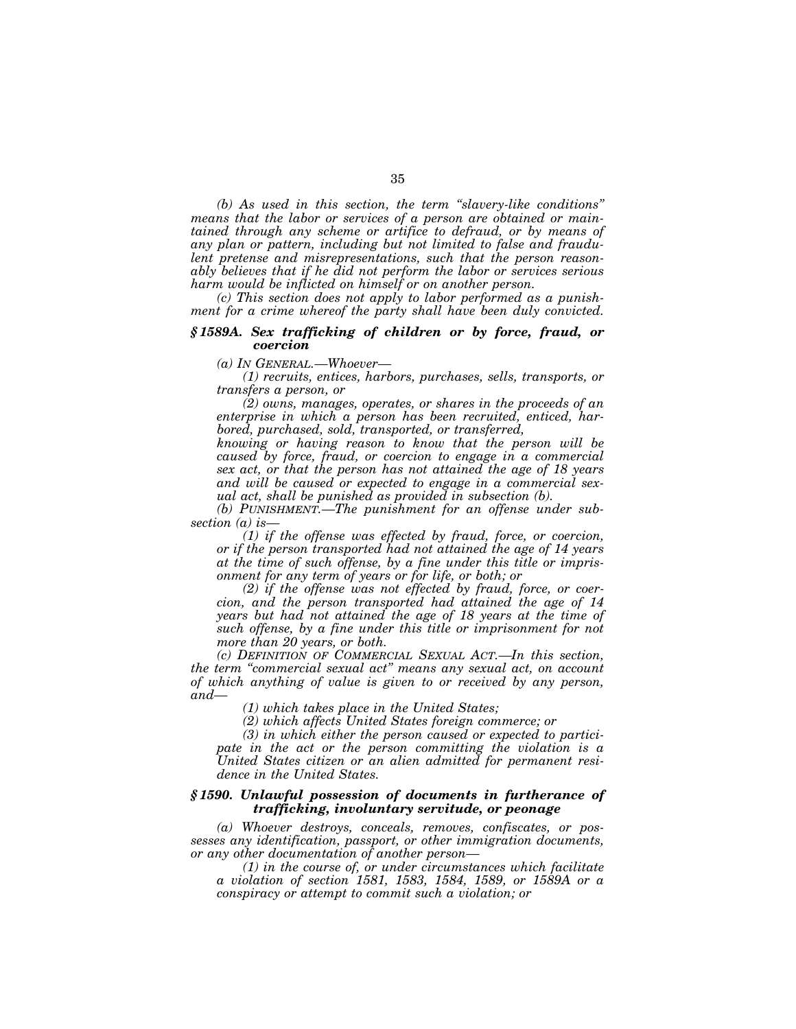*(b) As used in this section, the term ''slavery-like conditions'' means that the labor or services of a person are obtained or maintained through any scheme or artifice to defraud, or by means of any plan or pattern, including but not limited to false and fraudulent pretense and misrepresentations, such that the person reasonably believes that if he did not perform the labor or services serious harm would be inflicted on himself or on another person.*

*(c) This section does not apply to labor performed as a punishment for a crime whereof the party shall have been duly convicted.*

# *§ 1589A. Sex trafficking of children or by force, fraud, or coercion*

*(a) IN GENERAL.—Whoever—*

*(1) recruits, entices, harbors, purchases, sells, transports, or transfers a person, or*

*(2) owns, manages, operates, or shares in the proceeds of an enterprise in which a person has been recruited, enticed, harbored, purchased, sold, transported, or transferred,*

*knowing or having reason to know that the person will be caused by force, fraud, or coercion to engage in a commercial sex act, or that the person has not attained the age of 18 years and will be caused or expected to engage in a commercial sexual act, shall be punished as provided in subsection (b).*

*(b) PUNISHMENT.—The punishment for an offense under subsection (a) is—*

*(1) if the offense was effected by fraud, force, or coercion, or if the person transported had not attained the age of 14 years at the time of such offense, by a fine under this title or imprisonment for any term of years or for life, or both; or*

*(2) if the offense was not effected by fraud, force, or coercion, and the person transported had attained the age of 14 years but had not attained the age of 18 years at the time of such offense, by a fine under this title or imprisonment for not more than 20 years, or both.*

*(c) DEFINITION OF COMMERCIAL SEXUAL ACT.—In this section, the term ''commercial sexual act'' means any sexual act, on account of which anything of value is given to or received by any person, and—*

*(1) which takes place in the United States;*

*(2) which affects United States foreign commerce; or*

*(3) in which either the person caused or expected to participate in the act or the person committing the violation is a United States citizen or an alien admitted for permanent residence in the United States.*

# *§ 1590. Unlawful possession of documents in furtherance of trafficking, involuntary servitude, or peonage*

*(a) Whoever destroys, conceals, removes, confiscates, or possesses any identification, passport, or other immigration documents, or any other documentation of another person—*

*(1) in the course of, or under circumstances which facilitate a violation of section 1581, 1583, 1584, 1589, or 1589A or a conspiracy or attempt to commit such a violation; or*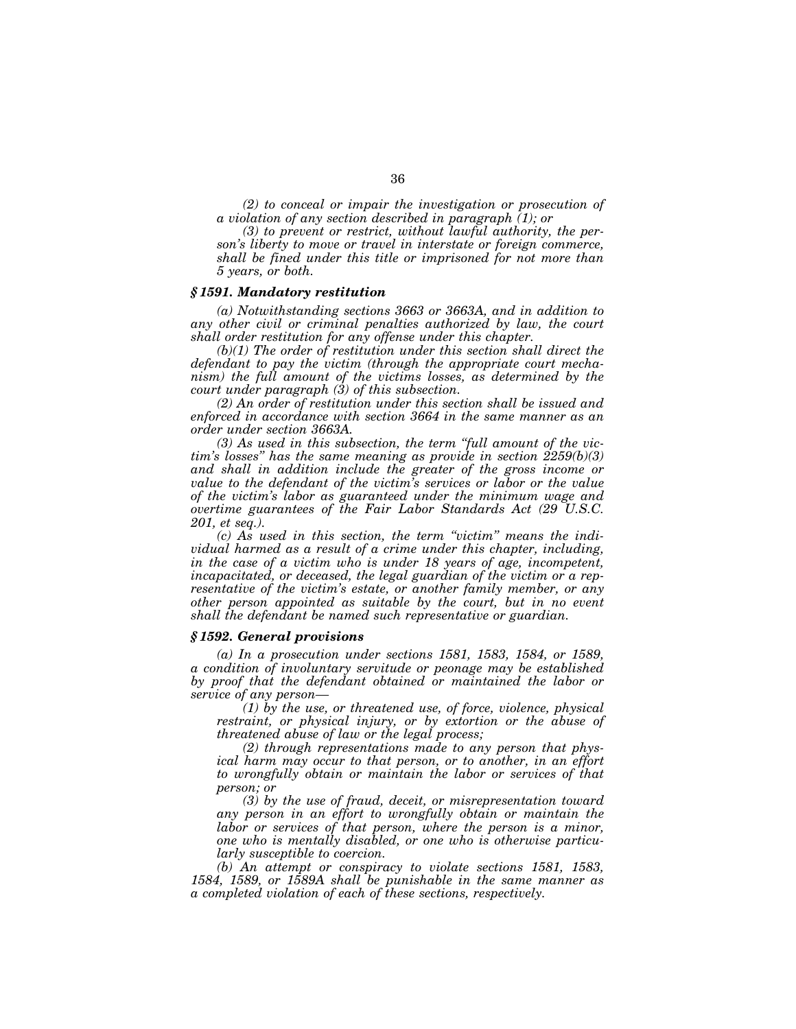*(2) to conceal or impair the investigation or prosecution of a violation of any section described in paragraph (1); or*

*(3) to prevent or restrict, without lawful authority, the person's liberty to move or travel in interstate or foreign commerce, shall be fined under this title or imprisoned for not more than 5 years, or both.*

## *§ 1591. Mandatory restitution*

*(a) Notwithstanding sections 3663 or 3663A, and in addition to any other civil or criminal penalties authorized by law, the court shall order restitution for any offense under this chapter.*

*(b)(1) The order of restitution under this section shall direct the defendant to pay the victim (through the appropriate court mechanism) the full amount of the victims losses, as determined by the court under paragraph (3) of this subsection.*

*(2) An order of restitution under this section shall be issued and enforced in accordance with section 3664 in the same manner as an order under section 3663A.*

*(3) As used in this subsection, the term ''full amount of the victim's losses'' has the same meaning as provide in section 2259(b)(3) and shall in addition include the greater of the gross income or value to the defendant of the victim's services or labor or the value of the victim's labor as guaranteed under the minimum wage and overtime guarantees of the Fair Labor Standards Act (29 U.S.C. 201, et seq.).*

*(c) As used in this section, the term ''victim'' means the individual harmed as a result of a crime under this chapter, including, in the case of a victim who is under 18 years of age, incompetent, incapacitated, or deceased, the legal guardian of the victim or a representative of the victim's estate, or another family member, or any other person appointed as suitable by the court, but in no event shall the defendant be named such representative or guardian.*

## *§ 1592. General provisions*

*(a) In a prosecution under sections 1581, 1583, 1584, or 1589, a condition of involuntary servitude or peonage may be established by proof that the defendant obtained or maintained the labor or service of any person—*

*(1) by the use, or threatened use, of force, violence, physical restraint, or physical injury, or by extortion or the abuse of threatened abuse of law or the legal process;*

*(2) through representations made to any person that physical harm may occur to that person, or to another, in an effort to wrongfully obtain or maintain the labor or services of that person; or*

*(3) by the use of fraud, deceit, or misrepresentation toward any person in an effort to wrongfully obtain or maintain the labor or services of that person, where the person is a minor, one who is mentally disabled, or one who is otherwise particularly susceptible to coercion.*

*(b) An attempt or conspiracy to violate sections 1581, 1583, 1584, 1589, or 1589A shall be punishable in the same manner as a completed violation of each of these sections, respectively.*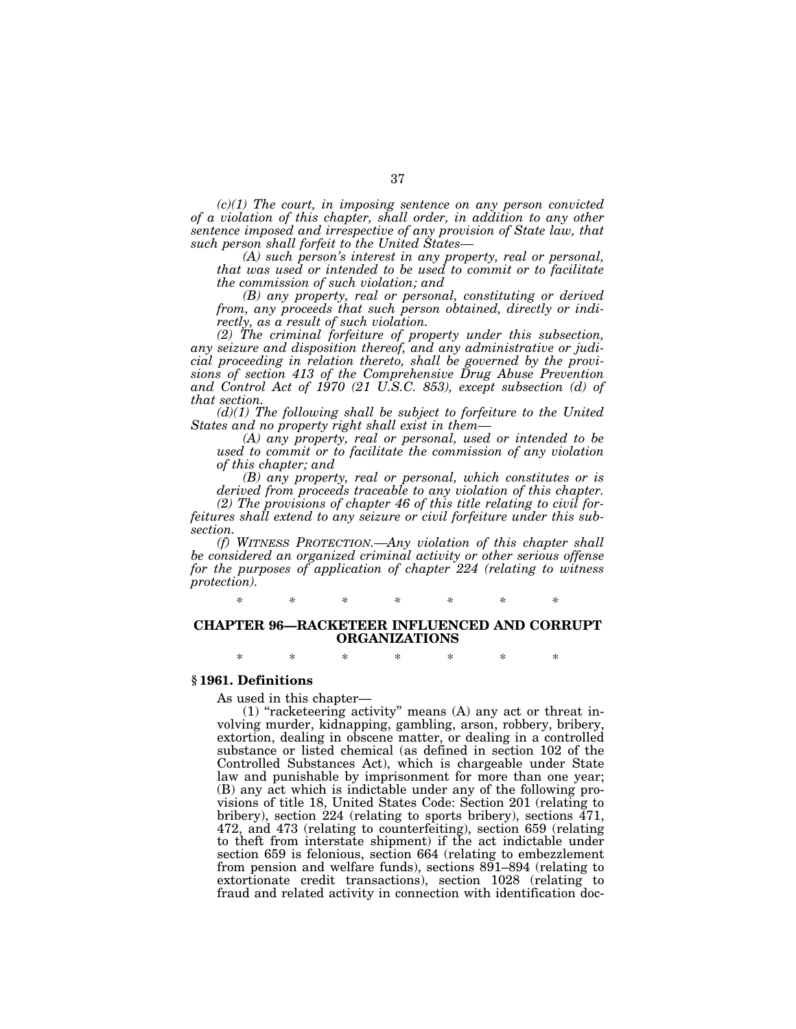*(c)(1) The court, in imposing sentence on any person convicted of a violation of this chapter, shall order, in addition to any other sentence imposed and irrespective of any provision of State law, that such person shall forfeit to the United States—*

*(A) such person's interest in any property, real or personal, that was used or intended to be used to commit or to facilitate the commission of such violation; and*

*(B) any property, real or personal, constituting or derived from, any proceeds that such person obtained, directly or indirectly, as a result of such violation.*

*(2) The criminal forfeiture of property under this subsection, any seizure and disposition thereof, and any administrative or judicial proceeding in relation thereto, shall be governed by the provisions of section 413 of the Comprehensive Drug Abuse Prevention and Control Act of 1970 (21 U.S.C. 853), except subsection (d) of that section.*

*(d)(1) The following shall be subject to forfeiture to the United States and no property right shall exist in them—*

*(A) any property, real or personal, used or intended to be used to commit or to facilitate the commission of any violation of this chapter; and*

*(B) any property, real or personal, which constitutes or is derived from proceeds traceable to any violation of this chapter.*

*(2) The provisions of chapter 46 of this title relating to civil forfeitures shall extend to any seizure or civil forfeiture under this subsection.*

*(f) WITNESS PROTECTION.—Any violation of this chapter shall be considered an organized criminal activity or other serious offense for the purposes of application of chapter 224 (relating to witness protection).*

*\* \* \* \* \* \* \**

# **CHAPTER 96—RACKETEER INFLUENCED AND CORRUPT ORGANIZATIONS**

\* \* \* \* \* \* \*

# **§ 1961. Definitions**

As used in this chapter—

 $(1)$  "racketeering activity" means  $(A)$  any act or threat involving murder, kidnapping, gambling, arson, robbery, bribery, extortion, dealing in obscene matter, or dealing in a controlled substance or listed chemical (as defined in section 102 of the Controlled Substances Act), which is chargeable under State law and punishable by imprisonment for more than one year; (B) any act which is indictable under any of the following provisions of title 18, United States Code: Section 201 (relating to bribery), section  $224$  (relating to sports bribery), sections  $\frac{471}{471}$ , 472, and 473 (relating to counterfeiting), section 659 (relating to theft from interstate shipment) if the act indictable under section 659 is felonious, section 664 (relating to embezzlement from pension and welfare funds), sections 891–894 (relating to extortionate credit transactions), section 1028 (relating to fraud and related activity in connection with identification doc-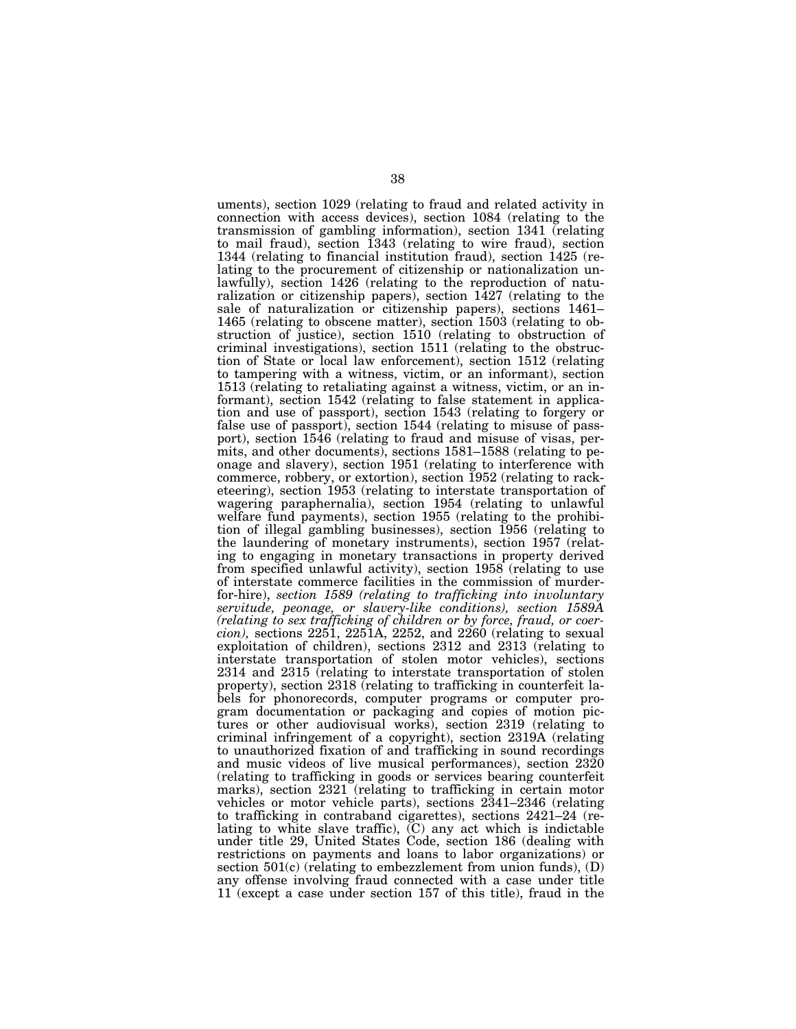uments), section 1029 (relating to fraud and related activity in connection with access devices), section 1084 (relating to the transmission of gambling information), section 1341 (relating to mail fraud), section 1343 (relating to wire fraud), section 1344 (relating to financial institution fraud), section 1425 (relating to the procurement of citizenship or nationalization unlawfully), section 1426 (relating to the reproduction of naturalization or citizenship papers), section 1427 (relating to the sale of naturalization or citizenship papers), sections 1461– 1465 (relating to obscene matter), section 1503 (relating to obstruction of justice), section 1510 (relating to obstruction of criminal investigations), section 1511 (relating to the obstruction of State or local law enforcement), section 1512 (relating to tampering with a witness, victim, or an informant), section 1513 (relating to retaliating against a witness, victim, or an informant), section 1542 (relating to false statement in application and use of passport), section 1543 (relating to forgery or false use of passport), section 1544 (relating to misuse of passport), section 1546 (relating to fraud and misuse of visas, permits, and other documents), sections 1581–1588 (relating to peonage and slavery), section 1951 (relating to interference with commerce, robbery, or extortion), section 1952 (relating to racketeering), section 1953 (relating to interstate transportation of wagering paraphernalia), section 1954 (relating to unlawful welfare fund payments), section 1955 (relating to the prohibition of illegal gambling businesses), section 1956 (relating to the laundering of monetary instruments), section 1957 (relating to engaging in monetary transactions in property derived from specified unlawful activity), section 1958 (relating to use of interstate commerce facilities in the commission of murderfor-hire), *section 1589 (relating to trafficking into involuntary servitude, peonage, or slavery-like conditions), section 1589A (relating to sex trafficking of children or by force, fraud, or coercion),* sections 2251, 2251A, 2252, and 2260 (relating to sexual exploitation of children), sections 2312 and 2313 (relating to interstate transportation of stolen motor vehicles), sections 2314 and 2315 (relating to interstate transportation of stolen property), section 2318 (relating to trafficking in counterfeit labels for phonorecords, computer programs or computer program documentation or packaging and copies of motion pictures or other audiovisual works), section 2319 (relating to criminal infringement of a copyright), section 2319A (relating to unauthorized fixation of and trafficking in sound recordings and music videos of live musical performances), section 2320 (relating to trafficking in goods or services bearing counterfeit marks), section 2321 (relating to trafficking in certain motor vehicles or motor vehicle parts), sections 2341–2346 (relating to trafficking in contraband cigarettes), sections 2421–24 (relating to white slave traffic), (C) any act which is indictable under title 29, United States Code, section 186 (dealing with restrictions on payments and loans to labor organizations) or section  $501(c)$  (relating to embezzlement from union funds), (D) any offense involving fraud connected with a case under title 11 (except a case under section 157 of this title), fraud in the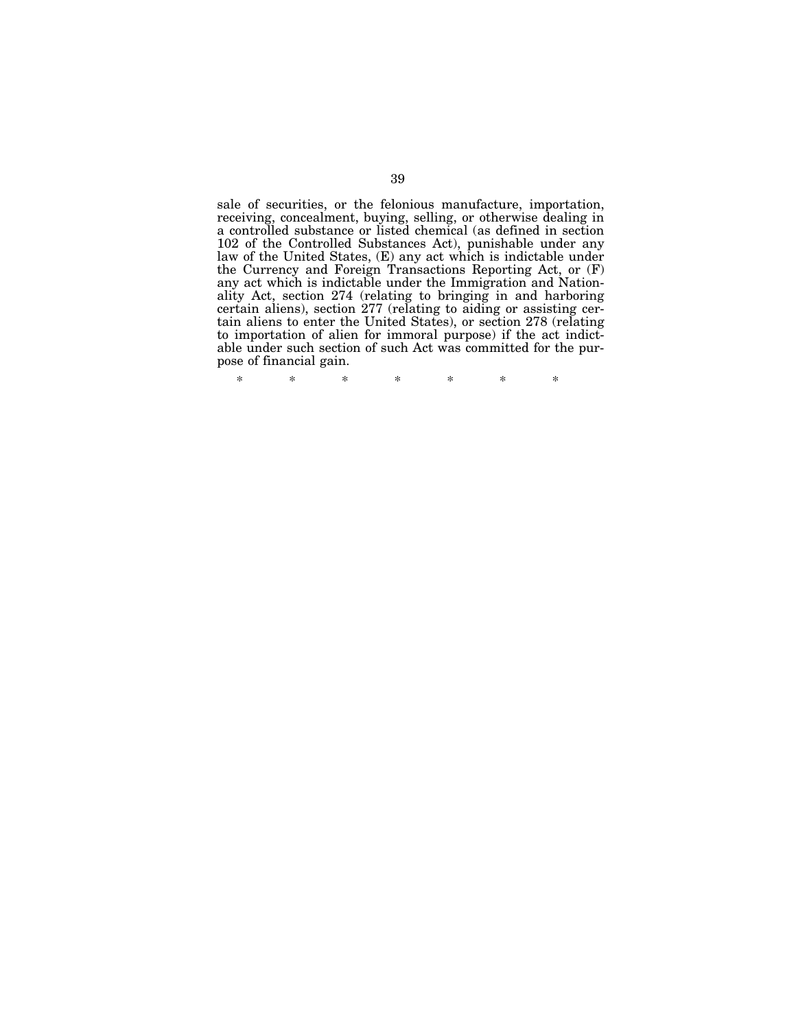sale of securities, or the felonious manufacture, importation, receiving, concealment, buying, selling, or otherwise dealing in a controlled substance or listed chemical (as defined in section 102 of the Controlled Substances Act), punishable under any law of the United States, (E) any act which is indictable under the Currency and Foreign Transactions Reporting Act, or (F) any act which is indictable under the Immigration and Nationality Act, section 274 (relating to bringing in and harboring certain aliens), section 277 (relating to aiding or assisting certain aliens to enter the United States), or section 278 (relating to importation of alien for immoral purpose) if the act indictable under such section of such Act was committed for the purpose of financial gain.

\* \* \* \* \* \* \*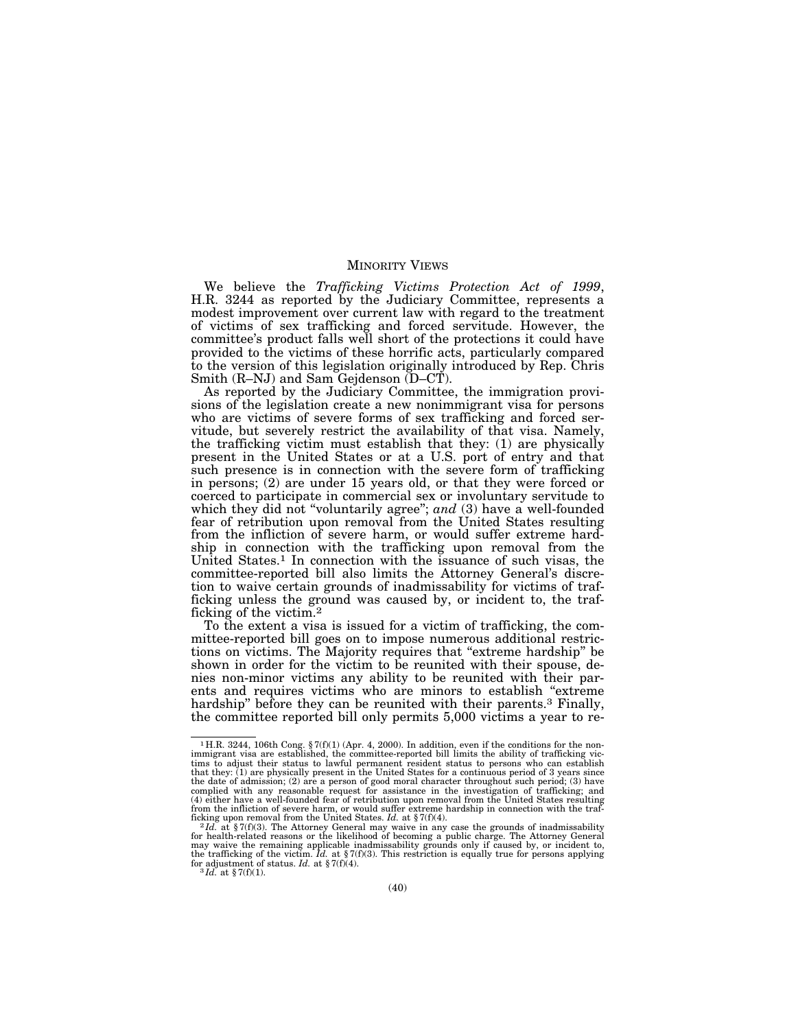# MINORITY VIEWS

We believe the *Trafficking Victims Protection Act of 1999*, H.R. 3244 as reported by the Judiciary Committee, represents a modest improvement over current law with regard to the treatment of victims of sex trafficking and forced servitude. However, the committee's product falls well short of the protections it could have provided to the victims of these horrific acts, particularly compared to the version of this legislation originally introduced by Rep. Chris Smith (R–NJ) and Sam Gejdenson (D–CT).

As reported by the Judiciary Committee, the immigration provisions of the legislation create a new nonimmigrant visa for persons who are victims of severe forms of sex trafficking and forced servitude, but severely restrict the availability of that visa. Namely, the trafficking victim must establish that they: (1) are physically present in the United States or at a U.S. port of entry and that such presence is in connection with the severe form of trafficking in persons; (2) are under 15 years old, or that they were forced or coerced to participate in commercial sex or involuntary servitude to which they did not "voluntarily agree"; and (3) have a well-founded fear of retribution upon removal from the United States resulting from the infliction of severe harm, or would suffer extreme hardship in connection with the trafficking upon removal from the United States.1 In connection with the issuance of such visas, the committee-reported bill also limits the Attorney General's discretion to waive certain grounds of inadmissability for victims of trafficking unless the ground was caused by, or incident to, the trafficking of the victim.2

To the extent a visa is issued for a victim of trafficking, the committee-reported bill goes on to impose numerous additional restrictions on victims. The Majority requires that ''extreme hardship'' be shown in order for the victim to be reunited with their spouse, denies non-minor victims any ability to be reunited with their parents and requires victims who are minors to establish ''extreme hardship" before they can be reunited with their parents.<sup>3</sup> Finally, the committee reported bill only permits 5,000 victims a year to re-

<sup>&</sup>lt;sup>1</sup> H.R. 3244, 106th Cong. § 7(f)(1) (Apr. 4, 2000). In addition, even if the conditions for the non-immigrant visa are established, the committee-reported bill limits the ability of trafficking victims to adjust their status to lawful permanent resident status to persons who can establish<br>that they: (1) are physically present in the United States for a continuous period of 3 years since<br>the date of admission; (2) ar complied with any reasonable request for assistance in the investigation of trafficking; and (4) either have a well-founded fear of retribution upon removal from the United States resulting from the infliction of severe harm, or would suffer extreme hardship in connection with the traf-

ficking upon removal from the United States. Id. at § 7(f)(4).<br>" 2Id. at § 7(f)(3). The Attorney General may waive in any case the grounds of inadmissability<br>for health-related reasons or the likelihood of becoming a publi may waive the remaining applicable inadmissability grounds only if caused by, or incident to, the trafficking of the victim. *Id.* at § 7(f)(3). This restriction is equally true for persons applying for adjustment of status. *Id.* at § 7(f)(4).  ${}^{3}Id.$  at § 7(f)(1).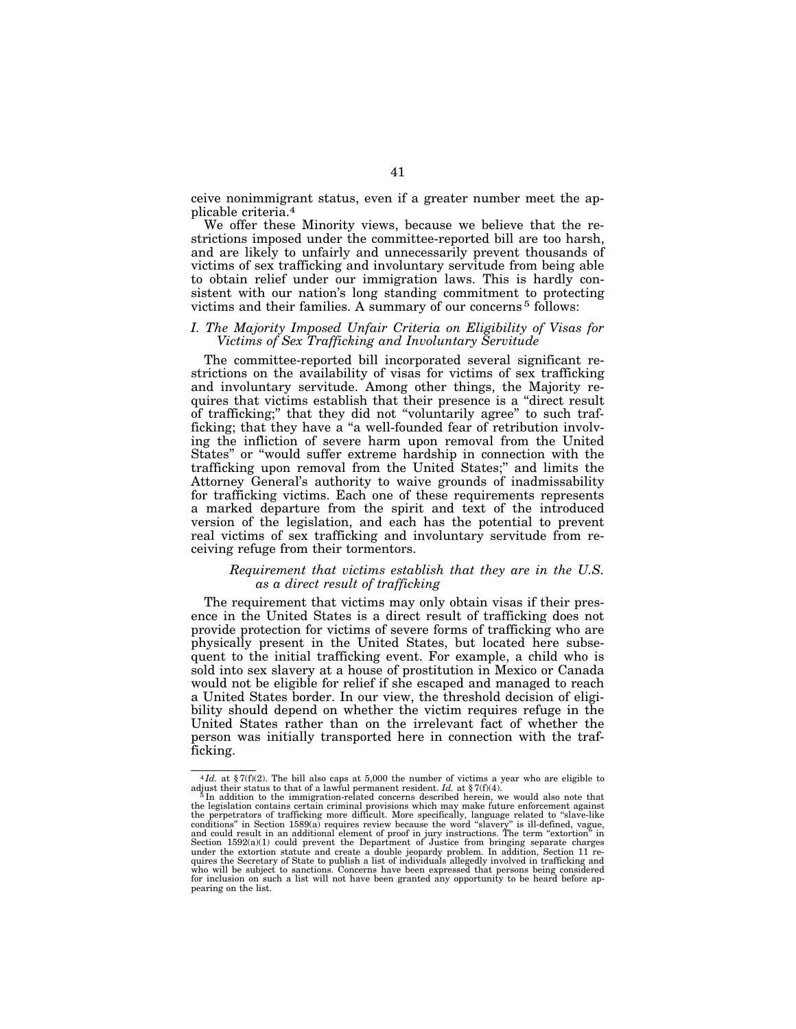ceive nonimmigrant status, even if a greater number meet the applicable criteria.4

We offer these Minority views, because we believe that the restrictions imposed under the committee-reported bill are too harsh, and are likely to unfairly and unnecessarily prevent thousands of victims of sex trafficking and involuntary servitude from being able to obtain relief under our immigration laws. This is hardly consistent with our nation's long standing commitment to protecting victims and their families. A summary of our concerns 5 follows:

# *I. The Majority Imposed Unfair Criteria on Eligibility of Visas for Victims of Sex Trafficking and Involuntary Servitude*

The committee-reported bill incorporated several significant restrictions on the availability of visas for victims of sex trafficking and involuntary servitude. Among other things, the Majority requires that victims establish that their presence is a ''direct result of trafficking;'' that they did not ''voluntarily agree'' to such trafficking; that they have a "a well-founded fear of retribution involving the infliction of severe harm upon removal from the United States'' or ''would suffer extreme hardship in connection with the trafficking upon removal from the United States;'' and limits the Attorney General's authority to waive grounds of inadmissability for trafficking victims. Each one of these requirements represents a marked departure from the spirit and text of the introduced version of the legislation, and each has the potential to prevent real victims of sex trafficking and involuntary servitude from receiving refuge from their tormentors.

# *Requirement that victims establish that they are in the U.S. as a direct result of trafficking*

The requirement that victims may only obtain visas if their presence in the United States is a direct result of trafficking does not provide protection for victims of severe forms of trafficking who are physically present in the United States, but located here subsequent to the initial trafficking event. For example, a child who is sold into sex slavery at a house of prostitution in Mexico or Canada would not be eligible for relief if she escaped and managed to reach a United States border. In our view, the threshold decision of eligibility should depend on whether the victim requires refuge in the United States rather than on the irrelevant fact of whether the person was initially transported here in connection with the trafficking.

<sup>&</sup>lt;sup>4</sup>*Id.* at §7(f)(2). The bill also caps at 5,000 the number of victims a year who are eligible to

adjust their status to that of a lawful permanent resident.  $Id$ . at § 7(f)(4).<br><sup>5</sup>In addition to the immigration-related concerns described herein, we would also note that<br>the legislation contains certain criminal provisi and could result in an additional element of proof in jury instructions. The term "extortion" in<br>Section 1592(a)(1) could prevent the Department of Justice from bringing separate charges<br>under the extortion statute and cre pearing on the list.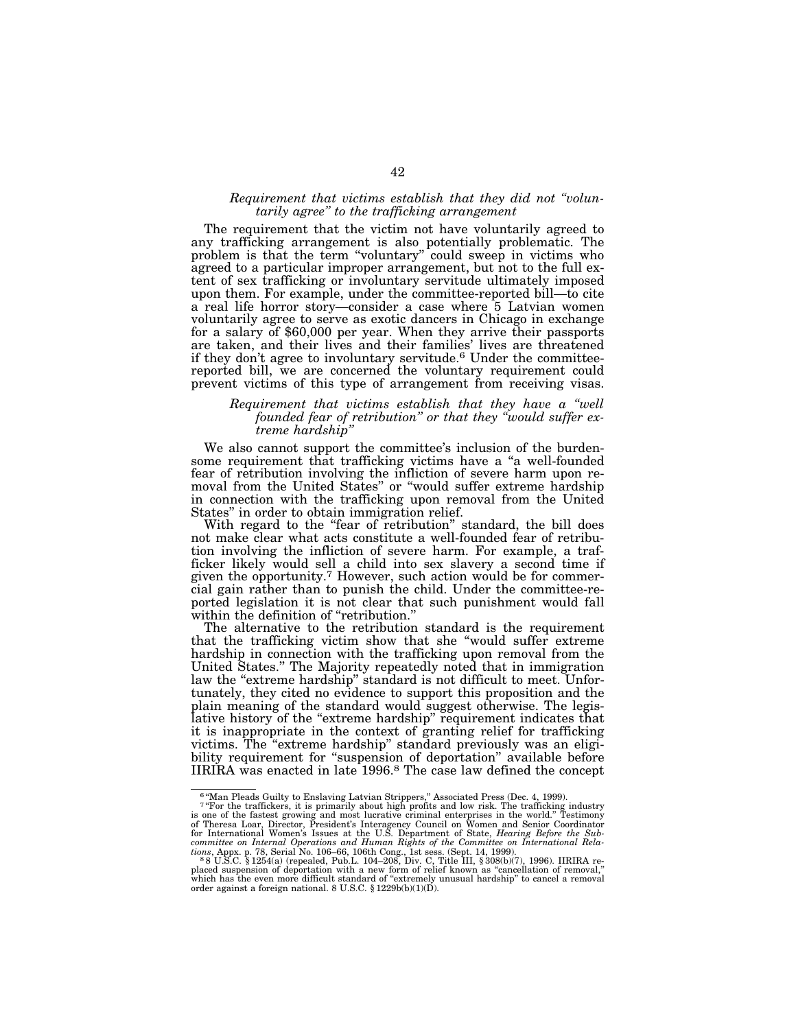# *Requirement that victims establish that they did not ''voluntarily agree'' to the trafficking arrangement*

The requirement that the victim not have voluntarily agreed to any trafficking arrangement is also potentially problematic. The problem is that the term ''voluntary'' could sweep in victims who agreed to a particular improper arrangement, but not to the full extent of sex trafficking or involuntary servitude ultimately imposed upon them. For example, under the committee-reported bill—to cite a real life horror story—consider a case where 5 Latvian women voluntarily agree to serve as exotic dancers in Chicago in exchange for a salary of \$60,000 per year. When they arrive their passports are taken, and their lives and their families' lives are threatened if they don't agree to involuntary servitude.6 Under the committeereported bill, we are concerned the voluntary requirement could prevent victims of this type of arrangement from receiving visas.

#### *Requirement that victims establish that they have a ''well founded fear of retribution'' or that they ''would suffer extreme hardship''*

We also cannot support the committee's inclusion of the burdensome requirement that trafficking victims have a ''a well-founded fear of retribution involving the infliction of severe harm upon removal from the United States'' or ''would suffer extreme hardship in connection with the trafficking upon removal from the United States'' in order to obtain immigration relief.

With regard to the "fear of retribution" standard, the bill does not make clear what acts constitute a well-founded fear of retribution involving the infliction of severe harm. For example, a trafficker likely would sell a child into sex slavery a second time if given the opportunity.7 However, such action would be for commercial gain rather than to punish the child. Under the committee-reported legislation it is not clear that such punishment would fall within the definition of "retribution."

The alternative to the retribution standard is the requirement that the trafficking victim show that she ''would suffer extreme hardship in connection with the trafficking upon removal from the United States.'' The Majority repeatedly noted that in immigration law the "extreme hardship" standard is not difficult to meet. Unfortunately, they cited no evidence to support this proposition and the plain meaning of the standard would suggest otherwise. The legislative history of the "extreme hardship" requirement indicates that it is inappropriate in the context of granting relief for trafficking victims. The ''extreme hardship'' standard previously was an eligibility requirement for "suspension of deportation" available before IIRIRA was enacted in late 1996.8 The case law defined the concept

<sup>6</sup> ''Man Pleads Guilty to Enslaving Latvian Strippers,'' Associated Press (Dec. 4, 1999).

<sup>&</sup>lt;sup>7</sup> "For the traffickers, it is primarily about high profits and low risk. The trafficking industry<br>is one of the fastest growing and most lucrative criminal enterprises in the world." Testimony<br>of Theresa Loar, Director, committee on Internal Operations and Human Rights of the Committee on International Rela-<br>tions, Appx. p. 78, Serial No. 106–66, 106th Cong., 1st sess. (Sept. 14, 1999).<br>- 8 S U.S.C. § 1254(a) (repealed, Pub.L. 104–208, Di

placed suspension of deportation with a new form of relief known as ''cancellation of removal,'' which has the even more difficult standard of ''extremely unusual hardship'' to cancel a removal order against a foreign national. 8 U.S.C. § 1229b(b)(1)(D).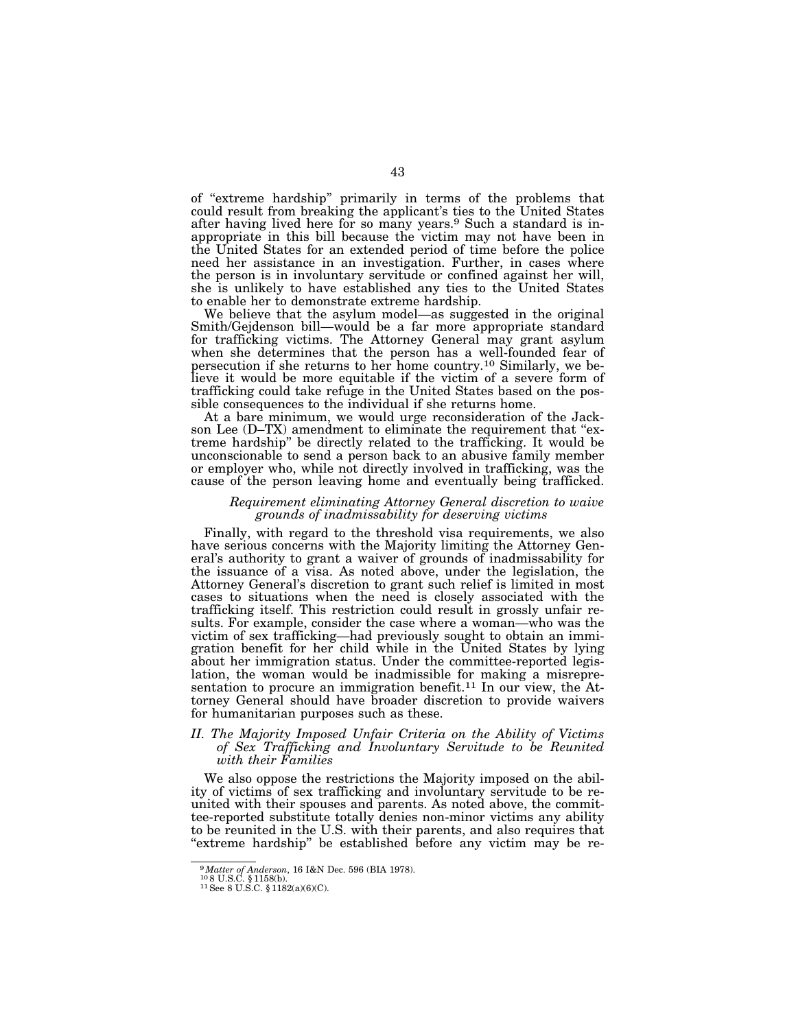of ''extreme hardship'' primarily in terms of the problems that could result from breaking the applicant's ties to the United States after having lived here for so many years.9 Such a standard is inappropriate in this bill because the victim may not have been in the United States for an extended period of time before the police need her assistance in an investigation. Further, in cases where the person is in involuntary servitude or confined against her will, she is unlikely to have established any ties to the United States to enable her to demonstrate extreme hardship.

We believe that the asylum model—as suggested in the original Smith/Gejdenson bill—would be a far more appropriate standard for trafficking victims. The Attorney General may grant asylum when she determines that the person has a well-founded fear of persecution if she returns to her home country.10 Similarly, we believe it would be more equitable if the victim of a severe form of trafficking could take refuge in the United States based on the possible consequences to the individual if she returns home.

At a bare minimum, we would urge reconsideration of the Jackson Lee (D–TX) amendment to eliminate the requirement that "extreme hardship'' be directly related to the trafficking. It would be unconscionable to send a person back to an abusive family member or employer who, while not directly involved in trafficking, was the cause of the person leaving home and eventually being trafficked.

#### *Requirement eliminating Attorney General discretion to waive grounds of inadmissability for deserving victims*

Finally, with regard to the threshold visa requirements, we also have serious concerns with the Majority limiting the Attorney General's authority to grant a waiver of grounds of inadmissability for the issuance of a visa. As noted above, under the legislation, the Attorney General's discretion to grant such relief is limited in most cases to situations when the need is closely associated with the trafficking itself. This restriction could result in grossly unfair results. For example, consider the case where a woman—who was the victim of sex trafficking—had previously sought to obtain an immigration benefit for her child while in the United States by lying about her immigration status. Under the committee-reported legislation, the woman would be inadmissible for making a misrepresentation to procure an immigration benefit.<sup>11</sup> In our view, the Attorney General should have broader discretion to provide waivers for humanitarian purposes such as these.

# *II. The Majority Imposed Unfair Criteria on the Ability of Victims of Sex Trafficking and Involuntary Servitude to be Reunited with their Families*

We also oppose the restrictions the Majority imposed on the ability of victims of sex trafficking and involuntary servitude to be reunited with their spouses and parents. As noted above, the committee-reported substitute totally denies non-minor victims any ability to be reunited in the U.S. with their parents, and also requires that ''extreme hardship'' be established before any victim may be re-

 $^{9}$  *Matter of Anderson*, 16 I&N Dec. 596 (BIA 1978).  $^{10}$ 8 U.S.C. § 1182(a)(6)(C).  $^{11}$  See 8 U.S.C. § 1182(a)(6)(C).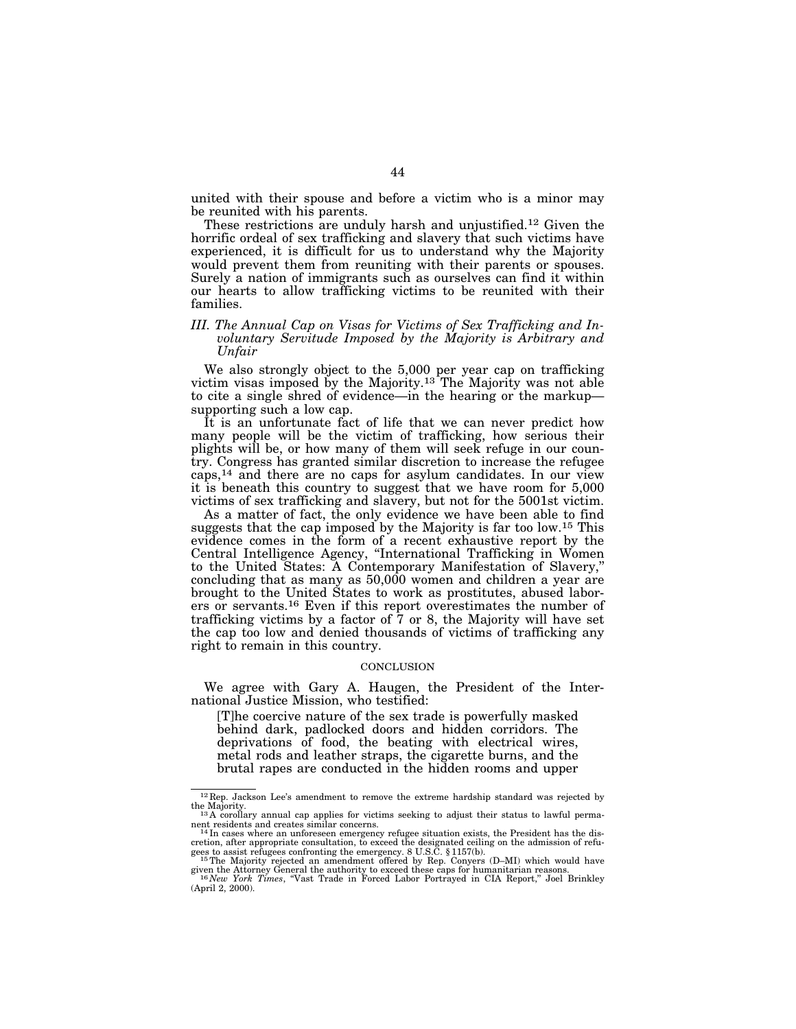united with their spouse and before a victim who is a minor may be reunited with his parents.

These restrictions are unduly harsh and unjustified.12 Given the horrific ordeal of sex trafficking and slavery that such victims have experienced, it is difficult for us to understand why the Majority would prevent them from reuniting with their parents or spouses. Surely a nation of immigrants such as ourselves can find it within our hearts to allow trafficking victims to be reunited with their families.

# *III. The Annual Cap on Visas for Victims of Sex Trafficking and Involuntary Servitude Imposed by the Majority is Arbitrary and Unfair*

We also strongly object to the 5,000 per year cap on trafficking victim visas imposed by the Majority.13 The Majority was not able to cite a single shred of evidence—in the hearing or the markup supporting such a low cap.

It is an unfortunate fact of life that we can never predict how many people will be the victim of trafficking, how serious their plights will be, or how many of them will seek refuge in our country. Congress has granted similar discretion to increase the refugee caps,14 and there are no caps for asylum candidates. In our view it is beneath this country to suggest that we have room for 5,000 victims of sex trafficking and slavery, but not for the 5001st victim.

As a matter of fact, the only evidence we have been able to find suggests that the cap imposed by the Majority is far too low.15 This evidence comes in the form of a recent exhaustive report by the Central Intelligence Agency, ''International Trafficking in Women to the United States: A Contemporary Manifestation of Slavery,'' concluding that as many as 50,000 women and children a year are brought to the United States to work as prostitutes, abused laborers or servants.16 Even if this report overestimates the number of trafficking victims by a factor of  $\overline{7}$  or 8, the Majority will have set the cap too low and denied thousands of victims of trafficking any right to remain in this country.

#### **CONCLUSION**

We agree with Gary A. Haugen, the President of the International Justice Mission, who testified:

[T]he coercive nature of the sex trade is powerfully masked behind dark, padlocked doors and hidden corridors. The deprivations of food, the beating with electrical wires, metal rods and leather straps, the cigarette burns, and the brutal rapes are conducted in the hidden rooms and upper

<sup>12</sup> Rep. Jackson Lee's amendment to remove the extreme hardship standard was rejected by

the Majority.<br>
<sup>13</sup> A corollary annual cap applies for victims seeking to adjust their status to lawful perma-<br>
nent residents and creates similar concerns.

nent residents and creates similar concerns.<br><sup>14</sup>In cases where an unforeseen emergency refugee situation exists, the President has the discretion, after appropriate consultation, to exceed the designated ceiling on the a

given the Attorney General the authority to exceed these caps for humanitarian reasons. <sup>16</sup> *New York Times*, ''Vast Trade in Forced Labor Portrayed in CIA Report,'' Joel Brinkley

<sup>(</sup>April 2, 2000).